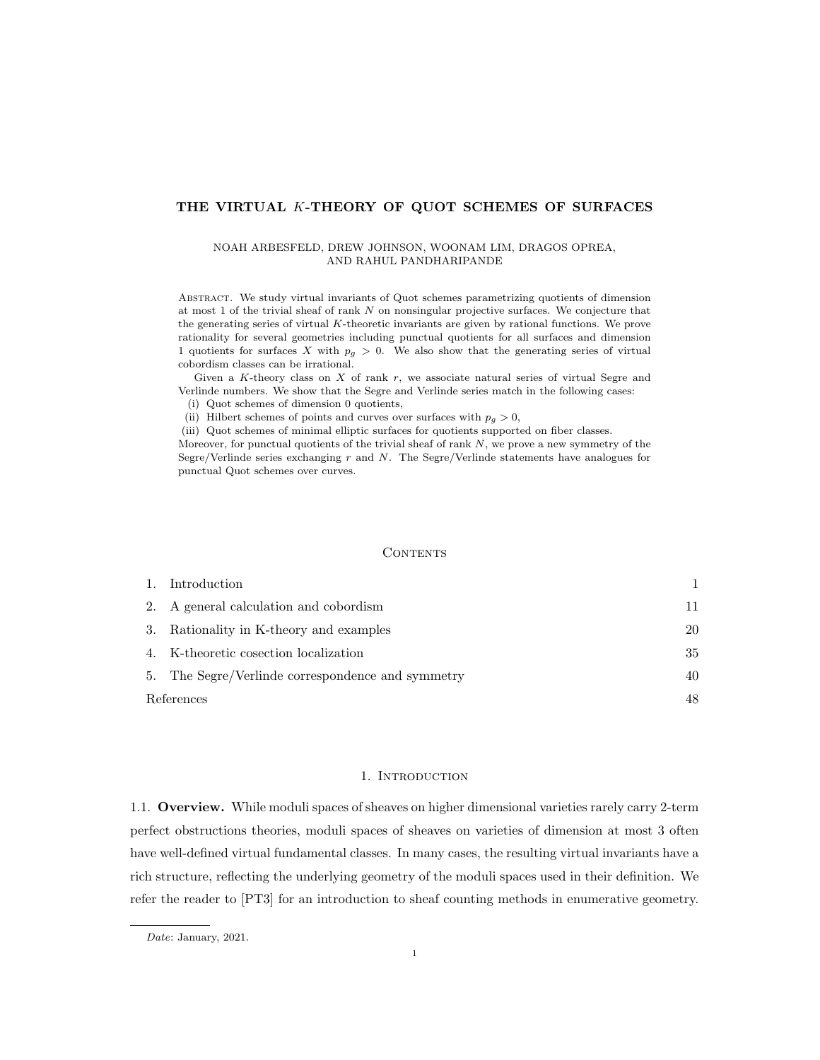## THE VIRTUAL K-THEORY OF QUOT SCHEMES OF SURFACES

#### NOAH ARBESFELD, DREW JOHNSON, WOONAM LIM, DRAGOS OPREA, AND RAHUL PANDHARIPANDE

Abstract. We study virtual invariants of Quot schemes parametrizing quotients of dimension at most 1 of the trivial sheaf of rank N on nonsingular projective surfaces. We conjecture that the generating series of virtual  $K$ -theoretic invariants are given by rational functions. We prove rationality for several geometries including punctual quotients for all surfaces and dimension 1 quotients for surfaces X with  $p_g > 0$ . We also show that the generating series of virtual cobordism classes can be irrational.

Given a K-theory class on  $X$  of rank  $r$ , we associate natural series of virtual Segre and Verlinde numbers. We show that the Segre and Verlinde series match in the following cases:

(i) Quot schemes of dimension 0 quotients,

(ii) Hilbert schemes of points and curves over surfaces with  $p_g > 0$ ,

(iii) Quot schemes of minimal elliptic surfaces for quotients supported on fiber classes.

Moreover, for punctual quotients of the trivial sheaf of rank  $N$ , we prove a new symmetry of the Segre/Verlinde series exchanging  $r$  and  $N$ . The Segre/Verlinde statements have analogues for punctual Quot schemes over curves.

#### **CONTENTS**

|            | Introduction                                      |     |
|------------|---------------------------------------------------|-----|
|            | 2. A general calculation and cobordism            | 11  |
|            | 3. Rationality in K-theory and examples           | 20  |
|            | 4. K-theoretic cosection localization             | 35  |
|            | 5. The Segre/Verlinde correspondence and symmetry | 40  |
| References |                                                   | 48. |

## 1. INTRODUCTION

1.1. Overview. While moduli spaces of sheaves on higher dimensional varieties rarely carry 2-term perfect obstructions theories, moduli spaces of sheaves on varieties of dimension at most 3 often have well-defined virtual fundamental classes. In many cases, the resulting virtual invariants have a rich structure, reflecting the underlying geometry of the moduli spaces used in their definition. We refer the reader to [PT3] for an introduction to sheaf counting methods in enumerative geometry.

Date: January, 2021.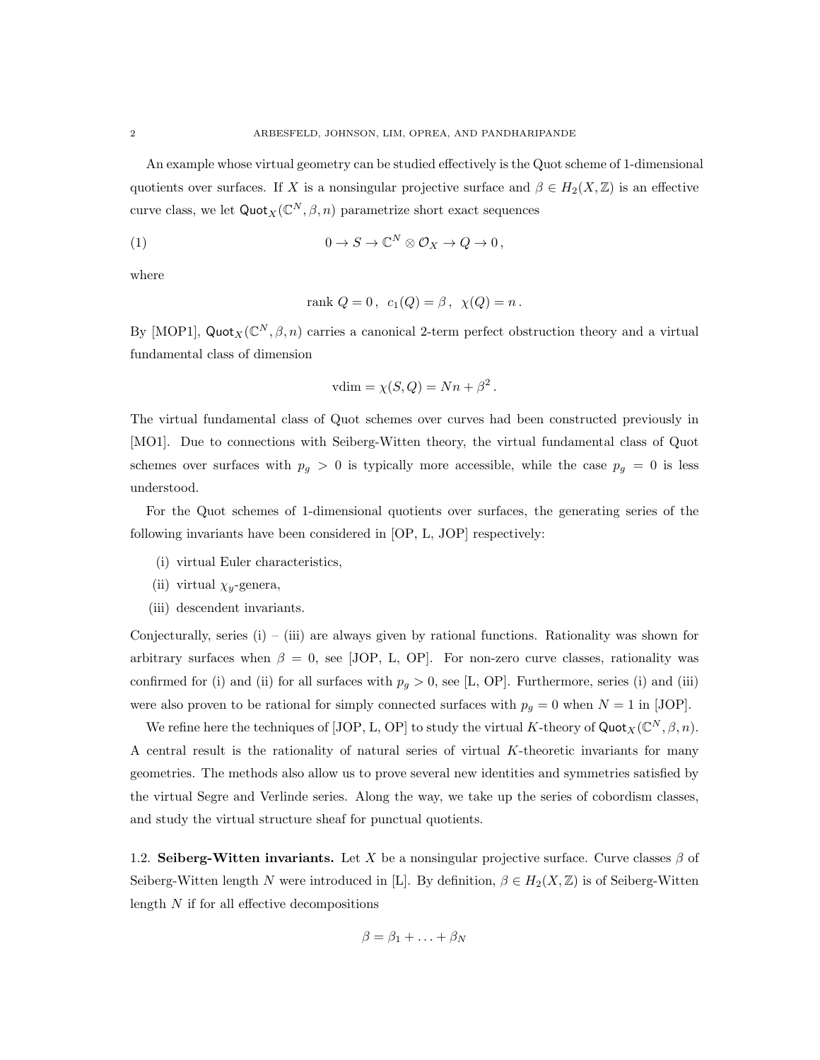An example whose virtual geometry can be studied effectively is the Quot scheme of 1-dimensional quotients over surfaces. If X is a nonsingular projective surface and  $\beta \in H_2(X,\mathbb{Z})$  is an effective curve class, we let  $\mathsf{Quot}_X(\mathbb{C}^N,\beta,n)$  parametrize short exact sequences

(1) 
$$
0 \to S \to \mathbb{C}^N \otimes \mathcal{O}_X \to Q \to 0,
$$

where

rank 
$$
Q = 0
$$
,  $c_1(Q) = \beta$ ,  $\chi(Q) = n$ .

By [MOP1], Quot<sub>X</sub>( $\mathbb{C}^N$ ,  $\beta$ , n) carries a canonical 2-term perfect obstruction theory and a virtual fundamental class of dimension

$$
vdim = \chi(S, Q) = Nn + \beta^2.
$$

The virtual fundamental class of Quot schemes over curves had been constructed previously in [MO1]. Due to connections with Seiberg-Witten theory, the virtual fundamental class of Quot schemes over surfaces with  $p_g > 0$  is typically more accessible, while the case  $p_g = 0$  is less understood.

For the Quot schemes of 1-dimensional quotients over surfaces, the generating series of the following invariants have been considered in [OP, L, JOP] respectively:

- (i) virtual Euler characteristics,
- (ii) virtual  $\chi_y$ -genera,
- (iii) descendent invariants.

Conjecturally, series (i) – (iii) are always given by rational functions. Rationality was shown for arbitrary surfaces when  $\beta = 0$ , see [JOP, L, OP]. For non-zero curve classes, rationality was confirmed for (i) and (ii) for all surfaces with  $p_g > 0$ , see [L, OP]. Furthermore, series (i) and (iii) were also proven to be rational for simply connected surfaces with  $p_g = 0$  when  $N = 1$  in [JOP].

We refine here the techniques of  $[JOP, L, OP]$  to study the virtual K-theory of  $Quot<sub>X</sub>(\mathbb{C}^N, \beta, n)$ . A central result is the rationality of natural series of virtual  $K$ -theoretic invariants for many geometries. The methods also allow us to prove several new identities and symmetries satisfied by the virtual Segre and Verlinde series. Along the way, we take up the series of cobordism classes, and study the virtual structure sheaf for punctual quotients.

1.2. Seiberg-Witten invariants. Let X be a nonsingular projective surface. Curve classes  $\beta$  of Seiberg-Witten length N were introduced in [L]. By definition,  $\beta \in H_2(X, \mathbb{Z})$  is of Seiberg-Witten length  $N$  if for all effective decompositions

$$
\beta = \beta_1 + \ldots + \beta_N
$$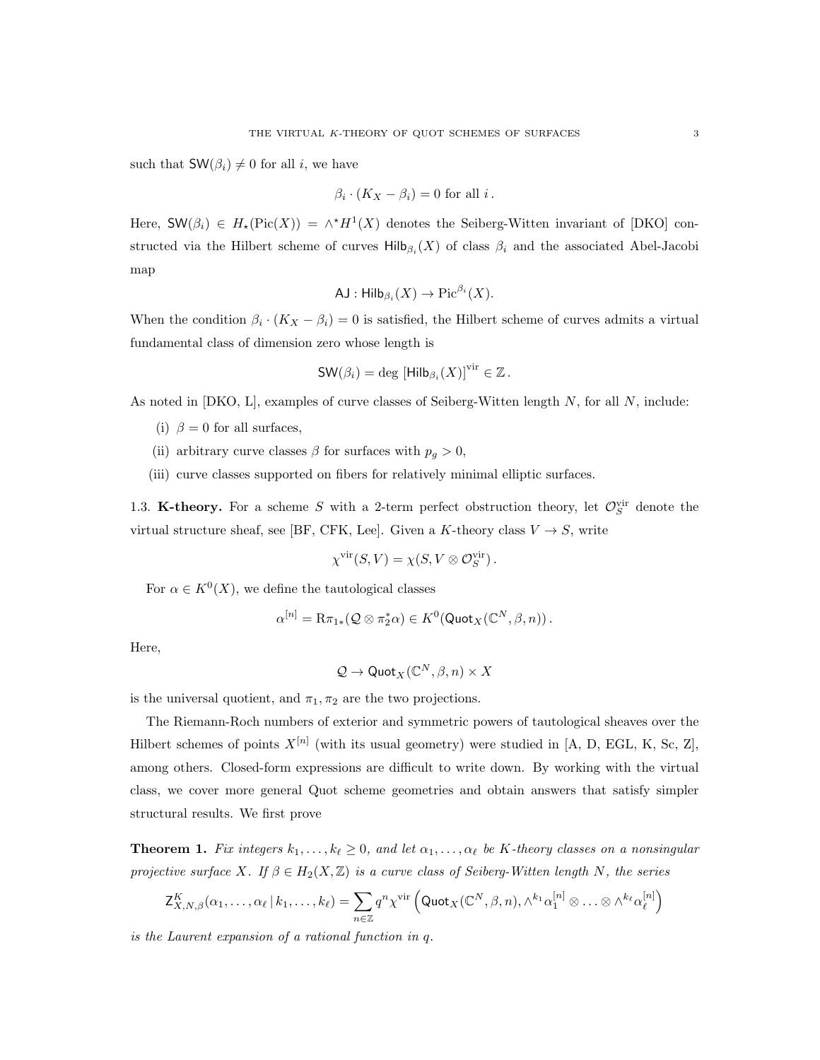such that  $\mathsf{SW}(\beta_i) \neq 0$  for all i, we have

$$
\beta_i \cdot (K_X - \beta_i) = 0
$$
 for all  $i$ .

Here,  $\mathsf{SW}(\beta_i) \in H_\star(\mathrm{Pic}(X)) = \wedge^{\star} H^1(X)$  denotes the Seiberg-Witten invariant of [DKO] constructed via the Hilbert scheme of curves  $\text{Hilb}_{\beta_i}(X)$  of class  $\beta_i$  and the associated Abel-Jacobi map

$$
\mathsf{AJ}: \mathsf{Hilb}_{\beta_i}(X) \to \mathrm{Pic}^{\beta_i}(X).
$$

When the condition  $\beta_i \cdot (K_X - \beta_i) = 0$  is satisfied, the Hilbert scheme of curves admits a virtual fundamental class of dimension zero whose length is

$$
\mathsf{SW}(\beta_i) = \deg \left[\mathsf{Hilb}_{\beta_i}(X)\right]^{\text{vir}} \in \mathbb{Z}.
$$

As noted in [DKO, L], examples of curve classes of Seiberg-Witten length  $N$ , for all  $N$ , include:

- (i)  $\beta = 0$  for all surfaces,
- (ii) arbitrary curve classes  $\beta$  for surfaces with  $p_g > 0$ ,
- (iii) curve classes supported on fibers for relatively minimal elliptic surfaces.

1.3. K-theory. For a scheme S with a 2-term perfect obstruction theory, let  $\mathcal{O}_S^{\text{vir}}$  denote the virtual structure sheaf, see [BF, CFK, Lee]. Given a K-theory class  $V \rightarrow S$ , write

$$
\chi^{\rm vir}(S,V)=\chi(S,V\otimes{\mathcal O}_S^{\rm vir})\,.
$$

For  $\alpha \in K^0(X)$ , we define the tautological classes

$$
\alpha^{[n]} = \mathrm{R}\pi_{1*}(\mathcal{Q}\otimes \pi_2^*\alpha) \in K^0(\mathsf{Quot}_X(\mathbb{C}^N,\beta,n)).
$$

Here,

$$
\mathcal{Q}\to {\sf Quot}_X(\mathbb{C}^N,\beta,n)\times X
$$

is the universal quotient, and  $\pi_1, \pi_2$  are the two projections.

The Riemann-Roch numbers of exterior and symmetric powers of tautological sheaves over the Hilbert schemes of points  $X^{[n]}$  (with its usual geometry) were studied in [A, D, EGL, K, Sc, Z], among others. Closed-form expressions are difficult to write down. By working with the virtual class, we cover more general Quot scheme geometries and obtain answers that satisfy simpler structural results. We first prove

**Theorem 1.** Fix integers  $k_1, \ldots, k_\ell \geq 0$ , and let  $\alpha_1, \ldots, \alpha_\ell$  be K-theory classes on a nonsingular projective surface X. If  $\beta \in H_2(X, \mathbb{Z})$  is a curve class of Seiberg-Witten length N, the series

$$
\mathsf{Z}^K_{X,N,\beta}(\alpha_1,\ldots,\alpha_\ell\,|\,k_1,\ldots,k_\ell) = \sum_{n\in\mathbb{Z}} q^n\chi^{\mathrm{vir}}\left(\mathsf{Quot}_X(\mathbb{C}^N,\beta,n),\wedge^{k_1}\alpha_1^{[n]}\otimes\ldots\otimes\wedge^{k_\ell}\alpha_\ell^{[n]}\right)
$$

is the Laurent expansion of a rational function in q.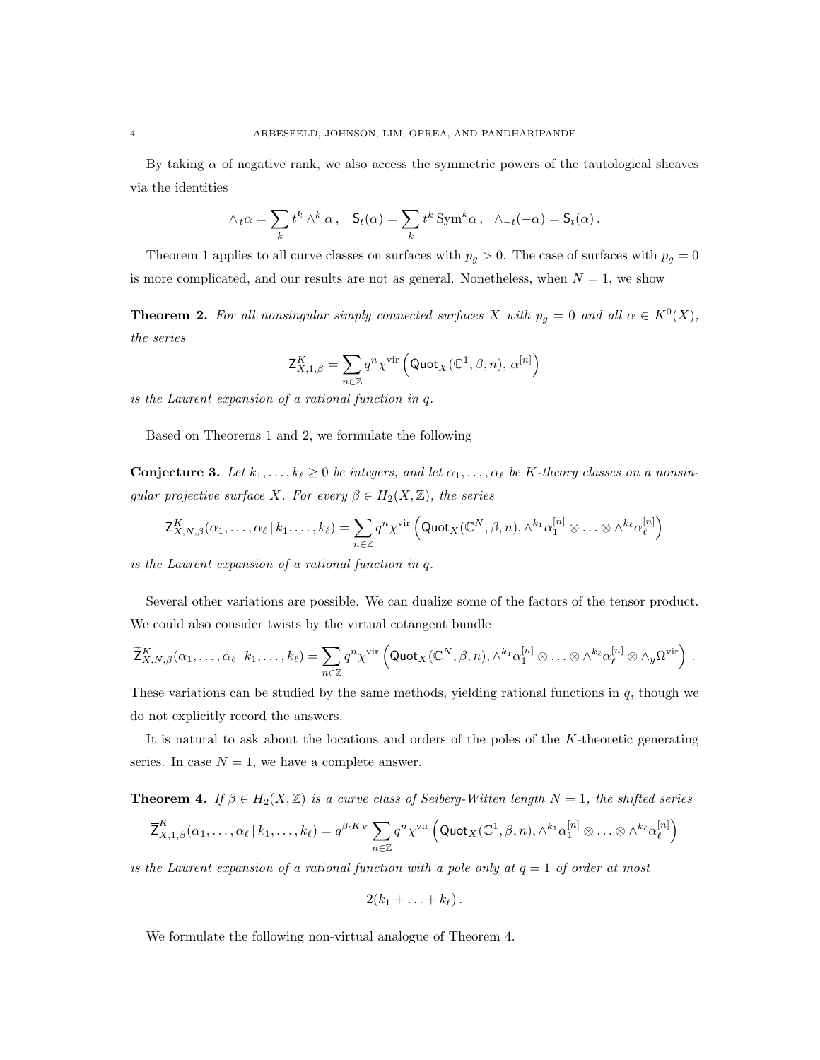By taking  $\alpha$  of negative rank, we also access the symmetric powers of the tautological sheaves via the identities

$$
\wedge_t \alpha = \sum_k t^k \wedge^k \alpha, \quad \mathsf{S}_t(\alpha) = \sum_k t^k \operatorname{Sym}^k \alpha, \ \wedge_{-t}(-\alpha) = \mathsf{S}_t(\alpha).
$$

Theorem 1 applies to all curve classes on surfaces with  $p_g > 0$ . The case of surfaces with  $p_g = 0$ is more complicated, and our results are not as general. Nonetheless, when  $N = 1$ , we show

**Theorem 2.** For all nonsingular simply connected surfaces X with  $p_g = 0$  and all  $\alpha \in K^0(X)$ , the series

$$
\mathsf{Z}^K_{X,1,\beta}=\sum_{n\in\mathbb{Z}}q^n\chi^{\text{vir}}\left(\mathsf{Quot}_X(\mathbb{C}^1,\beta,n),\,\alpha^{[n]}\right)
$$

is the Laurent expansion of a rational function in q.

Based on Theorems 1 and 2, we formulate the following

**Conjecture 3.** Let  $k_1, \ldots, k_\ell \geq 0$  be integers, and let  $\alpha_1, \ldots, \alpha_\ell$  be K-theory classes on a nonsingular projective surface X. For every  $\beta \in H_2(X,\mathbb{Z})$ , the series

$$
\mathsf{Z}^K_{X,N,\beta}(\alpha_1,\ldots,\alpha_\ell\,|\,k_1,\ldots,k_\ell) = \sum_{n\in\mathbb{Z}} q^n\chi^{\text{vir}}\left(\mathsf{Quot}_X(\mathbb{C}^N,\beta,n),\wedge^{k_1}\alpha_1^{[n]}\otimes\ldots\otimes\wedge^{k_\ell}\alpha_\ell^{[n]}\right)
$$

is the Laurent expansion of a rational function in q.

Several other variations are possible. We can dualize some of the factors of the tensor product. We could also consider twists by the virtual cotangent bundle

$$
\widetilde{\mathsf{Z}}_{X,N,\beta}^K(\alpha_1,\ldots,\alpha_\ell\,|\,k_1,\ldots,k_\ell) = \sum_{n\in\mathbb{Z}} q^n \chi^{\text{vir}} \left( \mathsf{Quot}_X(\mathbb{C}^N,\beta,n),\wedge^{k_1} \alpha_1^{[n]} \otimes \ldots \otimes \wedge^{k_\ell} \alpha_\ell^{[n]} \otimes \wedge_y \Omega^{\text{vir}} \right) .
$$

These variations can be studied by the same methods, yielding rational functions in  $q$ , though we do not explicitly record the answers.

It is natural to ask about the locations and orders of the poles of the K-theoretic generating series. In case  $N = 1$ , we have a complete answer.

**Theorem 4.** If  $\beta \in H_2(X, \mathbb{Z})$  is a curve class of Seiberg-Witten length  $N = 1$ , the shifted series

$$
\overline{Z}_{X,1,\beta}^K(\alpha_1,\ldots,\alpha_\ell\,|\,k_1,\ldots,k_\ell) = q^{\beta\cdot K_X} \sum_{n\in\mathbb{Z}} q^n \chi^{\text{vir}}\left(\mathsf{Quot}_X(\mathbb{C}^1,\beta,n),\wedge^{k_1}\alpha_1^{[n]}\otimes\ldots\otimes\wedge^{k_\ell}\alpha_\ell^{[n]}\right)
$$

is the Laurent expansion of a rational function with a pole only at  $q = 1$  of order at most

$$
2(k_1+\ldots+k_\ell).
$$

We formulate the following non-virtual analogue of Theorem 4.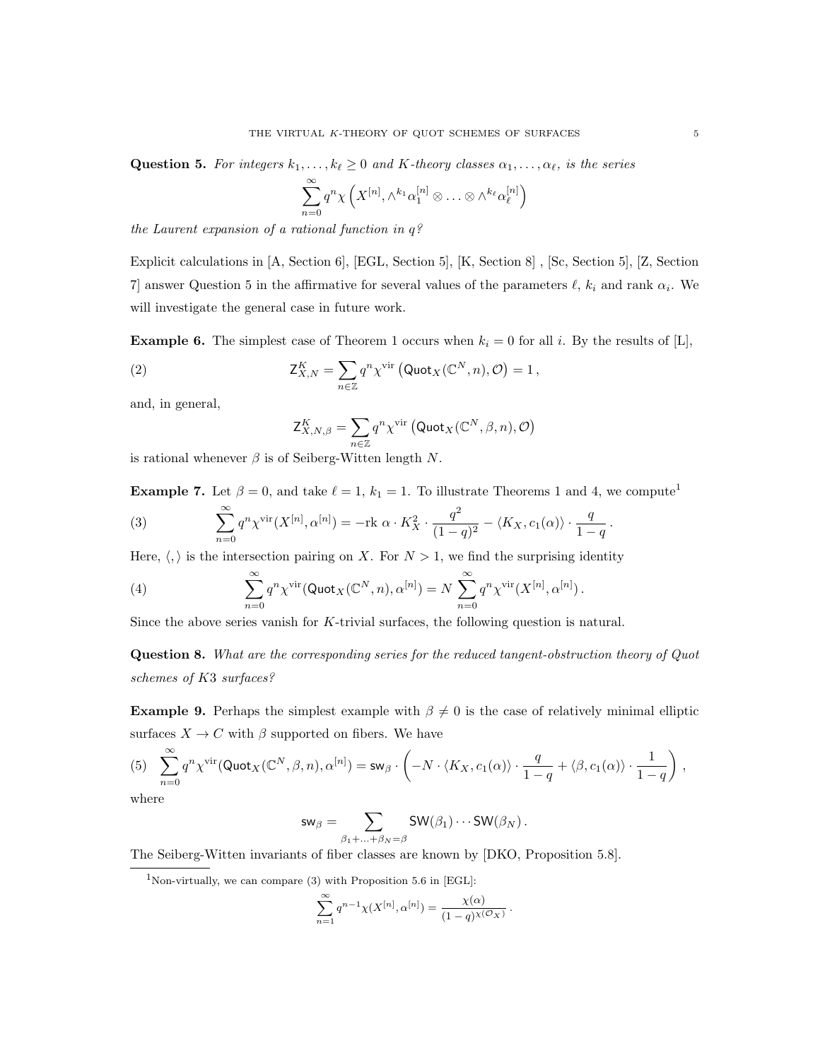**Question 5.** For integers  $k_1, \ldots, k_\ell \geq 0$  and K-theory classes  $\alpha_1, \ldots, \alpha_\ell$ , is the series

$$
\sum_{n=0}^{\infty} q^n \chi \left( X^{[n]}, \wedge^{k_1} \alpha_1^{[n]} \otimes \ldots \otimes \wedge^{k_\ell} \alpha_\ell^{[n]} \right)
$$

the Laurent expansion of a rational function in q?

Explicit calculations in [A, Section 6], [EGL, Section 5], [K, Section 8] , [Sc, Section 5], [Z, Section 7] answer Question 5 in the affirmative for several values of the parameters  $\ell$ ,  $k_i$  and rank  $\alpha_i$ . We will investigate the general case in future work.

**Example 6.** The simplest case of Theorem 1 occurs when  $k_i = 0$  for all i. By the results of [L],

(2) 
$$
\mathsf{Z}_{X,N}^K = \sum_{n \in \mathbb{Z}} q^n \chi^{\text{vir}} \left( \text{Quot}_X(\mathbb{C}^N, n), \mathcal{O} \right) = 1,
$$

and, in general,

$$
\mathsf{Z}^K_{X,N,\beta} = \sum_{n \in \mathbb{Z}} q^n \chi^{\text{vir}} \left( \mathsf{Quot}_X(\mathbb{C}^N, \beta,n), \mathcal{O} \right)
$$

is rational whenever  $\beta$  is of Seiberg-Witten length N.

**Example 7.** Let  $\beta = 0$ , and take  $\ell = 1$ ,  $k_1 = 1$ . To illustrate Theorems 1 and 4, we compute<sup>1</sup>

(3) 
$$
\sum_{n=0}^{\infty} q^n \chi^{\text{vir}}(X^{[n]}, \alpha^{[n]}) = -\text{rk } \alpha \cdot K_X^2 \cdot \frac{q^2}{(1-q)^2} - \langle K_X, c_1(\alpha) \rangle \cdot \frac{q}{1-q}.
$$

Here,  $\langle, \rangle$  is the intersection pairing on X. For  $N > 1$ , we find the surprising identity

(4) 
$$
\sum_{n=0}^{\infty} q^n \chi^{\text{vir}}(\text{Quot}_X(\mathbb{C}^N,n),\alpha^{[n]}) = N \sum_{n=0}^{\infty} q^n \chi^{\text{vir}}(X^{[n]},\alpha^{[n]}).
$$

Since the above series vanish for K-trivial surfaces, the following question is natural.

Question 8. What are the corresponding series for the reduced tangent-obstruction theory of Quot schemes of K3 surfaces?

Example 9. Perhaps the simplest example with  $\beta \neq 0$  is the case of relatively minimal elliptic surfaces  $X \to C$  with  $\beta$  supported on fibers. We have

$$
(5) \quad \sum_{n=0}^{\infty} q^n \chi^{\text{vir}}(\text{Quot}_X(\mathbb{C}^N, \beta, n), \alpha^{[n]}) = \text{sw}_{\beta} \cdot \left( -N \cdot \langle K_X, c_1(\alpha) \rangle \cdot \frac{q}{1-q} + \langle \beta, c_1(\alpha) \rangle \cdot \frac{1}{1-q} \right) \,,
$$

where

$$
\mathsf{sw}_{\beta} = \sum_{\beta_1 + ... + \beta_N = \beta} \mathsf{SW}(\beta_1) \cdots \mathsf{SW}(\beta_N) \,.
$$

The Seiberg-Witten invariants of fiber classes are known by [DKO, Proposition 5.8].

$$
\sum_{n=1}^{\infty} q^{n-1} \chi(X^{[n]}, \alpha^{[n]}) = \frac{\chi(\alpha)}{(1-q)^{\chi(\mathcal{O}_X)}}
$$

.

<sup>&</sup>lt;sup>1</sup>Non-virtually, we can compare  $(3)$  with Proposition 5.6 in [EGL]: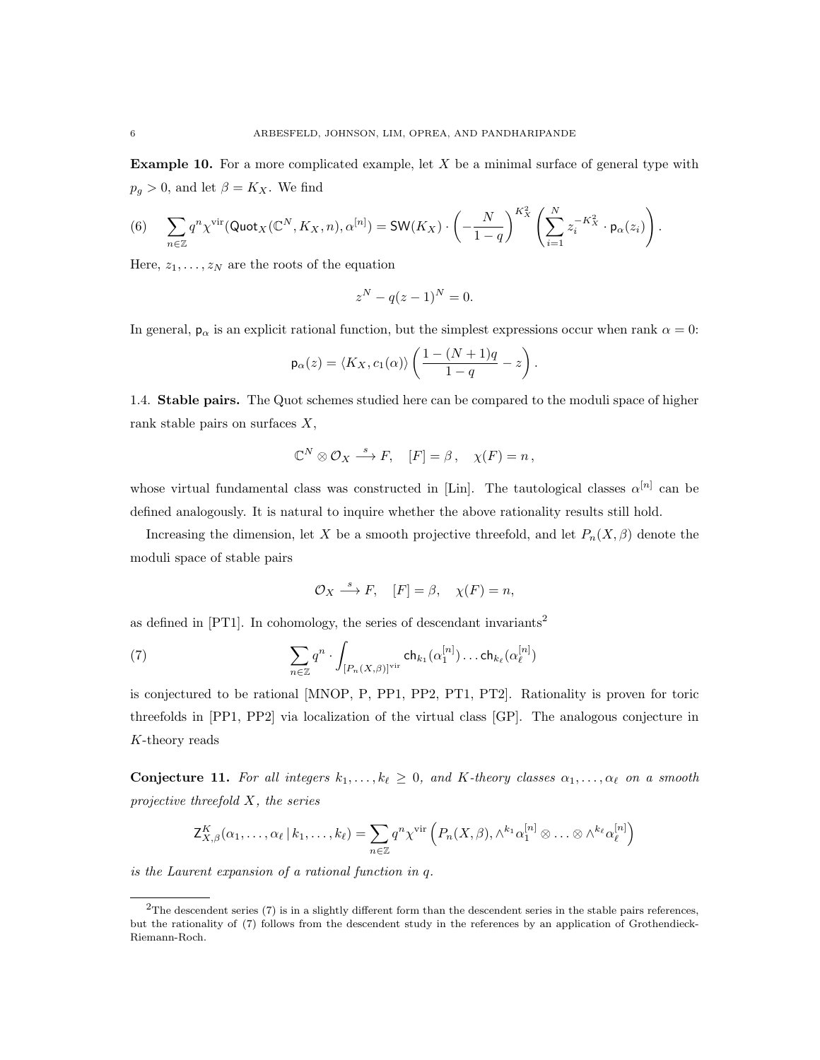Example 10. For a more complicated example, let X be a minimal surface of general type with  $p_q > 0$ , and let  $\beta = K_X$ . We find

(6) 
$$
\sum_{n\in\mathbb{Z}}q^n\chi^{\text{vir}}(\text{Quot}_X(\mathbb{C}^N,K_X,n),\alpha^{[n]})=\text{SW}(K_X)\cdot\left(-\frac{N}{1-q}\right)^{K_X^2}\left(\sum_{i=1}^Nz_i^{-K_X^2}\cdot\mathsf{p}_{\alpha}(z_i)\right).
$$

Here,  $z_1, \ldots, z_N$  are the roots of the equation

$$
z^N - q(z-1)^N = 0.
$$

In general,  $p_{\alpha}$  is an explicit rational function, but the simplest expressions occur when rank  $\alpha = 0$ :

$$
\mathsf{p}_{\alpha}(z) = \langle K_X, c_1(\alpha) \rangle \left( \frac{1 - (N+1)q}{1-q} - z \right).
$$

1.4. Stable pairs. The Quot schemes studied here can be compared to the moduli space of higher rank stable pairs on surfaces X,

$$
\mathbb{C}^N \otimes \mathcal{O}_X \stackrel{s}{\longrightarrow} F, \quad [F] = \beta \,, \quad \chi(F) = n \,,
$$

whose virtual fundamental class was constructed in [Lin]. The tautological classes  $\alpha^{[n]}$  can be defined analogously. It is natural to inquire whether the above rationality results still hold.

Increasing the dimension, let X be a smooth projective threefold, and let  $P_n(X, \beta)$  denote the moduli space of stable pairs

$$
\mathcal{O}_X \stackrel{s}{\longrightarrow} F, \quad [F] = \beta, \quad \chi(F) = n,
$$

as defined in [PT1]. In cohomology, the series of descendant invariants<sup>2</sup>

(7) 
$$
\sum_{n\in\mathbb{Z}}q^n\cdot\int_{[P_n(X,\beta)]^{\text{vir}}} \mathsf{ch}_{k_1}(\alpha_1^{[n]})\ldots \mathsf{ch}_{k_\ell}(\alpha_\ell^{[n]})
$$

is conjectured to be rational [MNOP, P, PP1, PP2, PT1, PT2]. Rationality is proven for toric threefolds in [PP1, PP2] via localization of the virtual class [GP]. The analogous conjecture in K-theory reads

**Conjecture 11.** For all integers  $k_1, \ldots, k_\ell \geq 0$ , and K-theory classes  $\alpha_1, \ldots, \alpha_\ell$  on a smooth projective threefold  $X$ , the series

$$
\mathsf{Z}^K_{X,\beta}(\alpha_1,\ldots,\alpha_\ell\,|\,k_1,\ldots,k_\ell) = \sum_{n\in\mathbb{Z}} q^n \chi^{\text{vir}}\left(P_n(X,\beta),\wedge^{k_1}\alpha_1^{[n]}\otimes\ldots\otimes\wedge^{k_\ell}\alpha_\ell^{[n]}\right)
$$

is the Laurent expansion of a rational function in q.

 $2$ The descendent series (7) is in a slightly different form than the descendent series in the stable pairs references, but the rationality of (7) follows from the descendent study in the references by an application of Grothendieck-Riemann-Roch.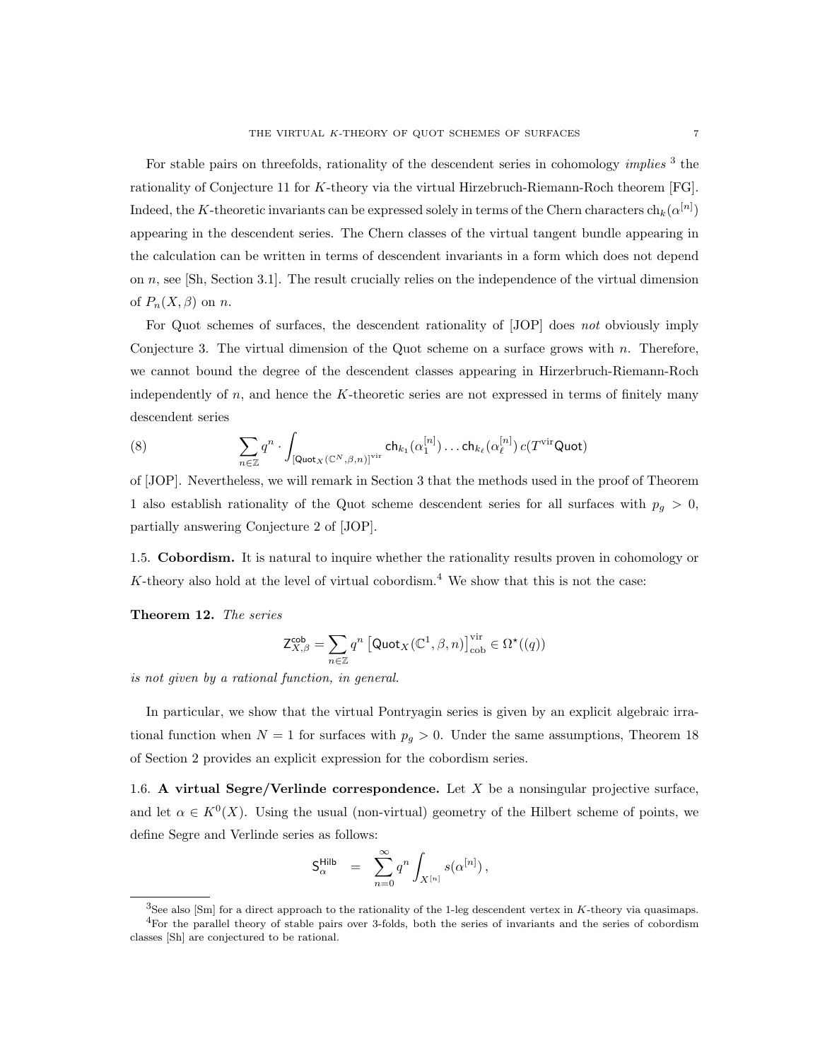For stable pairs on threefolds, rationality of the descendent series in cohomology *implies*<sup>3</sup> the rationality of Conjecture 11 for K-theory via the virtual Hirzebruch-Riemann-Roch theorem [FG]. Indeed, the K-theoretic invariants can be expressed solely in terms of the Chern characters  $\ch_k(\alpha^{[n]})$ appearing in the descendent series. The Chern classes of the virtual tangent bundle appearing in the calculation can be written in terms of descendent invariants in a form which does not depend on n, see [Sh, Section 3.1]. The result crucially relies on the independence of the virtual dimension of  $P_n(X,\beta)$  on n.

For Quot schemes of surfaces, the descendent rationality of [JOP] does not obviously imply Conjecture 3. The virtual dimension of the Quot scheme on a surface grows with  $n$ . Therefore, we cannot bound the degree of the descendent classes appearing in Hirzerbruch-Riemann-Roch independently of  $n$ , and hence the K-theoretic series are not expressed in terms of finitely many descendent series

(8) 
$$
\sum_{n\in\mathbb{Z}}q^n\cdot\int_{[\mathsf{Quot}_X(\mathbb{C}^N,\beta,n)]^{\text{vir}}} \mathsf{ch}_{k_1}(\alpha_1^{[n]})\ldots \mathsf{ch}_{k_\ell}(\alpha_\ell^{[n]}) c(T^{\text{vir}}\mathsf{Quot})
$$

of [JOP]. Nevertheless, we will remark in Section 3 that the methods used in the proof of Theorem 1 also establish rationality of the Quot scheme descendent series for all surfaces with  $p_g > 0$ , partially answering Conjecture 2 of [JOP].

1.5. Cobordism. It is natural to inquire whether the rationality results proven in cohomology or K-theory also hold at the level of virtual cobordism.<sup>4</sup> We show that this is not the case:

Theorem 12. The series

$$
\mathsf{Z}^{\mathsf{cob}}_{X,\beta} = \sum_{n \in \mathbb{Z}} q^n \left[ \mathsf{Quot}_X(\mathbb{C}^1,\beta,n) \right]^\mathrm{vir}_{\mathrm{cob}} \in \Omega^\star((q))
$$

is not given by a rational function, in general.

In particular, we show that the virtual Pontryagin series is given by an explicit algebraic irrational function when  $N = 1$  for surfaces with  $p<sub>g</sub> > 0$ . Under the same assumptions, Theorem 18 of Section 2 provides an explicit expression for the cobordism series.

1.6. A virtual Segre/Verlinde correspondence. Let  $X$  be a nonsingular projective surface, and let  $\alpha \in K^0(X)$ . Using the usual (non-virtual) geometry of the Hilbert scheme of points, we define Segre and Verlinde series as follows:

$$
\mathsf{S}^{\mathsf{Hilb}}_{\alpha} \;\; = \;\; \sum_{n=0}^{\infty} q^n \int_{X^{[n]}} s(\alpha^{[n]}) \,,
$$

 ${}^{3}$ See also [Sm] for a direct approach to the rationality of the 1-leg descendent vertex in K-theory via quasimaps.

<sup>4</sup>For the parallel theory of stable pairs over 3-folds, both the series of invariants and the series of cobordism classes [Sh] are conjectured to be rational.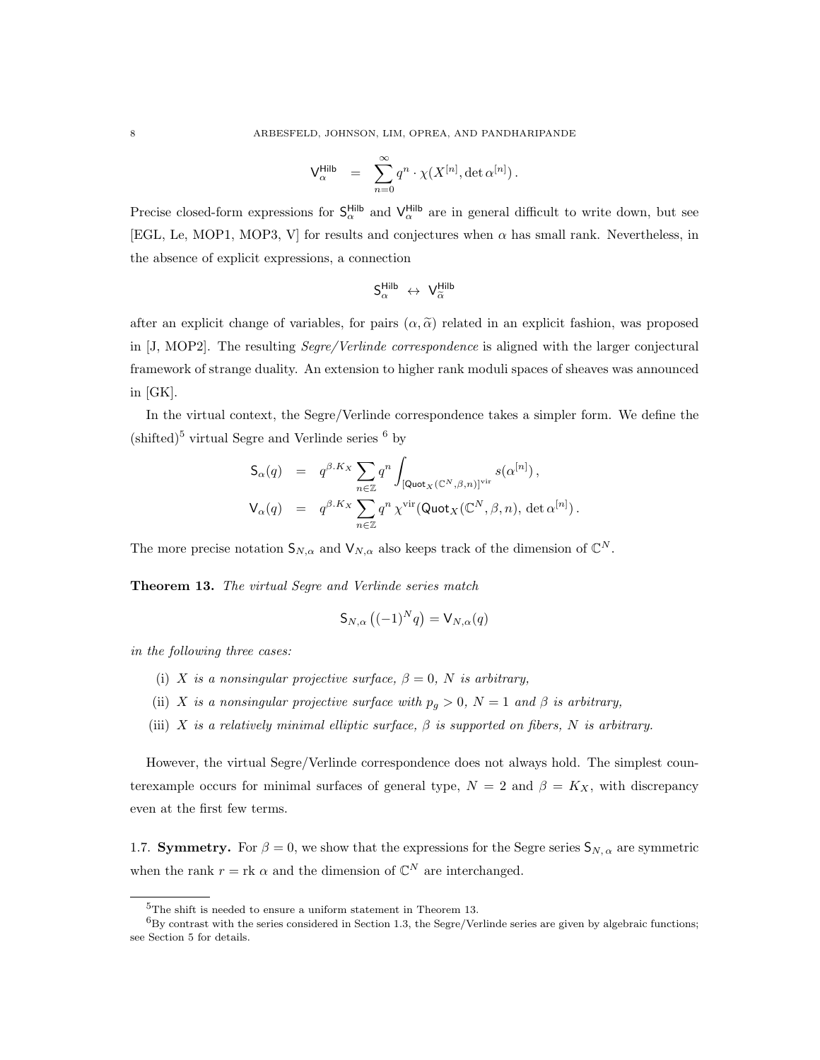$$
\mathsf{V}^{\mathsf{Hilb}}_\alpha \ \ = \ \ \sum_{n=0}^\infty q^n \cdot \chi(X^{[n]},\det\alpha^{[n]}) \, .
$$

Precise closed-form expressions for  $S_{\alpha}^{\text{Hilb}}$  and  $V_{\alpha}^{\text{Hilb}}$  are in general difficult to write down, but see [EGL, Le, MOP1, MOP3, V] for results and conjectures when  $\alpha$  has small rank. Nevertheless, in the absence of explicit expressions, a connection

$$
\mathsf{S}^{\mathsf{Hilb}}_{\alpha} \; \leftrightarrow \; \mathsf{V}^{\mathsf{Hilb}}_{\widetilde{\alpha}}
$$

after an explicit change of variables, for pairs  $(\alpha, \tilde{\alpha})$  related in an explicit fashion, was proposed in [J, MOP2]. The resulting Segre/Verlinde correspondence is aligned with the larger conjectural framework of strange duality. An extension to higher rank moduli spaces of sheaves was announced in [GK].

In the virtual context, the Segre/Verlinde correspondence takes a simpler form. We define the  $(\text{shifted})^5$  virtual Segre and Verlinde series  $^6$  by

$$
\begin{array}{rcl} \mathsf{S}_{\alpha}(q) & = & q^{\beta.K_X} \sum_{n \in \mathbb{Z}} q^n \int_{\left[\mathsf{Quot}_X(\mathbb{C}^N,\beta,n)\right]^{\mathrm{vir}}} s(\alpha^{[n]}) \, , \\ \mathsf{V}_{\alpha}(q) & = & q^{\beta.K_X} \sum_{n \in \mathbb{Z}} q^n \, \chi^{\mathrm{vir}}(\mathsf{Quot}_X(\mathbb{C}^N,\beta,n),\, \det \alpha^{[n]}) \, . \end{array}
$$

The more precise notation  $\mathsf{S}_{N,\alpha}$  and  $\mathsf{V}_{N,\alpha}$  also keeps track of the dimension of  $\mathbb{C}^N$ .

Theorem 13. The virtual Segre and Verlinde series match

$$
\mathsf{S}_{N,\alpha}\left((-1)^Nq\right) = \mathsf{V}_{N,\alpha}(q)
$$

in the following three cases:

- (i) X is a nonsingular projective surface,  $\beta = 0$ , N is arbitrary,
- (ii) X is a nonsingular projective surface with  $p_g > 0$ ,  $N = 1$  and  $\beta$  is arbitrary,
- (iii) X is a relatively minimal elliptic surface,  $\beta$  is supported on fibers, N is arbitrary.

However, the virtual Segre/Verlinde correspondence does not always hold. The simplest counterexample occurs for minimal surfaces of general type,  $N = 2$  and  $\beta = K_X$ , with discrepancy even at the first few terms.

1.7. **Symmetry.** For  $\beta = 0$ , we show that the expressions for the Segre series  $S_{N, \alpha}$  are symmetric when the rank  $r = \text{rk } \alpha$  and the dimension of  $\mathbb{C}^N$  are interchanged.

<sup>&</sup>lt;sup>5</sup>The shift is needed to ensure a uniform statement in Theorem 13.

 ${}^{6}$ By contrast with the series considered in Section 1.3, the Segre/Verlinde series are given by algebraic functions; see Section 5 for details.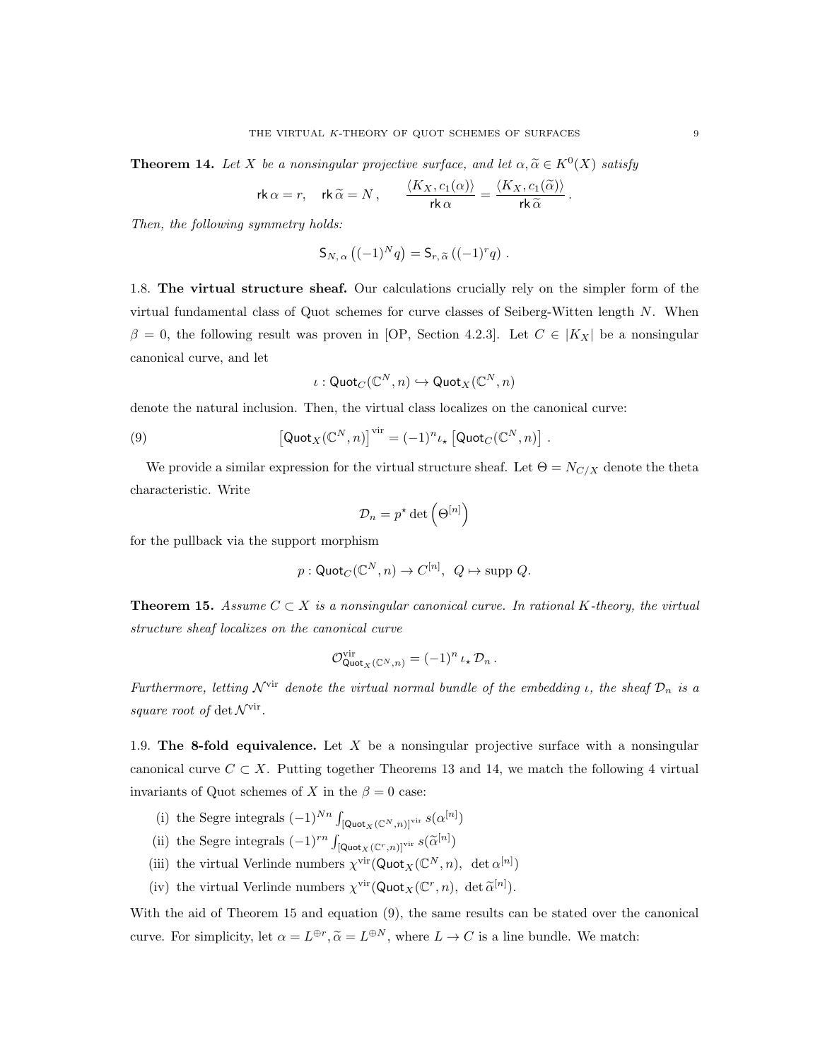**Theorem 14.** Let X be a nonsingular projective surface, and let  $\alpha, \tilde{\alpha} \in K^0(X)$  satisfy

$$
\mathsf{rk}\,\alpha = r, \quad \mathsf{rk}\,\widetilde{\alpha} = N\,, \qquad \frac{\langle K_X, c_1(\alpha)\rangle}{\mathsf{rk}\,\alpha} = \frac{\langle K_X, c_1(\widetilde{\alpha})\rangle}{\mathsf{rk}\,\widetilde{\alpha}}\,.
$$

Then, the following symmetry holds:

$$
S_{N,\alpha} ((-1)^N q) = S_{r,\widetilde{\alpha}} ((-1)^r q) .
$$

1.8. The virtual structure sheaf. Our calculations crucially rely on the simpler form of the virtual fundamental class of Quot schemes for curve classes of Seiberg-Witten length N. When  $\beta = 0$ , the following result was proven in [OP, Section 4.2.3]. Let  $C \in |K_X|$  be a nonsingular canonical curve, and let

$$
\iota: {\sf Quot}_C(\mathbb{C}^N, n) \hookrightarrow {\sf Quot}_X(\mathbb{C}^N, n)
$$

denote the natural inclusion. Then, the virtual class localizes on the canonical curve:

(9) 
$$
\left[\text{Quot}_X(\mathbb{C}^N,n)\right]^{\text{vir}} = (-1)^n \iota_* \left[\text{Quot}_C(\mathbb{C}^N,n)\right]
$$

We provide a similar expression for the virtual structure sheaf. Let  $\Theta = N_{C/X}$  denote the theta characteristic. Write

.

$$
\mathcal{D}_n = p^\star \det \left( \Theta^{[n]} \right)
$$

for the pullback via the support morphism

$$
p: \mathsf{Quot}_C(\mathbb{C}^N, n) \to C^{[n]}, \ Q \mapsto \mathrm{supp} \ Q.
$$

**Theorem 15.** Assume  $C \subset X$  is a nonsingular canonical curve. In rational K-theory, the virtual structure sheaf localizes on the canonical curve

$$
{\mathcal O}^{\mathrm{vir}} _{\mathrm{Quot}_X({\mathbb C}^N, n)} = (-1)^n \iota_\star \, {\mathcal D}_n \, .
$$

Furthermore, letting  $\mathcal{N}^{\text{vir}}$  denote the virtual normal bundle of the embedding *ι*, the sheaf  $\mathcal{D}_n$  is a square root of  $\det \mathcal{N}^{\text{vir}}$ .

1.9. The 8-fold equivalence. Let X be a nonsingular projective surface with a nonsingular canonical curve  $C \subset X$ . Putting together Theorems 13 and 14, we match the following 4 virtual invariants of Quot schemes of X in the  $\beta = 0$  case:

- (i) the Segre integrals  $(-1)^{Nn} \int_{\left[ \text{Quot}_X(\mathbb{C}^N,n) \right]^{\text{vir}}} s(\alpha^{[n]})$
- (ii) the Segre integrals  $(-1)^{rn} \int_{\left[ \text{Quot}_X(\mathbb{C}^r,n) \right]^{\text{vir}}} s(\tilde{\alpha}^{[n]})$
- (iii) the virtual Verlinde numbers  $\chi^{\text{vir}}(\text{Quot}_X(\mathbb{C}^N,n), \det \alpha^{[n]})$
- (iv) the virtual Verlinde numbers  $\chi^{\text{vir}}(\text{Quot}_X(\mathbb{C}^r, n), \det \tilde{\alpha}^{[n]})$ .

With the aid of Theorem 15 and equation (9), the same results can be stated over the canonical curve. For simplicity, let  $\alpha = L^{\oplus r}$ ,  $\widetilde{\alpha} = L^{\oplus N}$ , where  $L \to C$  is a line bundle. We match: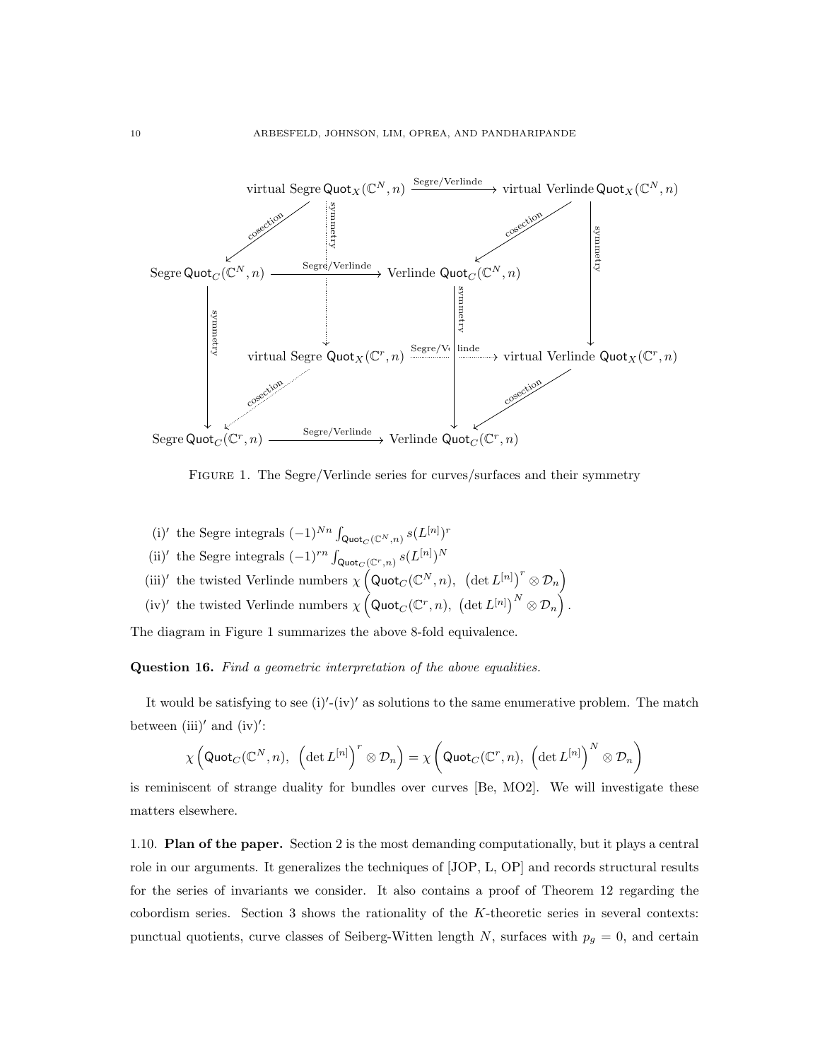

FIGURE 1. The Segre/Verlinde series for curves/surfaces and their symmetry

(i)' the Segre integrals  $(-1)^{Nn} \int_{\mathsf{Quot}_C(\mathbb{C}^N,n)} s(L^{[n]})^r$ (ii)' the Segre integrals  $(-1)^{rn} \int_{\text{Quot}_C(\mathbb{C}^r,n)} s(L^{[n]})^N$ (iii)' the twisted Verlinde numbers  $\chi(\text{Quot}_C(\mathbb{C}^N,n))$ ,  $(\det L^{[n]})^r \otimes \mathcal{D}_n$ ) (iv)' the twisted Verlinde numbers  $\chi\left(\text{Quot}_C(\mathbb{C}^r,n), \left(\det L^{[n]}\right)^N \otimes \mathcal{D}_n\right)$ .

The diagram in Figure 1 summarizes the above 8-fold equivalence.

Question 16. Find a geometric interpretation of the above equalities.

It would be satisfying to see  $(i)'$ - $(iv)'$  as solutions to the same enumerative problem. The match between (iii)' and (iv)':

$$
\chi\left(\mathsf {Quot}_C(\mathbb C^N,n),\;\left(\det L^{[n]}\right)^r\otimes \mathcal D_n\right)=\chi\left(\mathsf {Quot}_C(\mathbb C^r,n),\;\left(\det L^{[n]}\right)^N\otimes \mathcal D_n\right)
$$

is reminiscent of strange duality for bundles over curves [Be, MO2]. We will investigate these matters elsewhere.

1.10. Plan of the paper. Section 2 is the most demanding computationally, but it plays a central role in our arguments. It generalizes the techniques of [JOP, L, OP] and records structural results for the series of invariants we consider. It also contains a proof of Theorem 12 regarding the cobordism series. Section 3 shows the rationality of the K-theoretic series in several contexts: punctual quotients, curve classes of Seiberg-Witten length N, surfaces with  $p_g = 0$ , and certain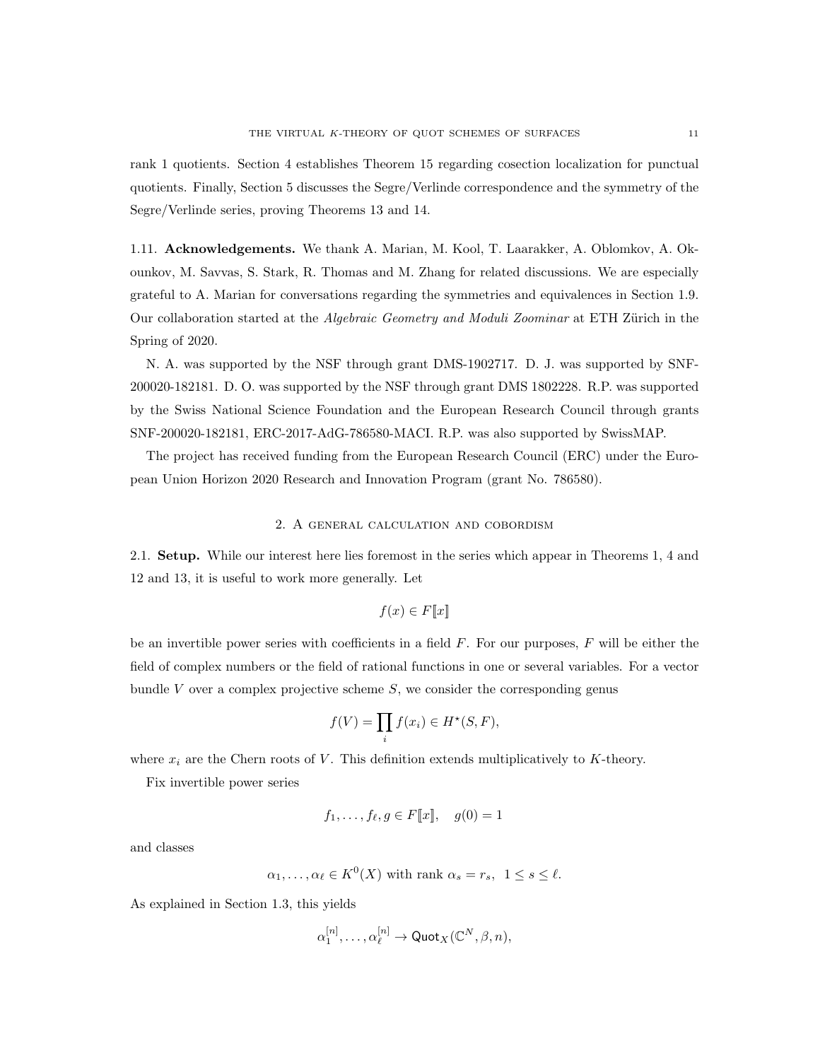rank 1 quotients. Section 4 establishes Theorem 15 regarding cosection localization for punctual quotients. Finally, Section 5 discusses the Segre/Verlinde correspondence and the symmetry of the Segre/Verlinde series, proving Theorems 13 and 14.

1.11. Acknowledgements. We thank A. Marian, M. Kool, T. Laarakker, A. Oblomkov, A. Okounkov, M. Savvas, S. Stark, R. Thomas and M. Zhang for related discussions. We are especially grateful to A. Marian for conversations regarding the symmetries and equivalences in Section 1.9. Our collaboration started at the *Algebraic Geometry and Moduli Zoominar* at ETH Zürich in the Spring of 2020.

N. A. was supported by the NSF through grant DMS-1902717. D. J. was supported by SNF-200020-182181. D. O. was supported by the NSF through grant DMS 1802228. R.P. was supported by the Swiss National Science Foundation and the European Research Council through grants SNF-200020-182181, ERC-2017-AdG-786580-MACI. R.P. was also supported by SwissMAP.

The project has received funding from the European Research Council (ERC) under the European Union Horizon 2020 Research and Innovation Program (grant No. 786580).

## 2. A general calculation and cobordism

2.1. Setup. While our interest here lies foremost in the series which appear in Theorems 1, 4 and 12 and 13, it is useful to work more generally. Let

$$
f(x) \in F[\![x]\!]
$$

be an invertible power series with coefficients in a field  $F$ . For our purposes,  $F$  will be either the field of complex numbers or the field of rational functions in one or several variables. For a vector bundle V over a complex projective scheme  $S$ , we consider the corresponding genus

$$
f(V) = \prod_i f(x_i) \in H^*(S, F),
$$

where  $x_i$  are the Chern roots of V. This definition extends multiplicatively to K-theory.

Fix invertible power series

$$
f_1, \ldots, f_{\ell}, g \in F[\![x]\!], \quad g(0) = 1
$$

and classes

$$
\alpha_1, \ldots, \alpha_\ell \in K^0(X)
$$
 with rank  $\alpha_s = r_s$ ,  $1 \le s \le \ell$ .

As explained in Section 1.3, this yields

$$
\alpha_1^{[n]},\ldots,\alpha_\ell^{[n]} \to \text{Quot}_X(\mathbb{C}^N,\beta,n),
$$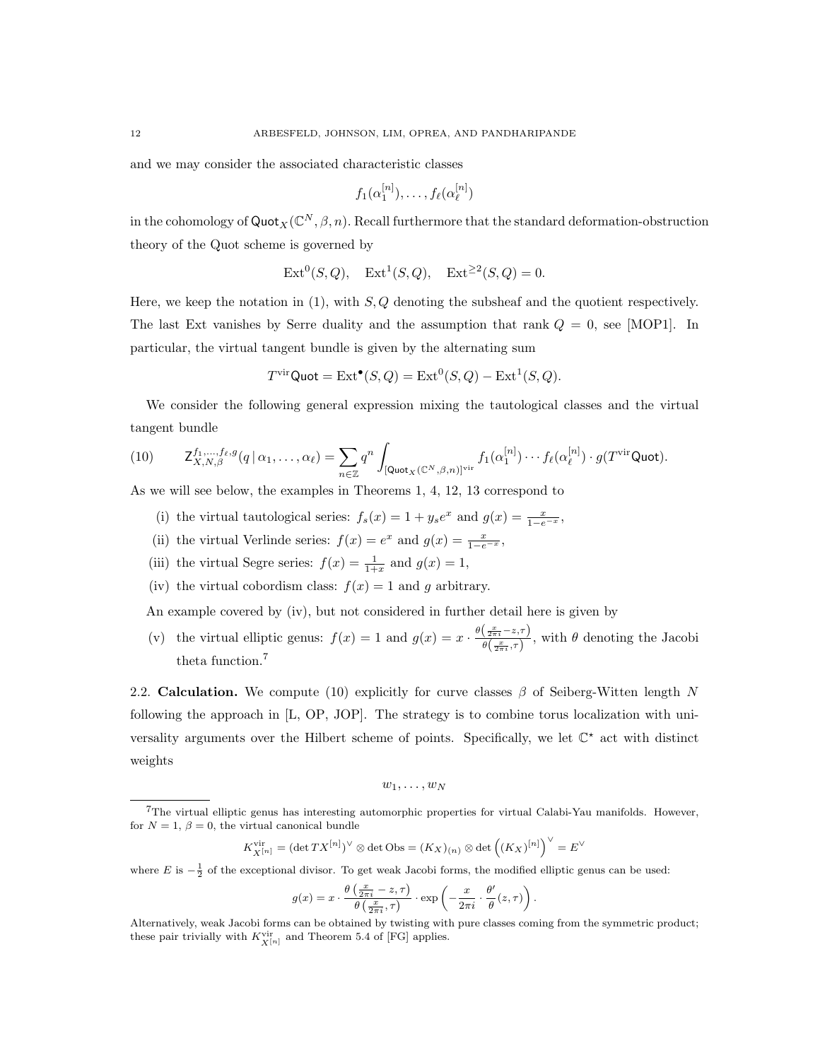and we may consider the associated characteristic classes

$$
f_1(\alpha_1^{[n]}),\ldots,f_\ell(\alpha_\ell^{[n]})
$$

in the cohomology of  $\text{Quot}_X(\mathbb{C}^N, \beta, n)$ . Recall furthermore that the standard deformation-obstruction theory of the Quot scheme is governed by

$$
Ext0(S, Q), Ext1(S, Q), Ext22(S, Q) = 0.
$$

Here, we keep the notation in  $(1)$ , with  $S, Q$  denoting the subsheaf and the quotient respectively. The last Ext vanishes by Serre duality and the assumption that rank  $Q = 0$ , see [MOP1]. In particular, the virtual tangent bundle is given by the alternating sum

$$
T^{\text{vir}}\text{Quot} = \text{Ext}^{\bullet}(S, Q) = \text{Ext}^{0}(S, Q) - \text{Ext}^{1}(S, Q).
$$

We consider the following general expression mixing the tautological classes and the virtual tangent bundle

(10) 
$$
\mathsf{Z}^{f_1,\ldots,f_\ell,g}_{X,N,\beta}(q \mid \alpha_1,\ldots,\alpha_\ell) = \sum_{n \in \mathbb{Z}} q^n \int_{[\mathsf{Quot}_X(\mathbb{C}^N,\beta,n)]^{\mathrm{vir}}} f_1(\alpha_1^{[n]}) \cdots f_\ell(\alpha_\ell^{[n]}) \cdot g(T^{\mathrm{vir}} \mathsf{Quot}).
$$

As we will see below, the examples in Theorems 1, 4, 12, 13 correspond to

- (i) the virtual tautological series:  $f_s(x) = 1 + y_s e^x$  and  $g(x) = \frac{x}{1 e^{-x}}$ ,
- (ii) the virtual Verlinde series:  $f(x) = e^x$  and  $g(x) = \frac{x}{1-e^{-x}}$ ,
- (iii) the virtual Segre series:  $f(x) = \frac{1}{1+x}$  and  $g(x) = 1$ ,
- (iv) the virtual cobordism class:  $f(x) = 1$  and g arbitrary.

An example covered by (iv), but not considered in further detail here is given by

(v) the virtual elliptic genus:  $f(x) = 1$  and  $g(x) = x \cdot \frac{\theta(\frac{x}{2\pi i} - z, \tau)}{\theta(\frac{x}{2\pi i})}$  $\frac{\left( \frac{2\pi i}{2}, \frac{2\pi i}{\sigma} \right)}{\theta\left(\frac{x}{2\pi i}, \tau\right)},$  with  $\theta$  denoting the Jacobi theta function.<sup>7</sup>

2.2. Calculation. We compute (10) explicitly for curve classes  $\beta$  of Seiberg-Witten length N following the approach in [L, OP, JOP]. The strategy is to combine torus localization with universality arguments over the Hilbert scheme of points. Specifically, we let  $\mathbb{C}^*$  act with distinct weights

$$
w_1,\ldots,w_N
$$

$$
K_{X^{[n]}}^{\mathrm{vir}}=(\det TX^{[n]})^{\vee}\otimes \det \mathrm{Obs}=(K_{X})_{(n)}\otimes \det \left((K_{X})^{[n]}\right)^{\vee}=E^{\vee}
$$

where E is  $-\frac{1}{2}$  of the exceptional divisor. To get weak Jacobi forms, the modified elliptic genus can be used:

$$
g(x) = x \cdot \frac{\theta\left(\frac{x}{2\pi i} - z, \tau\right)}{\theta\left(\frac{x}{2\pi i}, \tau\right)} \cdot \exp\left(-\frac{x}{2\pi i} \cdot \frac{\theta'}{\theta}(z, \tau)\right).
$$

<sup>7</sup>The virtual elliptic genus has interesting automorphic properties for virtual Calabi-Yau manifolds. However, for  $N = 1, \beta = 0$ , the virtual canonical bundle

Alternatively, weak Jacobi forms can be obtained by twisting with pure classes coming from the symmetric product; these pair trivially with  $K^{\mathrm{vir}}_{X^{[n]}}$  and Theorem 5.4 of [FG] applies.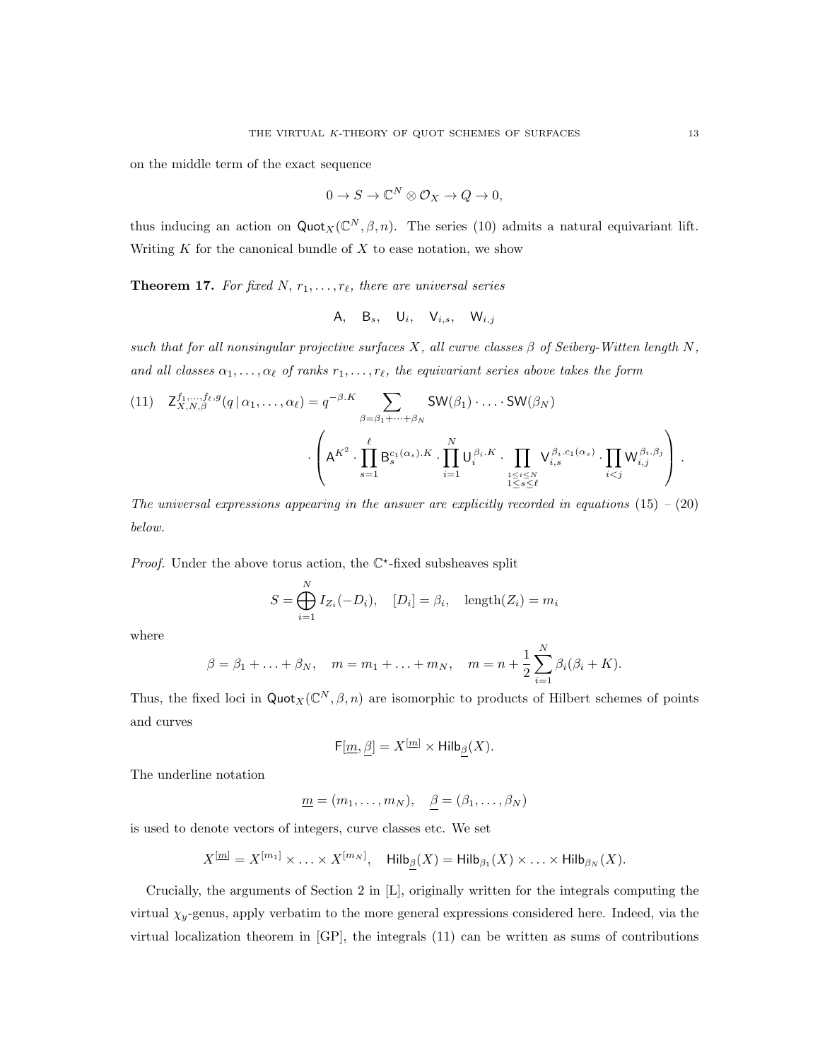on the middle term of the exact sequence

$$
0 \to S \to \mathbb{C}^N \otimes \mathcal{O}_X \to Q \to 0,
$$

thus inducing an action on  $\text{Quot}_X(\mathbb{C}^N, \beta, n)$ . The series (10) admits a natural equivariant lift. Writing  $K$  for the canonical bundle of  $X$  to ease notation, we show

**Theorem 17.** For fixed N,  $r_1, \ldots, r_\ell$ , there are universal series

$$
A, \quad B_s, \quad U_i, \quad V_{i,s}, \quad W_{i,j}
$$

such that for all nonsingular projective surfaces X, all curve classes  $\beta$  of Seiberg-Witten length N, and all classes  $\alpha_1, \ldots, \alpha_\ell$  of ranks  $r_1, \ldots, r_\ell$ , the equivariant series above takes the form

$$
(11) \quad Z_{X,N,\beta}^{f_1,\ldots,f_\ell,g}(q \mid \alpha_1,\ldots,\alpha_\ell) = q^{-\beta.K} \sum_{\beta=\beta_1+\cdots+\beta_N} SW(\beta_1) \cdot \ldots \cdot SW(\beta_N)
$$

$$
\cdot \left(A^{K^2} \cdot \prod_{s=1}^\ell B_s^{c_1(\alpha_s).K} \cdot \prod_{i=1}^N U_i^{\beta_i.K} \cdot \prod_{\substack{1 \le i \le N \\ 1 \le s \le \ell}} V_{i,s}^{\beta_i.c_1(\alpha_s)} \cdot \prod_{i < j} W_{i,j}^{\beta_i.\beta_j} \right).
$$

The universal expressions appearing in the answer are explicitly recorded in equations  $(15) - (20)$ below.

*Proof.* Under the above torus action, the  $\mathbb{C}^*$ -fixed subsheaves split

$$
S = \bigoplus_{i=1}^{N} I_{Z_i}(-D_i), \quad [D_i] = \beta_i, \quad \text{length}(Z_i) = m_i
$$

where

$$
\beta = \beta_1 + \ldots + \beta_N
$$
,  $m = m_1 + \ldots + m_N$ ,  $m = n + \frac{1}{2} \sum_{i=1}^N \beta_i (\beta_i + K)$ .

Thus, the fixed loci in  $\text{Quot}_X(\mathbb{C}^N, \beta, n)$  are isomorphic to products of Hilbert schemes of points and curves

$$
F[\underline{m}, \beta] = X^{[\underline{m}]} \times \text{Hilb}_{\beta}(X).
$$

The underline notation

$$
\underline{m} = (m_1, \ldots, m_N), \quad \underline{\beta} = (\beta_1, \ldots, \beta_N)
$$

is used to denote vectors of integers, curve classes etc. We set

$$
X^{[\underline{m}]} = X^{[m_1]} \times \ldots \times X^{[m_N]}, \quad \text{Hilb}_{\underline{\beta}}(X) = \text{Hilb}_{\beta_1}(X) \times \ldots \times \text{Hilb}_{\beta_N}(X).
$$

Crucially, the arguments of Section 2 in [L], originally written for the integrals computing the virtual  $\chi_y$ -genus, apply verbatim to the more general expressions considered here. Indeed, via the virtual localization theorem in [GP], the integrals (11) can be written as sums of contributions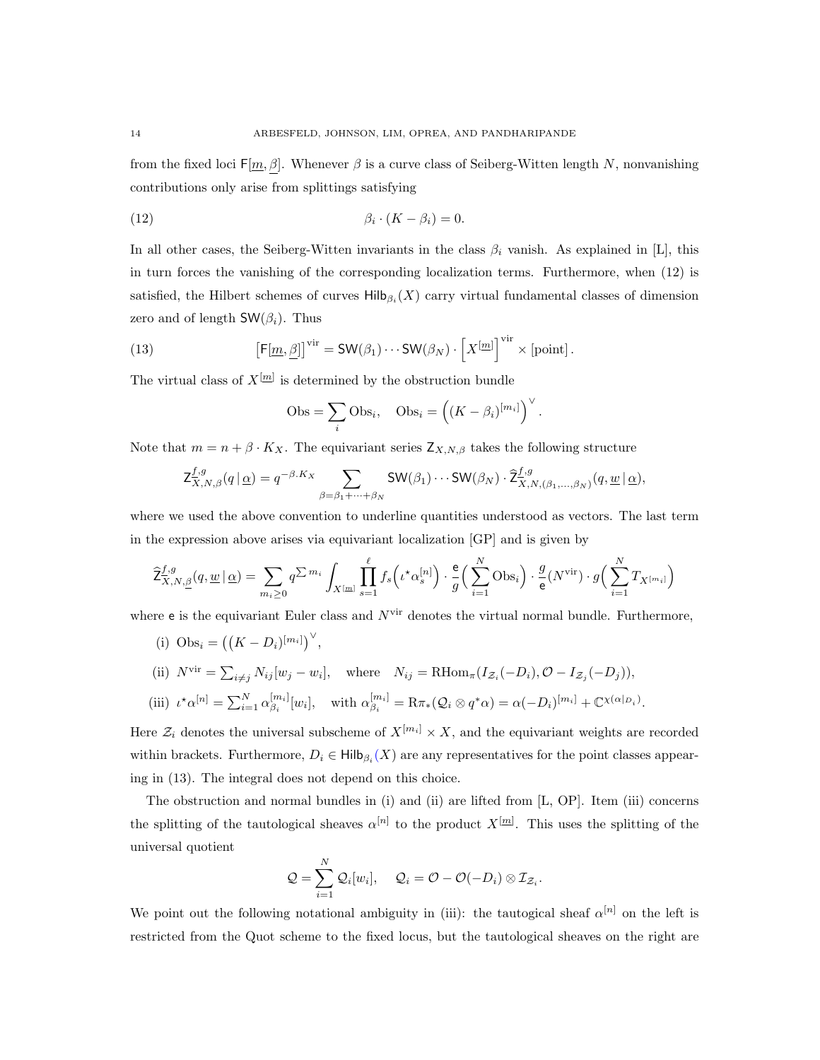from the fixed loci  $F[m,\beta]$ . Whenever  $\beta$  is a curve class of Seiberg-Witten length N, nonvanishing contributions only arise from splittings satisfying

$$
\beta_i \cdot (K - \beta_i) = 0.
$$

In all other cases, the Seiberg-Witten invariants in the class  $\beta_i$  vanish. As explained in [L], this in turn forces the vanishing of the corresponding localization terms. Furthermore, when (12) is satisfied, the Hilbert schemes of curves  $\mathsf{Hilb}_{\beta_i}(X)$  carry virtual fundamental classes of dimension zero and of length  $\mathsf{SW}(\beta_i)$ . Thus

(13) 
$$
\left[\mathsf{F}[\underline{m},\underline{\beta}]\right]^{\text{vir}} = \mathsf{SW}(\beta_1)\cdots\mathsf{SW}(\beta_N)\cdot\left[X^{[\underline{m}]}\right]^{\text{vir}}\times\left[\text{point}\right].
$$

The virtual class of  $X^{[m]}$  is determined by the obstruction bundle

$$
Obs = \sum_{i} Obs_{i}, \quad Obs_{i} = ((K - \beta_{i})^{[m_{i}]}')^{\vee}.
$$

Note that  $m = n + \beta \cdot K_X$ . The equivariant series  $Z_{X,N,\beta}$  takes the following structure

$$
\mathsf{Z}^{f,g}_{X,N,\beta}(q \mid \underline{\alpha}) = q^{-\beta \cdot K_X} \sum_{\beta = \beta_1 + \dots + \beta_N} \mathsf{SW}(\beta_1) \cdots \mathsf{SW}(\beta_N) \cdot \widehat{\mathsf{Z}}^{f,g}_{X,N,(\beta_1,\dots,\beta_N)}(q,\underline{w} \mid \underline{\alpha}),
$$

where we used the above convention to underline quantities understood as vectors. The last term in the expression above arises via equivariant localization [GP] and is given by

$$
\widehat{Z}_{X,N,\underline{\beta}}^{f,g}(q,\underline{w}\,|\,\underline{\alpha}) = \sum_{m_i\geq 0} q^{\sum m_i} \int_{X^{[m]}} \prod_{s=1}^{\ell} f_s\left(\iota^{\star}\alpha_s^{[n]}\right) \cdot \frac{\mathsf{e}}{g}\left(\sum_{i=1}^N \mathrm{Obs}_i\right) \cdot \frac{g}{\mathsf{e}}(N^{\mathrm{vir}}) \cdot g\left(\sum_{i=1}^N T_{X^{[m_i]}}\right)
$$

where  $e$  is the equivariant Euler class and  $N^{\text{vir}}$  denotes the virtual normal bundle. Furthermore,

(i)  $\text{Obs}_i = ((K - D_i)^{[m_i]})^{\vee},$ 

ing in (13). The integral does not depend on this choice.

(ii) 
$$
N^{\text{vir}} = \sum_{i \neq j} N_{ij} [w_j - w_i],
$$
 where  $N_{ij} = \text{RHom}_{\pi}(I_{\mathcal{Z}_i}(-D_i), \mathcal{O} - I_{\mathcal{Z}_j}(-D_j)),$  (iii)  $\iota^{\star} \alpha^{[n]} = \sum_{i=1}^{N} \alpha_{\beta_i}^{[m_i]} [w_i],$  with  $\alpha_{\beta_i}^{[m_i]} = \text{R}\pi_*(\mathcal{Q}_i \otimes q^{\ast} \alpha) = \alpha(-D_i)^{[m_i]} + \mathbb{C}^{\chi(\alpha|_{D_i})}.$ 

Here  $\mathcal{Z}_i$  denotes the universal subscheme of  $X^{[m_i]} \times X$ , and the equivariant weights are recorded within brackets. Furthermore,  $D_i \in \mathsf{Hilb}_{\beta_i}(X)$  are any representatives for the point classes appear-

The obstruction and normal bundles in (i) and (ii) are lifted from [L, OP]. Item (iii) concerns the splitting of the tautological sheaves  $\alpha^{[n]}$  to the product  $X^{[m]}$ . This uses the splitting of the universal quotient

$$
Q = \sum_{i=1}^N \mathcal{Q}_i[w_i], \quad Q_i = \mathcal{O} - \mathcal{O}(-D_i) \otimes \mathcal{I}_{\mathcal{Z}_i}.
$$

We point out the following notational ambiguity in (iii): the tautogical sheaf  $\alpha^{[n]}$  on the left is restricted from the Quot scheme to the fixed locus, but the tautological sheaves on the right are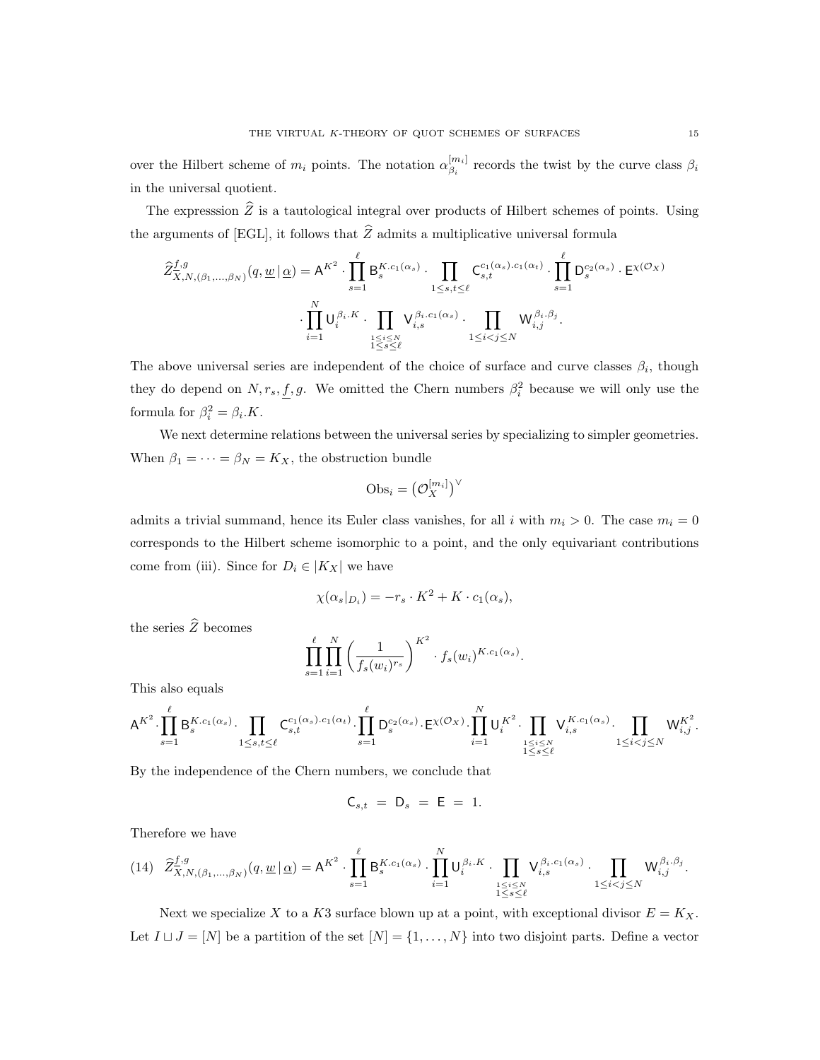over the Hilbert scheme of  $m_i$  points. The notation  $\alpha_{\beta_i}^{[m_i]}$  $\beta_i^{m_{i}}$  records the twist by the curve class  $\beta_i$ in the universal quotient.

The expresssion  $\hat{Z}$  is a tautological integral over products of Hilbert schemes of points. Using the arguments of [EGL], it follows that  $\hat{Z}$  admits a multiplicative universal formula

$$
\hat{Z}_{\overline{X},N,(\beta_1,\ldots,\beta_N)}^{f,g}(q,\underline{w}|\,\underline{\alpha}) = A^{K^2} \cdot \prod_{s=1}^{\ell} B_s^{K.c_1(\alpha_s)} \cdot \prod_{1 \leq s,t \leq \ell} C_{s,t}^{c_1(\alpha_s).c_1(\alpha_t)} \cdot \prod_{s=1}^{\ell} D_s^{c_2(\alpha_s)} \cdot E^{\chi(\mathcal{O}_X)}
$$

$$
\cdot \prod_{i=1}^N U_i^{\beta_i.K} \cdot \prod_{\substack{1 \leq i \leq N \\ 1 \leq s \leq \ell}} V_{i,s}^{\beta_i.c_1(\alpha_s)} \cdot \prod_{1 \leq i < j \leq N} W_{i,j}^{\beta_i.\beta_j}.
$$

The above universal series are independent of the choice of surface and curve classes  $\beta_i$ , though they do depend on  $N, r_s, f, g$ . We omitted the Chern numbers  $\beta_i^2$  because we will only use the formula for  $\beta_i^2 = \beta_i.K$ .

We next determine relations between the universal series by specializing to simpler geometries. When  $\beta_1 = \cdots = \beta_N = K_X$ , the obstruction bundle

$$
\mathrm{Obs}_i = \big(\mathcal{O}_X^{[m_i]}\big)^\vee
$$

admits a trivial summand, hence its Euler class vanishes, for all i with  $m_i > 0$ . The case  $m_i = 0$ corresponds to the Hilbert scheme isomorphic to a point, and the only equivariant contributions come from (iii). Since for  $D_i \in |K_X|$  we have

$$
\chi(\alpha_s|_{D_i}) = -r_s \cdot K^2 + K \cdot c_1(\alpha_s),
$$

the series  $\widehat{Z}$  becomes

$$
\prod_{s=1}^{\ell} \prod_{i=1}^N \left( \frac{1}{f_s(w_i)^{r_s}} \right)^{K^2} \cdot f_s(w_i)^{K.c_1(\alpha_s)}.
$$

This also equals

$$
\mathsf{A}^{K^2}\cdot \prod_{s=1}^\ell \mathsf{B}_s^{K.c_1(\alpha_s)}\cdot \prod_{1\leq s,t\leq \ell} \mathsf{C}_{s,t}^{c_1(\alpha_s)\cdot c_1(\alpha_t)}\cdot \prod_{s=1}^\ell \mathsf{D}_s^{c_2(\alpha_s)}\cdot \mathsf{E}^{\chi(\mathcal{O}_X)}\cdot \prod_{i=1}^N \mathsf{U}_i^{K^2}\cdot \prod_{\substack{1\leq i\leq N\\ 1\leq s\leq \ell}} \mathsf{V}_{i,s}^{K.c_1(\alpha_s)}\cdot \prod_{1\leq i
$$

By the independence of the Chern numbers, we conclude that

$$
C_{s,t} = D_s = E = 1.
$$

Therefore we have

$$
(14) \quad \widehat{Z}_{X,N,(\beta_1,\ldots,\beta_N)}^{f,g}(q,\underline{w}\,|\,\underline{\alpha}) = \mathsf{A}^{K^2} \cdot \prod_{s=1}^\ell \mathsf{B}_s^{K.c_1(\alpha_s)} \cdot \prod_{i=1}^N \mathsf{U}_i^{\beta_i.K} \cdot \prod_{\substack{1 \leq i \leq N \\ 1 \leq s \leq \ell}} \mathsf{V}_{i,s}^{\beta_i.c_1(\alpha_s)} \cdot \prod_{1 \leq i < j \leq N} \mathsf{W}_{i,j}^{\beta_i.\beta_j}.
$$

Next we specialize X to a K3 surface blown up at a point, with exceptional divisor  $E = K_X$ . Let  $I \sqcup J = [N]$  be a partition of the set  $[N] = \{1, \ldots, N\}$  into two disjoint parts. Define a vector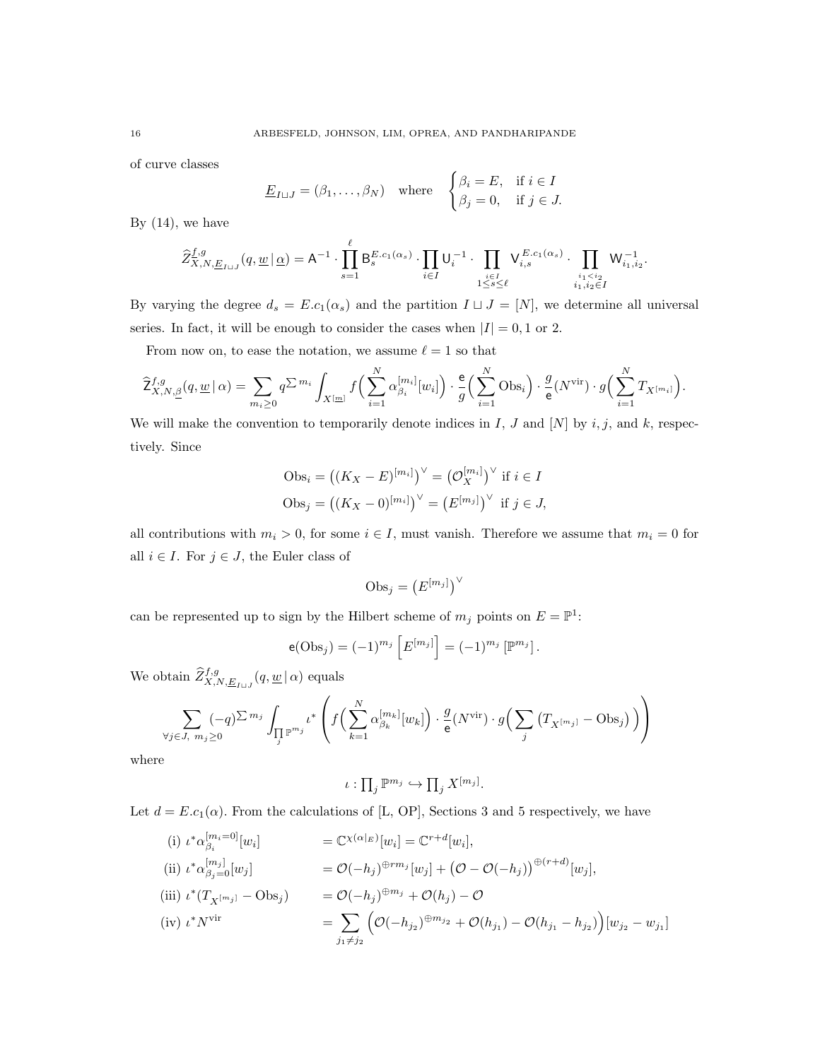of curve classes

$$
\underline{E}_{I \sqcup J} = (\beta_1, \dots, \beta_N) \quad \text{where} \quad \begin{cases} \beta_i = E, & \text{if } i \in I \\ \beta_j = 0, & \text{if } j \in J. \end{cases}
$$

By  $(14)$ , we have

$$
\widehat{Z}^{f,g}_{\overline{X},N,\underline{E}_{I\sqcup J}}(q,\underline{w}\,\vert\,\underline{\alpha})=\mathsf{A}^{-1}\cdot\prod_{s=1}^\ell\mathsf{B}_s^{E.c_1(\alpha_s)}\cdot\prod_{i\in I}\mathsf{U}_i^{-1}\cdot\prod_{\substack{i\in I\\1\leq s\leq \ell}}\mathsf{V}_{i,s}^{E.c_1(\alpha_s)}\cdot\prod_{\substack{i_1
$$

By varying the degree  $d_s = E.c_1(\alpha_s)$  and the partition  $I \sqcup J = [N]$ , we determine all universal series. In fact, it will be enough to consider the cases when  $|I| = 0, 1$  or 2.

From now on, to ease the notation, we assume  $\ell = 1$  so that

$$
\widehat{Z}^{f,g}_{X,N,\underline{\beta}}(q,\underline{w} \,|\, \alpha) = \sum_{m_i \geq 0} q^{\sum m_i} \int_{X^{[\underline{m}]} } f\Big(\sum_{i=1}^N \alpha_{\beta_i}^{[m_i]}[w_i]\Big) \cdot \frac{e}{g}\Big(\sum_{i=1}^N \text{Obs}_i\Big) \cdot \frac{g}{e}(N^{\text{vir}}) \cdot g\Big(\sum_{i=1}^N T_{X^{[m_i]}}\Big).
$$

We will make the convention to temporarily denote indices in I, J and [N] by  $i, j$ , and k, respectively. Since

$$
Obs_i = ((K_X - E)^{[m_i]})^{\vee} = (\mathcal{O}_X^{[m_i]})^{\vee} \text{ if } i \in I
$$
  

$$
Obs_j = ((K_X - 0)^{[m_i]})^{\vee} = (E^{[m_j]})^{\vee} \text{ if } j \in J,
$$

all contributions with  $m_i > 0$ , for some  $i \in I$ , must vanish. Therefore we assume that  $m_i = 0$  for all  $i \in I$ . For  $j \in J$ , the Euler class of

$$
\mathrm{Obs}_j = \left(E^{[m_j]}\right)^{\vee}
$$

can be represented up to sign by the Hilbert scheme of  $m_j$  points on  $E = \mathbb{P}^1$ :

$$
e(\text{Obs}_j) = (-1)^{m_j} \left[ E^{[m_j]} \right] = (-1)^{m_j} \left[ \mathbb{P}^{m_j} \right].
$$

We obtain  $\widehat{Z}_{X,N,\underline{E}_{I\sqcup J}}^{f,g}(q,\underline{w} \,|\, \alpha)$  equals

$$
\sum_{\forall j \in J, m_j \ge 0} (-q)^{\sum m_j} \int_{\prod_j \mathbb{P}^{m_j}} t^* \left( f\left(\sum_{k=1}^N \alpha_{\beta_k}^{[m_k]}[w_k]\right) \cdot \frac{g}{e}(N^{\text{vir}}) \cdot g\left(\sum_j \left(T_{X^{[m_j]}} - \text{Obs}_j\right)\right) \right)
$$

where

$$
\iota: \prod_j \mathbb{P}^{m_j} \hookrightarrow \prod_j X^{[m_j]}.
$$

Let  $d = E.c_1(\alpha)$ . From the calculations of [L, OP], Sections 3 and 5 respectively, we have

(i) 
$$
\iota^* \alpha_{\beta_i}^{[m_i=0]}[w_i]
$$
 =  $\mathbb{C}^{\chi(\alpha|_E)}[w_i] = \mathbb{C}^{r+d}[w_i],$   
\n(ii)  $\iota^* \alpha_{\beta_j=0}^{[m_j]}[w_j]$  =  $\mathcal{O}(-h_j)^{\oplus rm_j}[w_j] + (\mathcal{O} - \mathcal{O}(-h_j))^{\oplus (r+d)}[w_j],$   
\n(iii)  $\iota^*(T_{X^{[m_j]}} - \text{Obs}_j)$  =  $\mathcal{O}(-h_j)^{\oplus m_j} + \mathcal{O}(h_j) - \mathcal{O}$   
\n(iv)  $\iota^* N^{\text{vir}}$  =  $\sum_{j_1 \neq j_2} (\mathcal{O}(-h_{j_2})^{\oplus m_{j_2}} + \mathcal{O}(h_{j_1}) - \mathcal{O}(h_{j_1} - h_{j_2}))[w_{j_2} - w_{j_1}]$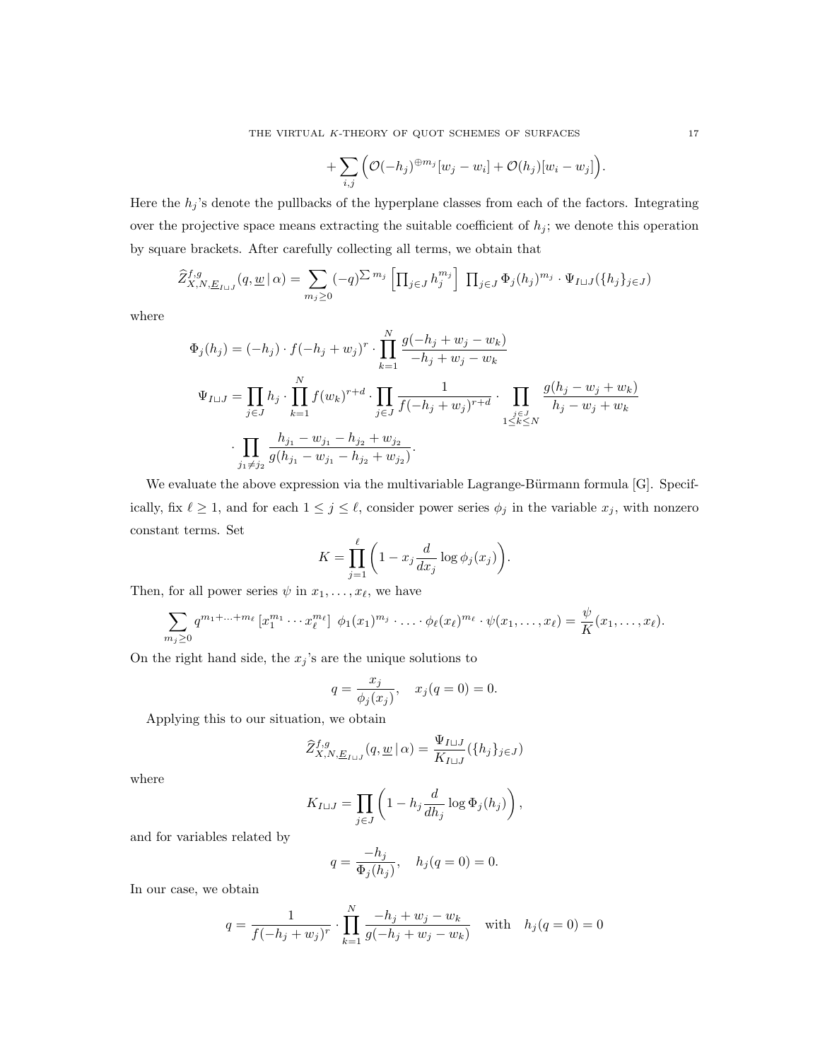$$
+\sum_{i,j}\Big(\mathcal{O}(-h_j)^{\oplus m_j}[w_j-w_i]+\mathcal{O}(h_j)[w_i-w_j]\Big).
$$

Here the  $h_j$ 's denote the pullbacks of the hyperplane classes from each of the factors. Integrating over the projective space means extracting the suitable coefficient of  $h_j$ ; we denote this operation by square brackets. After carefully collecting all terms, we obtain that

$$
\widehat{Z}^{f,g}_{X,N,\underline{E}_{I\sqcup J}}(q,\underline{w}\,|\,\alpha) = \sum_{m_j\geq 0} (-q)^{\sum m_j} \left[ \prod_{j\in J} h_j^{m_j} \right] \prod_{j\in J} \Phi_j(h_j)^{m_j} \cdot \Psi_{I\sqcup J}(\{h_j\}_{j\in J})
$$

where

$$
\Phi_j(h_j) = (-h_j) \cdot f(-h_j + w_j)^r \cdot \prod_{k=1}^N \frac{g(-h_j + w_j - w_k)}{-h_j + w_j - w_k}
$$
\n
$$
\Psi_{I \sqcup J} = \prod_{j \in J} h_j \cdot \prod_{k=1}^N f(w_k)^{r+d} \cdot \prod_{j \in J} \frac{1}{f(-h_j + w_j)^{r+d}} \cdot \prod_{\substack{j \in J \\ 1 \le k \le N}} \frac{g(h_j - w_j + w_k)}{h_j - w_j + w_k}
$$
\n
$$
\cdot \prod_{\substack{j \in J \\ j_1 \ne j_2}} \frac{h_{j_1} - w_{j_1} - h_{j_2} + w_{j_2}}{g(h_{j_1} - w_{j_1} - h_{j_2} + w_{j_2})}.
$$

We evaluate the above expression via the multivariable Lagrange-Bürmann formula [G]. Specifically, fix  $\ell \ge 1$ , and for each  $1 \le j \le \ell$ , consider power series  $\phi_j$  in the variable  $x_j$ , with nonzero constant terms. Set

$$
K = \prod_{j=1}^{\ell} \bigg( 1 - x_j \frac{d}{dx_j} \log \phi_j(x_j) \bigg).
$$

Then, for all power series  $\psi$  in  $x_1, \ldots, x_\ell$ , we have

$$
\sum_{m_j\geq 0} q^{m_1+\ldots+m_\ell} \left[ x_1^{m_1} \cdots x_\ell^{m_\ell} \right] \phi_1(x_1)^{m_j} \cdot \ldots \cdot \phi_\ell(x_\ell)^{m_\ell} \cdot \psi(x_1,\ldots,x_\ell) = \frac{\psi}{K}(x_1,\ldots,x_\ell).
$$

On the right hand side, the  $x_j$ 's are the unique solutions to

$$
q = \frac{x_j}{\phi_j(x_j)}, \quad x_j(q = 0) = 0.
$$

Applying this to our situation, we obtain

$$
\widehat{Z}^{f,g}_{X,N,\underline{E}_{I\sqcup J}}(q,\underline{w}\,|\,\alpha) = \frac{\Psi_{I\sqcup J}}{K_{I\sqcup J}}(\{h_j\}_{j\in J})
$$

where

$$
K_{I \sqcup J} = \prod_{j \in J} \left( 1 - h_j \frac{d}{dh_j} \log \Phi_j(h_j) \right),\,
$$

and for variables related by

$$
q = \frac{-h_j}{\Phi_j(h_j)}, \quad h_j(q = 0) = 0.
$$

In our case, we obtain

$$
q = \frac{1}{f(-h_j + w_j)^r} \cdot \prod_{k=1}^{N} \frac{-h_j + w_j - w_k}{g(-h_j + w_j - w_k)} \quad \text{with} \quad h_j(q = 0) = 0
$$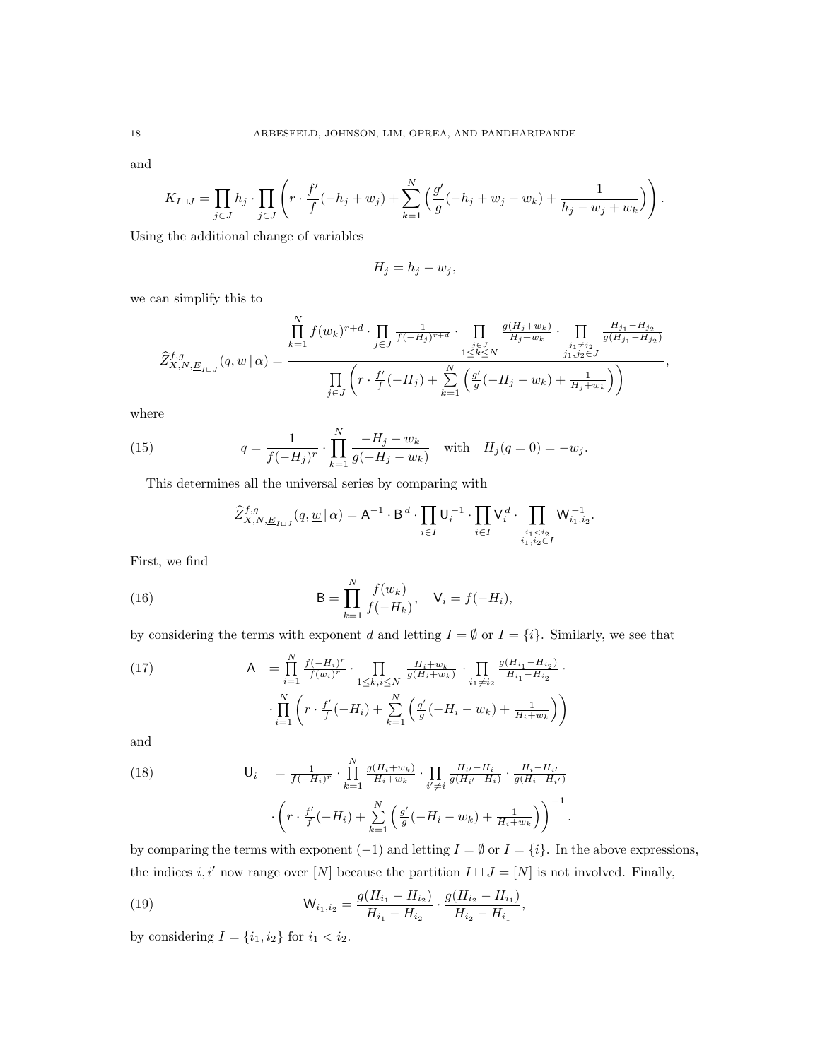and

$$
K_{I \sqcup J} = \prod_{j \in J} h_j \cdot \prod_{j \in J} \left( r \cdot \frac{f'}{f}(-h_j + w_j) + \sum_{k=1}^N \left( \frac{g'}{g}(-h_j + w_j - w_k) + \frac{1}{h_j - w_j + w_k} \right) \right).
$$

Using the additional change of variables

$$
H_j = h_j - w_j,
$$

we can simplify this to

$$
\widehat{Z}_{X,N,E_{I\sqcup J}}^{f,g}(q,\underline{w}|\alpha) = \frac{\prod_{k=1}^{N} f(w_k)^{r+d} \cdot \prod_{\substack{j\in J\\j\in J}} \frac{1}{f(-H_j)^{r+d}} \cdot \prod_{\substack{j\in J\\1\leq k\leq N}} \frac{g(H_j+w_k)}{H_j+w_k} \cdot \prod_{\substack{j_1\neq j_2\\j_1,j_2\in J}} \frac{H_{j_1}-H_{j_2}}{g(H_{j_1}-H_{j_2})},
$$

where

(15) 
$$
q = \frac{1}{f(-H_j)^r} \cdot \prod_{k=1}^N \frac{-H_j - w_k}{g(-H_j - w_k)} \quad \text{with} \quad H_j(q=0) = -w_j.
$$

This determines all the universal series by comparing with

$$
\widehat{Z}^{f,g}_{X,N,\underline{E}_{I\sqcup J}}(q,\underline{w}\,|\,\alpha)=\mathsf{A}^{-1}\cdot\mathsf{B}^{\,d}\cdot\prod_{i\in I}\mathsf{U}_i^{-1}\cdot\prod_{i\in I}\mathsf{V}_i^{\,d}\cdot\prod_{\substack{i_1
$$

First, we find

(16) 
$$
B = \prod_{k=1}^{N} \frac{f(w_k)}{f(-H_k)}, \quad V_i = f(-H_i),
$$

by considering the terms with exponent d and letting  $I = \emptyset$  or  $I = \{i\}$ . Similarly, we see that

(17) 
$$
A = \prod_{i=1}^{N} \frac{f(-H_i)^r}{f(w_i)^r} \cdot \prod_{1 \leq k, i \leq N} \frac{H_i + w_k}{g(H_i + w_k)} \cdot \prod_{i_1 \neq i_2} \frac{g(H_{i_1} - H_{i_2})}{H_{i_1} - H_{i_2}} \cdot \prod_{i=1}^{N} \left( r \cdot \frac{f'}{f}(-H_i) + \sum_{k=1}^{N} \left( \frac{g'}{g}(-H_i - w_k) + \frac{1}{H_i + w_k} \right) \right)
$$

and

(18) 
$$
\mathsf{U}_{i} = \frac{1}{f(-H_{i})^{r}} \cdot \prod_{k=1}^{N} \frac{g(H_{i} + w_{k})}{H_{i} + w_{k}} \cdot \prod_{i' \neq i} \frac{H_{i'} - H_{i}}{g(H_{i'} - H_{i})} \cdot \frac{H_{i} - H_{i'}}{g(H_{i} - H_{i'})} \cdot \left(\mathsf{r} \cdot \frac{f'}{f}(-H_{i}) + \sum_{k=1}^{N} \left(\frac{g'}{g}(-H_{i} - w_{k}) + \frac{1}{H_{i} + w_{k}}\right)\right)^{-1}
$$

by comparing the terms with exponent  $(-1)$  and letting  $I = \emptyset$  or  $I = \{i\}$ . In the above expressions, the indices  $i, i'$  now range over [N] because the partition  $I \sqcup J = [N]$  is not involved. Finally,

.

(19) 
$$
\mathsf{W}_{i_1,i_2} = \frac{g(H_{i_1} - H_{i_2})}{H_{i_1} - H_{i_2}} \cdot \frac{g(H_{i_2} - H_{i_1})}{H_{i_2} - H_{i_1}},
$$

by considering  $I = \{i_1, i_2\}$  for  $i_1 < i_2$ .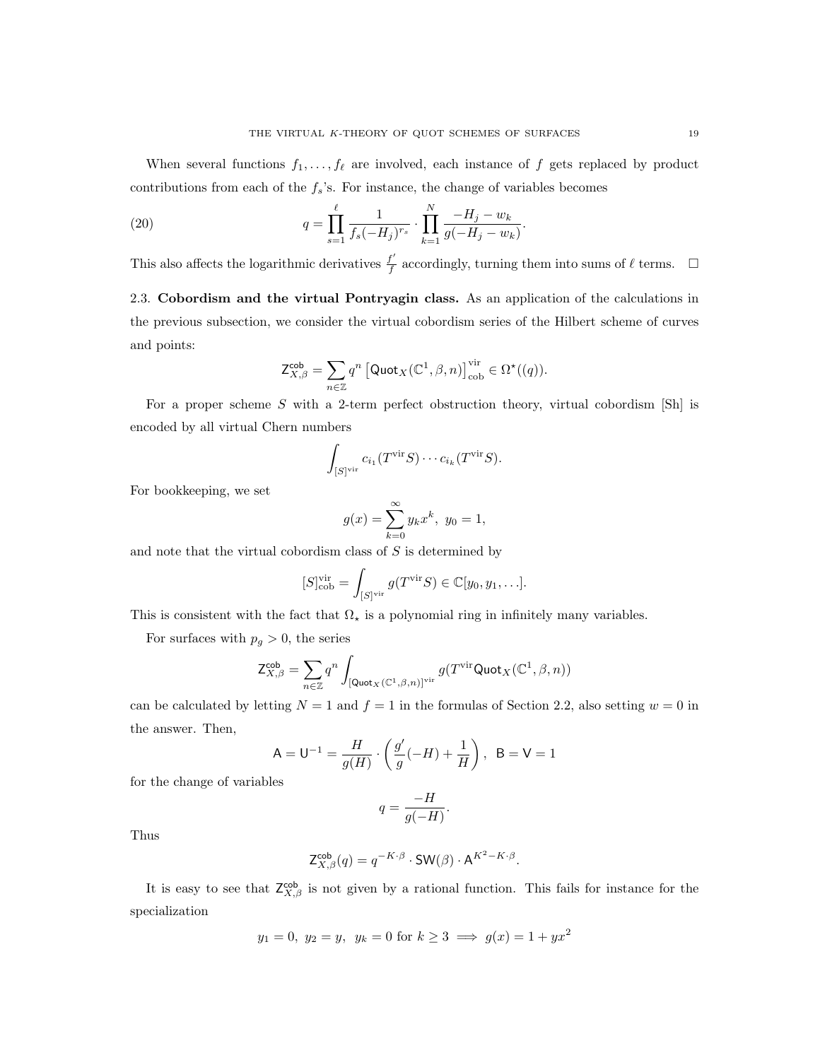When several functions  $f_1, \ldots, f_\ell$  are involved, each instance of f gets replaced by product contributions from each of the  $f_s$ 's. For instance, the change of variables becomes

(20) 
$$
q = \prod_{s=1}^{\ell} \frac{1}{f_s(-H_j)^{r_s}} \cdot \prod_{k=1}^{N} \frac{-H_j - w_k}{g(-H_j - w_k)}.
$$

This also affects the logarithmic derivatives  $\frac{f'}{f}$  $\frac{f'}{f}$  accordingly, turning them into sums of  $\ell$  terms.  $\Box$ 

2.3. Cobordism and the virtual Pontryagin class. As an application of the calculations in the previous subsection, we consider the virtual cobordism series of the Hilbert scheme of curves and points:

$$
\mathsf{Z}^{\mathsf{cob}}_{X,\beta} = \sum_{n \in \mathbb{Z}} q^n \left[ \mathsf{Quot}_X(\mathbb{C}^1,\beta,n) \right]^{\text{vir}}_{\text{cob}} \in \Omega^\star((q)).
$$

For a proper scheme  $S$  with a 2-term perfect obstruction theory, virtual cobordism [Sh] is encoded by all virtual Chern numbers

$$
\int_{[S]^{\text{vir}}} c_{i_1}(T^{\text{vir}}S) \cdots c_{i_k}(T^{\text{vir}}S).
$$

For bookkeeping, we set

$$
g(x) = \sum_{k=0}^{\infty} y_k x^k, \ y_0 = 1,
$$

and note that the virtual cobordism class of  $S$  is determined by

$$
[S]_{\text{cob}}^{\text{vir}} = \int_{[S]^{\text{vir}}} g(T^{\text{vir}}S) \in \mathbb{C}[y_0, y_1, \ldots].
$$

This is consistent with the fact that  $\Omega_{\star}$  is a polynomial ring in infinitely many variables.

For surfaces with  $p_g > 0$ , the series

$$
\mathsf{Z}^{\mathsf{cob}}_{X,\beta} = \sum_{n \in \mathbb{Z}} q^n \int_{[\mathsf{Quot}_X(\mathbb{C}^1,\beta,n)]^{\mathrm{vir}}} g(T^{\mathrm{vir}}\mathsf{Quot}_X(\mathbb{C}^1,\beta,n))
$$

can be calculated by letting  $N = 1$  and  $f = 1$  in the formulas of Section 2.2, also setting  $w = 0$  in the answer. Then,

$$
A = U^{-1} = \frac{H}{g(H)} \cdot \left(\frac{g'}{g}(-H) + \frac{1}{H}\right), B = V = 1
$$

for the change of variables

$$
q=\frac{-H}{g(-H)}.
$$

Thus

$$
\mathsf{Z}^{\mathsf{cob}}_{X,\beta}(q) = q^{-K \cdot \beta} \cdot \mathsf{SW}(\beta) \cdot \mathsf{A}^{K^2 - K \cdot \beta}.
$$

It is easy to see that  $\mathsf{Z}_{X,\beta}^{\mathsf{cob}}$  is not given by a rational function. This fails for instance for the specialization

$$
y_1 = 0
$$
,  $y_2 = y$ ,  $y_k = 0$  for  $k \ge 3 \implies g(x) = 1 + yx^2$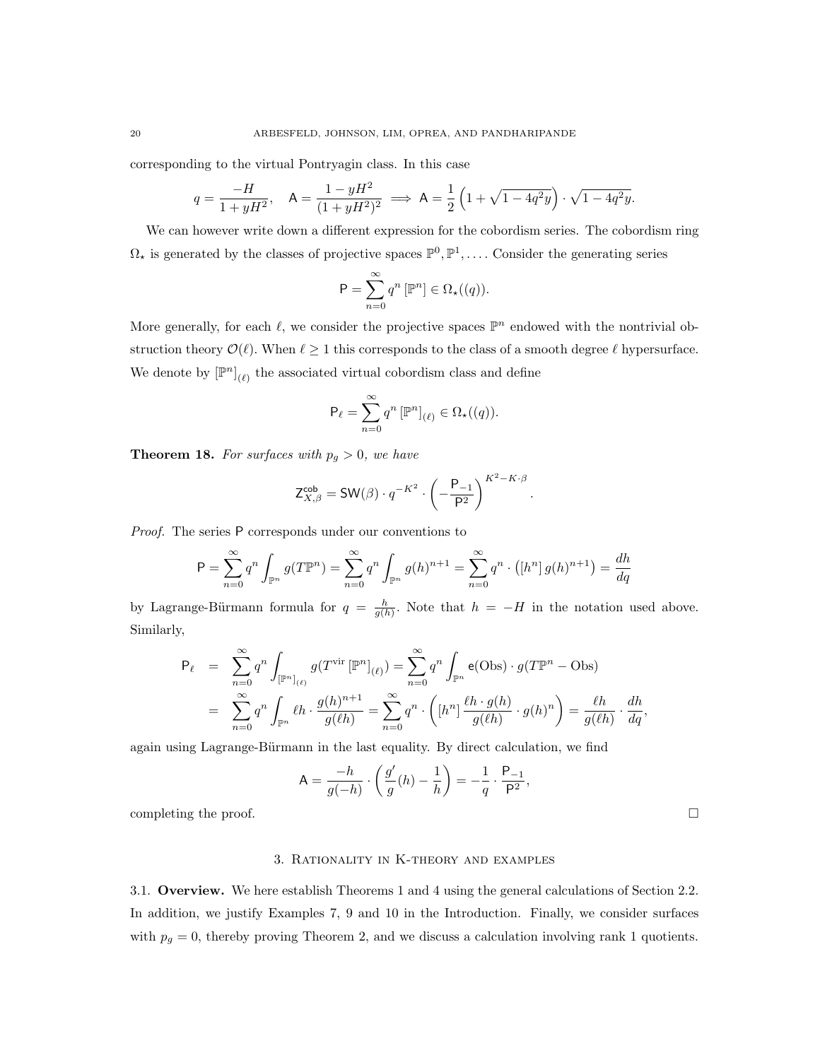corresponding to the virtual Pontryagin class. In this case

$$
q = \frac{-H}{1 + yH^2}, \quad \mathsf{A} = \frac{1 - yH^2}{(1 + yH^2)^2} \implies \mathsf{A} = \frac{1}{2} \left( 1 + \sqrt{1 - 4q^2y} \right) \cdot \sqrt{1 - 4q^2y}.
$$

We can however write down a different expression for the cobordism series. The cobordism ring  $\Omega_{\star}$  is generated by the classes of projective spaces  $\mathbb{P}^0, \mathbb{P}^1, \ldots$ . Consider the generating series

$$
\mathsf{P} = \sum_{n=0}^{\infty} q^n \left[ \mathbb{P}^n \right] \in \Omega_{\star}((q)).
$$

More generally, for each  $\ell$ , we consider the projective spaces  $\mathbb{P}^n$  endowed with the nontrivial obstruction theory  $\mathcal{O}(\ell)$ . When  $\ell \geq 1$  this corresponds to the class of a smooth degree  $\ell$  hypersurface. We denote by  $\left[\mathbb{P}^{n}\right]_{(\ell)}$  the associated virtual cobordism class and define

$$
\mathsf{P}_{\ell} = \sum_{n=0}^{\infty} q^n \left[ \mathbb{P}^n \right]_{(\ell)} \in \Omega_{\star}((q)).
$$

**Theorem 18.** For surfaces with  $p_g > 0$ , we have

$$
\mathsf{Z}_{X,\beta}^{\mathsf{cob}} = \mathsf{SW}(\beta) \cdot q^{-K^2} \cdot \left( -\frac{\mathsf{P}_{-1}}{\mathsf{P}^2} \right)^{K^2 - K \cdot \beta}
$$

.

Proof. The series P corresponds under our conventions to

$$
P = \sum_{n=0}^{\infty} q^n \int_{\mathbb{P}^n} g(T\mathbb{P}^n) = \sum_{n=0}^{\infty} q^n \int_{\mathbb{P}^n} g(h)^{n+1} = \sum_{n=0}^{\infty} q^n \cdot ([h^n] g(h)^{n+1}) = \frac{dh}{dq}
$$

by Lagrange-Bürmann formula for  $q = \frac{h}{g(h)}$ . Note that  $h = -H$  in the notation used above. Similarly,

$$
\mathsf{P}_{\ell} = \sum_{n=0}^{\infty} q^n \int_{\left[\mathbb{P}^n\right]_{(\ell)}} g(T^{\text{vir}}\left[\mathbb{P}^n\right]_{(\ell)}) = \sum_{n=0}^{\infty} q^n \int_{\mathbb{P}^n} \mathsf{e}(\text{Obs}) \cdot g(T\mathbb{P}^n - \text{Obs})
$$

$$
= \sum_{n=0}^{\infty} q^n \int_{\mathbb{P}^n} \ell h \cdot \frac{g(h)^{n+1}}{g(\ell h)} = \sum_{n=0}^{\infty} q^n \cdot \left( \left[h^n\right] \frac{\ell h \cdot g(h)}{g(\ell h)} \cdot g(h)^n \right) = \frac{\ell h}{g(\ell h)} \cdot \frac{dh}{dq},
$$

again using Lagrange-Bürmann in the last equality. By direct calculation, we find

$$
\mathsf{A} = \frac{-h}{g(-h)} \cdot \left(\frac{g'}{g}(h) - \frac{1}{h}\right) = -\frac{1}{q} \cdot \frac{\mathsf{P}_{-1}}{\mathsf{P}^2},
$$

completing the proof.  $\Box$ 

## 3. Rationality in K-theory and examples

3.1. Overview. We here establish Theorems 1 and 4 using the general calculations of Section 2.2. In addition, we justify Examples 7, 9 and 10 in the Introduction. Finally, we consider surfaces with  $p_g = 0$ , thereby proving Theorem 2, and we discuss a calculation involving rank 1 quotients.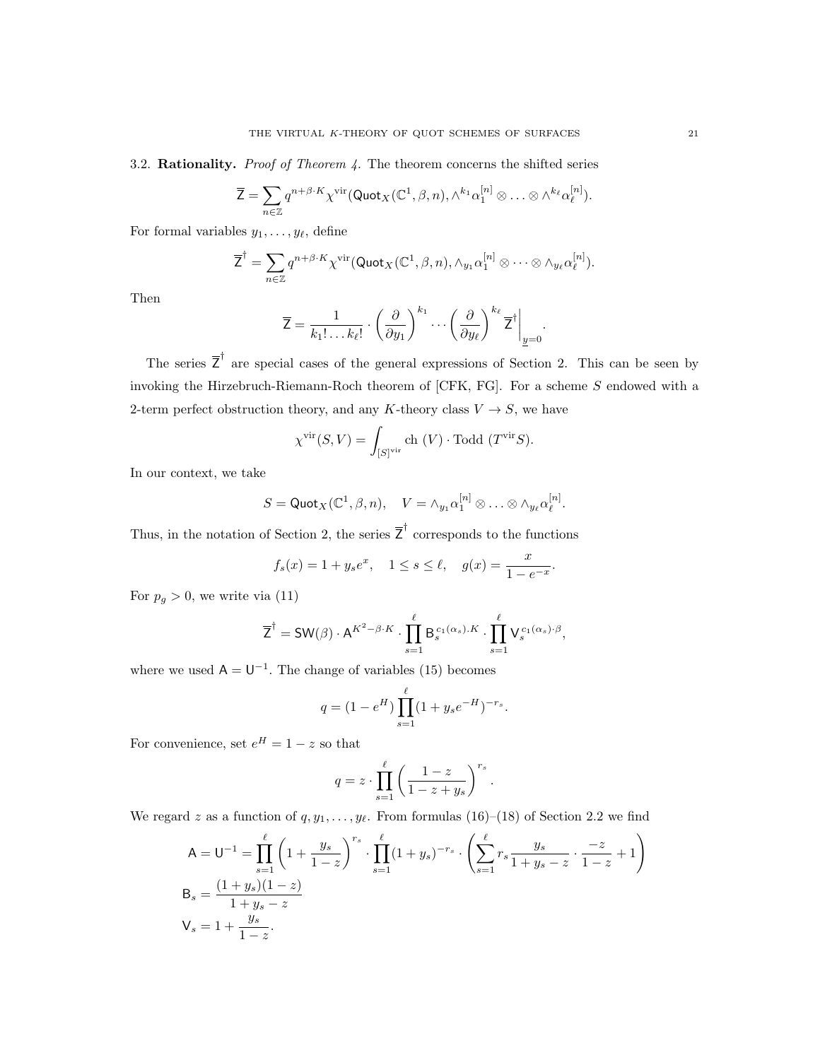3.2. Rationality. *Proof of Theorem 4*. The theorem concerns the shifted series

$$
\overline{Z} = \sum_{n \in \mathbb{Z}} q^{n+\beta \cdot K} \chi^{\text{vir}}(\text{Quot}_X(\mathbb{C}^1, \beta, n), \wedge^{k_1} \alpha_1^{[n]} \otimes \ldots \otimes \wedge^{k_\ell} \alpha_\ell^{[n]}).
$$

For formal variables  $y_1, \ldots, y_\ell$ , define

$$
\overline{Z}^{\dagger} = \sum_{n \in \mathbb{Z}} q^{n+\beta \cdot K} \chi^{\text{vir}}(\text{Quot}_X(\mathbb{C}^1, \beta, n), \wedge_{y_1} \alpha_1^{[n]} \otimes \cdots \otimes \wedge_{y_\ell} \alpha_\ell^{[n]}).
$$

Then

$$
\overline{\mathsf{Z}} = \frac{1}{k_1! \dots k_\ell!} \cdot \left(\frac{\partial}{\partial y_1}\right)^{k_1} \cdots \left(\frac{\partial}{\partial y_\ell}\right)^{k_\ell} \overline{\mathsf{Z}}^\dagger \bigg|_{\underline{y}=0}.
$$

The series  $\overline{Z}^{\dagger}$  are special cases of the general expressions of Section 2. This can be seen by invoking the Hirzebruch-Riemann-Roch theorem of [CFK, FG]. For a scheme S endowed with a 2-term perfect obstruction theory, and any K-theory class  $V \to S$ , we have

$$
\chi^{\text{vir}}(S, V) = \int_{[S]^{\text{vir}}} \text{ch}(V) \cdot \text{Todd}(T^{\text{vir}}S).
$$

In our context, we take

$$
S = \text{Quot}_X(\mathbb{C}^1, \beta, n), \quad V = \wedge_{y_1} \alpha_1^{[n]} \otimes \ldots \otimes \wedge_{y_\ell} \alpha_\ell^{[n]}.
$$

Thus, in the notation of Section 2, the series  $\overline{Z}^{\dagger}$  corresponds to the functions

$$
f_s(x) = 1 + y_s e^x
$$
,  $1 \le s \le \ell$ ,  $g(x) = \frac{x}{1 - e^{-x}}$ .

For  $p_q > 0$ , we write via (11)

$$
\overline{Z}^{\dagger} = \mathsf{SW}(\beta) \cdot \mathsf{A}^{K^2 - \beta \cdot K} \cdot \prod_{s=1}^{\ell} \mathsf{B}_s^{c_1(\alpha_s) \cdot K} \cdot \prod_{s=1}^{\ell} \mathsf{V}_s^{c_1(\alpha_s) \cdot \beta},
$$

where we used  $A = U^{-1}$ . The change of variables (15) becomes

$$
q = (1 - e^{H}) \prod_{s=1}^{\ell} (1 + y_s e^{-H})^{-r_s}.
$$

For convenience, set  $e^H = 1 - z$  so that

$$
q = z \cdot \prod_{s=1}^{\ell} \left( \frac{1-z}{1-z+y_s} \right)^{r_s}.
$$

We regard z as a function of  $q, y_1, \ldots, y_\ell$ . From formulas (16)–(18) of Section 2.2 we find

$$
A = U^{-1} = \prod_{s=1}^{\ell} \left( 1 + \frac{y_s}{1 - z} \right)^{r_s} \cdot \prod_{s=1}^{\ell} (1 + y_s)^{-r_s} \cdot \left( \sum_{s=1}^{\ell} r_s \frac{y_s}{1 + y_s - z} \cdot \frac{-z}{1 - z} + 1 \right)
$$
  
\n
$$
B_s = \frac{(1 + y_s)(1 - z)}{1 + y_s - z}
$$
  
\n
$$
V_s = 1 + \frac{y_s}{1 - z}.
$$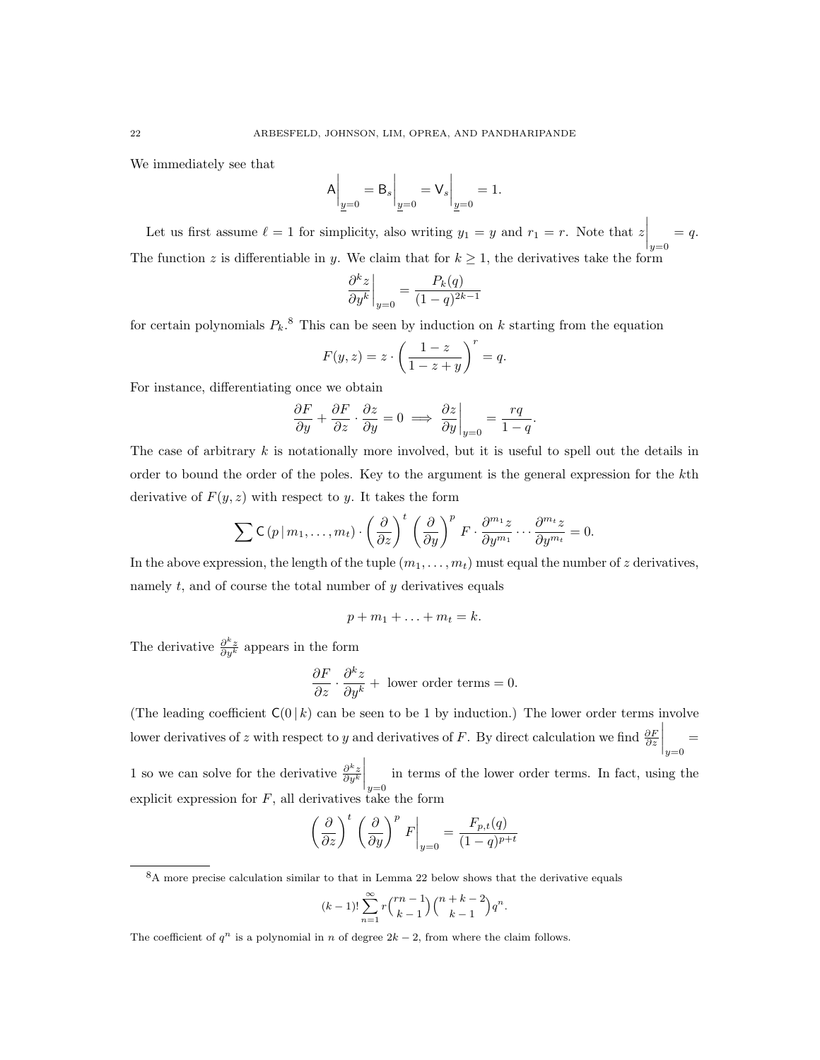We immediately see that

$$
A\bigg|_{\underline{y}=0} = B_s\bigg|_{\underline{y}=0} = V_s\bigg|_{\underline{y}=0} = 1.
$$

Let us first assume  $\ell = 1$  for simplicity, also writing  $y_1 = y$  and  $r_1 = r$ . Note that  $z\Big|_{y=0}$  $= q.$ The function z is differentiable in y. We claim that for  $k \geq 1$ , the derivatives take the form

$$
\left. \frac{\partial^k z}{\partial y^k} \right|_{y=0} = \frac{P_k(q)}{(1-q)^{2k-1}}
$$

for certain polynomials  $P_k$ .<sup>8</sup> This can be seen by induction on k starting from the equation

$$
F(y, z) = z \cdot \left(\frac{1-z}{1-z+y}\right)^r = q.
$$

For instance, differentiating once we obtain

$$
\frac{\partial F}{\partial y} + \frac{\partial F}{\partial z} \cdot \frac{\partial z}{\partial y} = 0 \implies \frac{\partial z}{\partial y}\Big|_{y=0} = \frac{rq}{1-q}.
$$

The case of arbitrary  $k$  is notationally more involved, but it is useful to spell out the details in order to bound the order of the poles. Key to the argument is the general expression for the kth derivative of  $F(y, z)$  with respect to y. It takes the form

$$
\sum \mathsf{C}\left(p \,|\, m_1,\ldots,m_t\right)\cdot \left(\frac{\partial}{\partial z}\right)^t \left(\frac{\partial}{\partial y}\right)^p F \cdot \frac{\partial^{m_1} z}{\partial y^{m_1}} \cdots \frac{\partial^{m_t} z}{\partial y^{m_t}} = 0.
$$

In the above expression, the length of the tuple  $(m_1, \ldots, m_t)$  must equal the number of z derivatives, namely t, and of course the total number of  $y$  derivatives equals

$$
p+m_1+\ldots+m_t=k.
$$

The derivative  $\frac{\partial^k z}{\partial y^k}$  appears in the form

$$
\frac{\partial F}{\partial z} \cdot \frac{\partial^k z}{\partial y^k} + \text{ lower order terms} = 0.
$$

(The leading coefficient  $C(0 | k)$  can be seen to be 1 by induction.) The lower order terms involve lower derivatives of z with respect to y and derivatives of F. By direct calculation we find  $\frac{\partial F}{\partial z}$  $\Big|_{y=0}$ =

1 so we can solve for the derivative  $\frac{\partial^k z}{\partial y^k}$  $\Big|_{y=0}$ in terms of the lower order terms. In fact, using the explicit expression for  $F$ , all derivatives take the form

$$
\left(\frac{\partial}{\partial z}\right)^t \left(\frac{\partial}{\partial y}\right)^p F\Big|_{y=0} = \frac{F_{p,t}(q)}{(1-q)^{p+t}}
$$

$$
(k-1)!\sum_{n=1}^{\infty}r\binom{rn-1}{k-1}\binom{n+k-2}{k-1}q^n.
$$

<sup>&</sup>lt;sup>8</sup>A more precise calculation similar to that in Lemma 22 below shows that the derivative equals

The coefficient of  $q^n$  is a polynomial in n of degree  $2k - 2$ , from where the claim follows.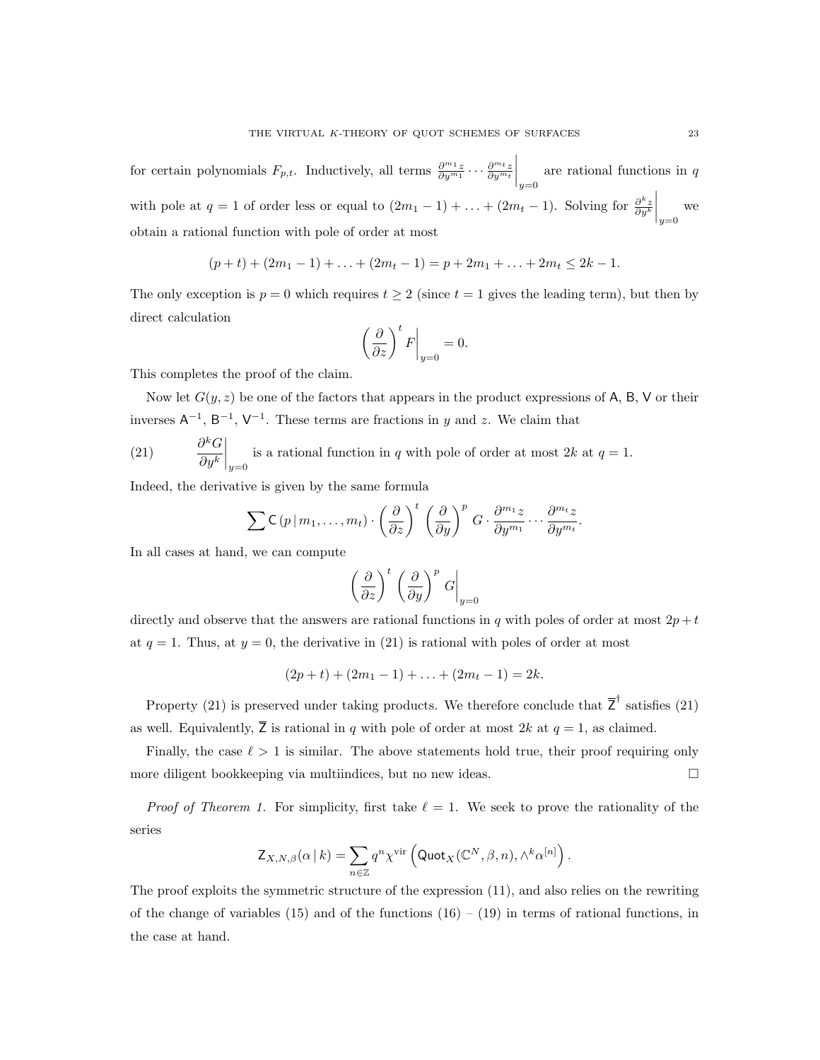for certain polynomials  $F_{p,t}$ . Inductively, all terms  $\frac{\partial^{m_1} z}{\partial y^{m_1}} \cdots \frac{\partial^{m_t} z}{\partial y^{m_t}}$  $\Big|_{y=0}$ are rational functions in q with pole at  $q = 1$  of order less or equal to  $(2m_1 - 1) + \ldots + (2m_t - 1)$ . Solving for  $\frac{\partial^k z}{\partial y^k}$  $\Big|_{y=0}$ we obtain a rational function with pole of order at most

$$
(p + t) + (2m_1 - 1) + \ldots + (2m_t - 1) = p + 2m_1 + \ldots + 2m_t \le 2k - 1.
$$

The only exception is  $p = 0$  which requires  $t \geq 2$  (since  $t = 1$  gives the leading term), but then by direct calculation

$$
\left(\frac{\partial}{\partial z}\right)^t F\Big|_{y=0} = 0.
$$

This completes the proof of the claim.

Now let  $G(y, z)$  be one of the factors that appears in the product expressions of A, B, V or their inverses  $A^{-1}$ ,  $B^{-1}$ ,  $V^{-1}$ . These terms are fractions in y and z. We claim that

 $(21)$  $\ ^{k}G$  $\partial y^k$  $\Big|_{y=0}$ is a rational function in q with pole of order at most  $2k$  at  $q = 1$ .

Indeed, the derivative is given by the same formula

$$
\sum \mathsf{C}\left(p \,|\, m_1,\ldots,m_t\right) \cdot \left(\frac{\partial}{\partial z}\right)^t \left(\frac{\partial}{\partial y}\right)^p G \cdot \frac{\partial^{m_1} z}{\partial y^{m_1}} \cdots \frac{\partial^{m_t} z}{\partial y^{m_t}}.
$$

In all cases at hand, we can compute

$$
\left(\frac{\partial}{\partial z}\right)^t \left(\frac{\partial}{\partial y}\right)^p G\Big|_{y=0}
$$

directly and observe that the answers are rational functions in  $q$  with poles of order at most  $2p + t$ at  $q = 1$ . Thus, at  $y = 0$ , the derivative in (21) is rational with poles of order at most

$$
(2p + t) + (2m_1 - 1) + \ldots + (2m_t - 1) = 2k.
$$

Property (21) is preserved under taking products. We therefore conclude that  $\overline{Z}^{\dagger}$  satisfies (21) as well. Equivalently,  $\overline{Z}$  is rational in q with pole of order at most 2k at  $q = 1$ , as claimed.

Finally, the case  $\ell > 1$  is similar. The above statements hold true, their proof requiring only more diligent bookkeeping via multiindices, but no new ideas.

*Proof of Theorem 1.* For simplicity, first take  $\ell = 1$ . We seek to prove the rationality of the series

$$
\mathsf{Z}_{X,N,\beta}(\alpha \,|\, k) = \sum_{n \in \mathbb{Z}} q^n \chi^{\text{vir}} \left( \mathsf{Quot}_X(\mathbb{C}^N, \beta, n), \wedge^k \alpha^{[n]} \right).
$$

The proof exploits the symmetric structure of the expression (11), and also relies on the rewriting of the change of variables (15) and of the functions  $(16) - (19)$  in terms of rational functions, in the case at hand.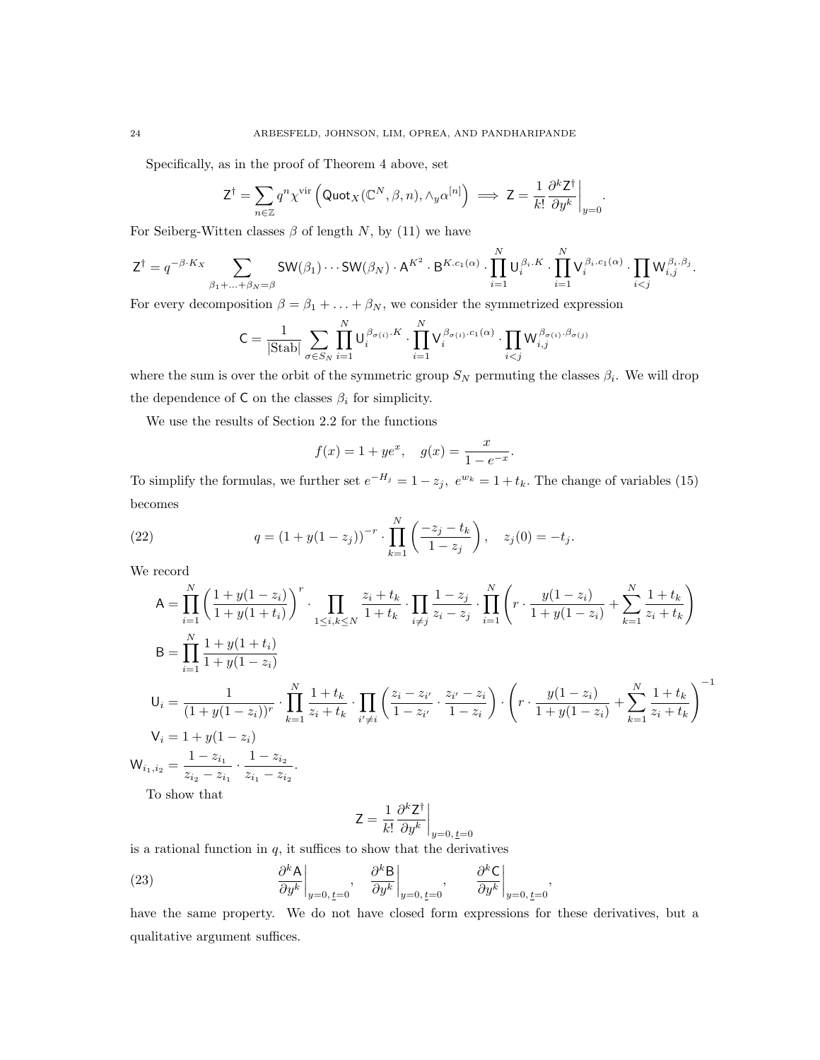Specifically, as in the proof of Theorem 4 above, set

$$
\mathsf{Z}^{\dagger} = \sum_{n \in \mathbb{Z}} q^n \chi^{\text{vir}} \left( \mathsf{Quot}_{X}(\mathbb{C}^N, \beta, n), \wedge_{y} \alpha^{[n]} \right) \implies \mathsf{Z} = \frac{1}{k!} \frac{\partial^{k} \mathsf{Z}^{\dagger}}{\partial y^{k}} \bigg|_{y=0}
$$

.

For Seiberg-Witten classes  $\beta$  of length N, by (11) we have

$$
\mathsf{Z}^{\dagger} = q^{-\beta \cdot K_X} \sum_{\beta_1 + ... + \beta_N = \beta} \mathsf{SW}(\beta_1) \cdots \mathsf{SW}(\beta_N) \cdot \mathsf{A}^{K^2} \cdot \mathsf{B}^{K.c_1(\alpha)} \cdot \prod_{i=1}^N \mathsf{U}_i^{\beta_i \cdot K} \cdot \prod_{i=1}^N \mathsf{V}_i^{\beta_i \cdot c_1(\alpha)} \cdot \prod_{i < j} \mathsf{W}_{i,j}^{\beta_i \cdot \beta_j}.
$$

For every decomposition  $\beta = \beta_1 + \ldots + \beta_N$ , we consider the symmetrized expression

$$
\mathsf{C} = \frac{1}{|\text{Stab}|} \sum_{\sigma \in S_N} \prod_{i=1}^N \mathsf{U}_i^{\beta_{\sigma(i)}.K} \cdot \prod_{i=1}^N \mathsf{V}_i^{\beta_{\sigma(i)}.c_1(\alpha)} \cdot \prod_{i < j} \mathsf{W}_{i,j}^{\beta_{\sigma(i)}. \beta_{\sigma(j)}}
$$

where the sum is over the orbit of the symmetric group  $S_N$  permuting the classes  $\beta_i$ . We will drop the dependence of C on the classes  $\beta_i$  for simplicity.

We use the results of Section 2.2 for the functions

$$
f(x) = 1 + ye^x
$$
,  $g(x) = \frac{x}{1 - e^{-x}}$ .

To simplify the formulas, we further set  $e^{-H_j} = 1 - z_j$ ,  $e^{w_k} = 1 + t_k$ . The change of variables (15) becomes

(22) 
$$
q = (1 + y(1 - z_j))^{-r} \cdot \prod_{k=1}^{N} \left( \frac{-z_j - t_k}{1 - z_j} \right), \quad z_j(0) = -t_j.
$$

We record

$$
A = \prod_{i=1}^{N} \left( \frac{1 + y(1 - z_i)}{1 + y(1 + t_i)} \right)^r \cdot \prod_{1 \le i,k \le N} \frac{z_i + t_k}{1 + t_k} \cdot \prod_{i \ne j} \frac{1 - z_j}{z_i - z_j} \cdot \prod_{i=1}^{N} \left( r \cdot \frac{y(1 - z_i)}{1 + y(1 - z_i)} + \sum_{k=1}^{N} \frac{1 + t_k}{z_i + t_k} \right)
$$
  
\n
$$
B = \prod_{i=1}^{N} \frac{1 + y(1 + t_i)}{1 + y(1 - z_i)}
$$
  
\n
$$
U_i = \frac{1}{(1 + y(1 - z_i))^r} \cdot \prod_{k=1}^{N} \frac{1 + t_k}{z_i + t_k} \cdot \prod_{i' \ne i} \left( \frac{z_i - z_{i'}}{1 - z_{i'}} \cdot \frac{z_{i'} - z_i}{1 - z_i} \right) \cdot \left( r \cdot \frac{y(1 - z_i)}{1 + y(1 - z_i)} + \sum_{k=1}^{N} \frac{1 + t_k}{z_i + t_k} \right)^{-1}
$$
  
\n
$$
V_i = 1 + y(1 - z_i)
$$
  
\n
$$
W_{i_1, i_2} = \frac{1 - z_{i_1}}{z_{i_2} - z_{i_1}} \cdot \frac{1 - z_{i_2}}{z_{i_1} - z_{i_2}}.
$$
  
\nTo show that

To show that

$$
\mathbf{Z} = \frac{1}{k!} \frac{\partial^k \mathbf{Z}^\dagger}{\partial y^k}\bigg|_{y=0,\,\underline{t}=0}
$$

is a rational function in  $q$ , it suffices to show that the derivatives

(23) 
$$
\left. \frac{\partial^k A}{\partial y^k} \right|_{y=0, \, \underline{t}=0}, \quad \left. \frac{\partial^k B}{\partial y^k} \right|_{y=0, \, \underline{t}=0}, \quad \left. \frac{\partial^k C}{\partial y^k} \right|_{y=0, \, \underline{t}=0}
$$

have the same property. We do not have closed form expressions for these derivatives, but a qualitative argument suffices.

,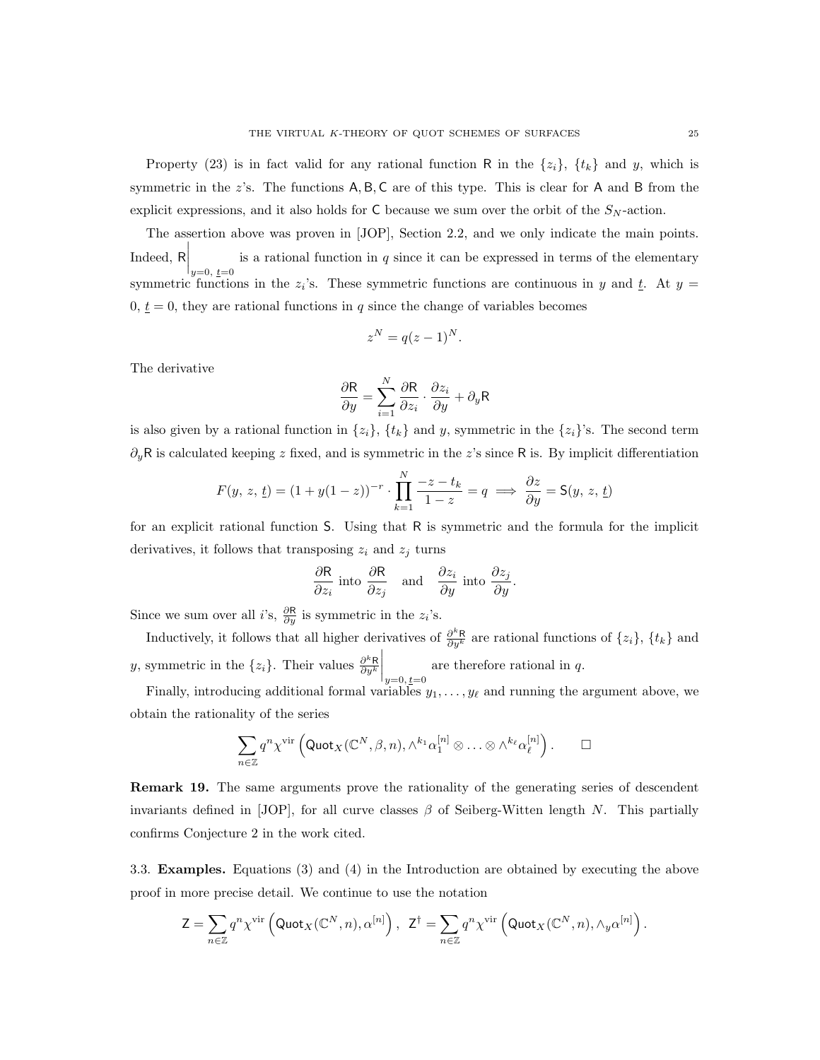Property (23) is in fact valid for any rational function R in the  $\{z_i\}$ ,  $\{t_k\}$  and y, which is symmetric in the z's. The functions A, B, C are of this type. This is clear for A and B from the explicit expressions, and it also holds for  $C$  because we sum over the orbit of the  $S_N$ -action.

The assertion above was proven in [JOP], Section 2.2, and we only indicate the main points. Indeed, R  $\bigg|_{y=0, t=0}$ is a rational function in  $q$  since it can be expressed in terms of the elementary symmetric functions in the  $z_i$ 's. These symmetric functions are continuous in y and  $\underline{t}$ . At  $y =$  $0, \underline{t} = 0$ , they are rational functions in q since the change of variables becomes

$$
z^N = q(z-1)^N.
$$

The derivative

$$
\frac{\partial \mathsf{R}}{\partial y} = \sum_{i=1}^{N} \frac{\partial \mathsf{R}}{\partial z_i} \cdot \frac{\partial z_i}{\partial y} + \partial_y \mathsf{R}
$$

is also given by a rational function in  $\{z_i\}$ ,  $\{t_k\}$  and y, symmetric in the  $\{z_i\}'$ s. The second term  $\partial_y \mathsf{R}$  is calculated keeping z fixed, and is symmetric in the z's since R is. By implicit differentiation

$$
F(y, z, \underline{t}) = (1 + y(1 - z))^{-r} \cdot \prod_{k=1}^{N} \frac{-z - t_k}{1 - z} = q \implies \frac{\partial z}{\partial y} = \mathsf{S}(y, z, \underline{t})
$$

for an explicit rational function S. Using that R is symmetric and the formula for the implicit derivatives, it follows that transposing  $z_i$  and  $z_j$  turns

$$
\frac{\partial \mathsf{R}}{\partial z_i}
$$
 into  $\frac{\partial \mathsf{R}}{\partial z_j}$  and  $\frac{\partial z_i}{\partial y}$  into  $\frac{\partial z_j}{\partial y}$ .

Since we sum over all *i*'s,  $\frac{\partial \mathsf{R}}{\partial y}$  is symmetric in the  $z_i$ 's.

Inductively, it follows that all higher derivatives of  $\frac{\partial^k R}{\partial y^k}$  are rational functions of  $\{z_i\}$ ,  $\{t_k\}$  and y, symmetric in the  $\{z_i\}$ . Their values  $\frac{\partial^k \mathsf{R}}{\partial y^k}$  $\Big|_{y=0, \, \underline{t}=0}$ are therefore rational in q.

Finally, introducing additional formal variables  $y_1, \ldots, y_\ell$  and running the argument above, we obtain the rationality of the series

$$
\sum_{n\in\mathbb{Z}}q^n\chi^{\mathrm{vir}}\left(\mathsf{Quot}_X(\mathbb{C}^N,\beta,n),\wedge^{k_1}\alpha_1^{[n]}\otimes\ldots\otimes\wedge^{k_\ell}\alpha_\ell^{[n]}\right). \qquad \Box
$$

Remark 19. The same arguments prove the rationality of the generating series of descendent invariants defined in [JOP], for all curve classes  $\beta$  of Seiberg-Witten length N. This partially confirms Conjecture 2 in the work cited.

3.3. Examples. Equations (3) and (4) in the Introduction are obtained by executing the above proof in more precise detail. We continue to use the notation

$$
\mathsf{Z} = \sum_{n \in \mathbb{Z}} q^n \chi^{\text{vir}} \left( \mathsf{Quot}_X(\mathbb{C}^N, n), \alpha^{[n]} \right), \ \ \mathsf{Z}^\dagger = \sum_{n \in \mathbb{Z}} q^n \chi^{\text{vir}} \left( \mathsf{Quot}_X(\mathbb{C}^N, n), \wedge_y \alpha^{[n]} \right).
$$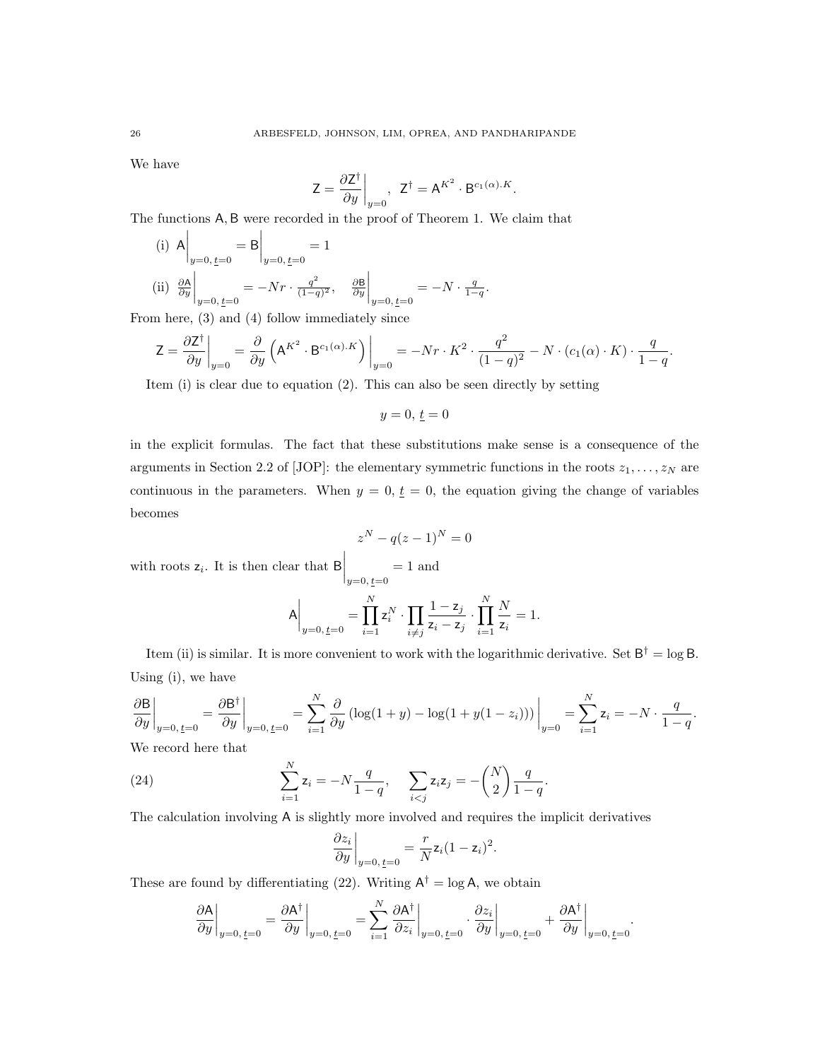We have

$$
Z = \frac{\partial Z^{\dagger}}{\partial y}\bigg|_{y=0}, \ \ Z^{\dagger} = A^{K^2} \cdot B^{c_1(\alpha).K}.
$$

The functions A, B were recorded in the proof of Theorem 1. We claim that

(i)  $A \Big|_{y=0, \, \underline{t}=0}$  $=$  B  $\Big|_{y=0, \, \underline{t}=0}$  $= 1$  $\left(\mathrm{ii}\right)$   $\frac{\partial \mathbf{A}}{\partial y}$  $\Big|_{y=0, \, \underline{t}=0}$  $=-Nr\cdot \frac{q^2}{(1-r)}$  $\frac{q^2}{(1-q)^2}, \quad \frac{\partial \mathsf{B}}{\partial y}$  $\Big|_{y=0, \, \underline{t}=0}$  $=-N\cdot\frac{q}{1-q}.$ 

From here, (3) and (4) follow immediately since

$$
\mathsf{Z} = \frac{\partial \mathsf{Z}^{\dagger}}{\partial y}\bigg|_{y=0} = \frac{\partial}{\partial y} \left( \mathsf{A}^{K^2} \cdot \mathsf{B}^{c_1(\alpha).K} \right) \bigg|_{y=0} = -Nr \cdot K^2 \cdot \frac{q^2}{(1-q)^2} - N \cdot (c_1(\alpha) \cdot K) \cdot \frac{q}{1-q}.
$$

Item (i) is clear due to equation (2). This can also be seen directly by setting

 $y = 0, t = 0$ 

in the explicit formulas. The fact that these substitutions make sense is a consequence of the arguments in Section 2.2 of [JOP]: the elementary symmetric functions in the roots  $z_1, \ldots, z_N$  are continuous in the parameters. When  $y = 0, t = 0$ , the equation giving the change of variables becomes

$$
z^{N} - q(z - 1)^{N} = 0
$$
  
with roots  $z_{i}$ . It is then clear that  $B\Big|_{y=0, \underline{t}=0} = 1$  and  

$$
A\Big|_{y=0, \underline{t}=0} = \prod_{i=1}^{N} z_{i}^{N} \cdot \prod_{i \neq j} \frac{1 - z_{j}}{z_{i} - z_{j}} \cdot \prod_{i=1}^{N} \frac{N}{z_{i}} = 1.
$$

Item (ii) is similar. It is more convenient to work with the logarithmic derivative. Set  $B^{\dagger} = \log B$ . Using (i), we have

$$
\frac{\partial \mathbf{B}}{\partial y}\bigg|_{y=0, \underline{t}=0} = \frac{\partial \mathbf{B}^{\dagger}}{\partial y}\bigg|_{y=0, \underline{t}=0} = \sum_{i=1}^{N} \frac{\partial}{\partial y} \left( \log(1+y) - \log(1+y(1-z_i)) \right)\bigg|_{y=0} = \sum_{i=1}^{N} z_i = -N \cdot \frac{q}{1-q}.
$$

We record here that

(24) 
$$
\sum_{i=1}^{N} z_i = -N \frac{q}{1-q}, \quad \sum_{i < j} z_i z_j = -\binom{N}{2} \frac{q}{1-q}.
$$

The calculation involving A is slightly more involved and requires the implicit derivatives

$$
\left. \frac{\partial z_i}{\partial y} \right|_{y=0, \, \underline{t}=0} = \frac{r}{N} \mathsf{z}_i (1 - \mathsf{z}_i)^2.
$$

These are found by differentiating (22). Writing  $A^{\dagger} = \log A$ , we obtain

$$
\left.\frac{\partial \mathsf{A}}{\partial y}\right|_{y=0,\, \underline{t}=0}=\left.\frac{\partial \mathsf{A}^{\dagger}}{\partial y}\right|_{y=0,\, \underline{t}=0}=\sum_{i=1}^{N}\left.\frac{\partial \mathsf{A}^{\dagger}}{\partial z_{i}}\right|_{y=0,\, \underline{t}=0}\cdot\left.\frac{\partial z_{i}}{\partial y}\right|_{y=0,\, \underline{t}=0}+\left.\frac{\partial \mathsf{A}^{\dagger}}{\partial y}\right|_{y=0,\, \underline{t}=0}
$$

.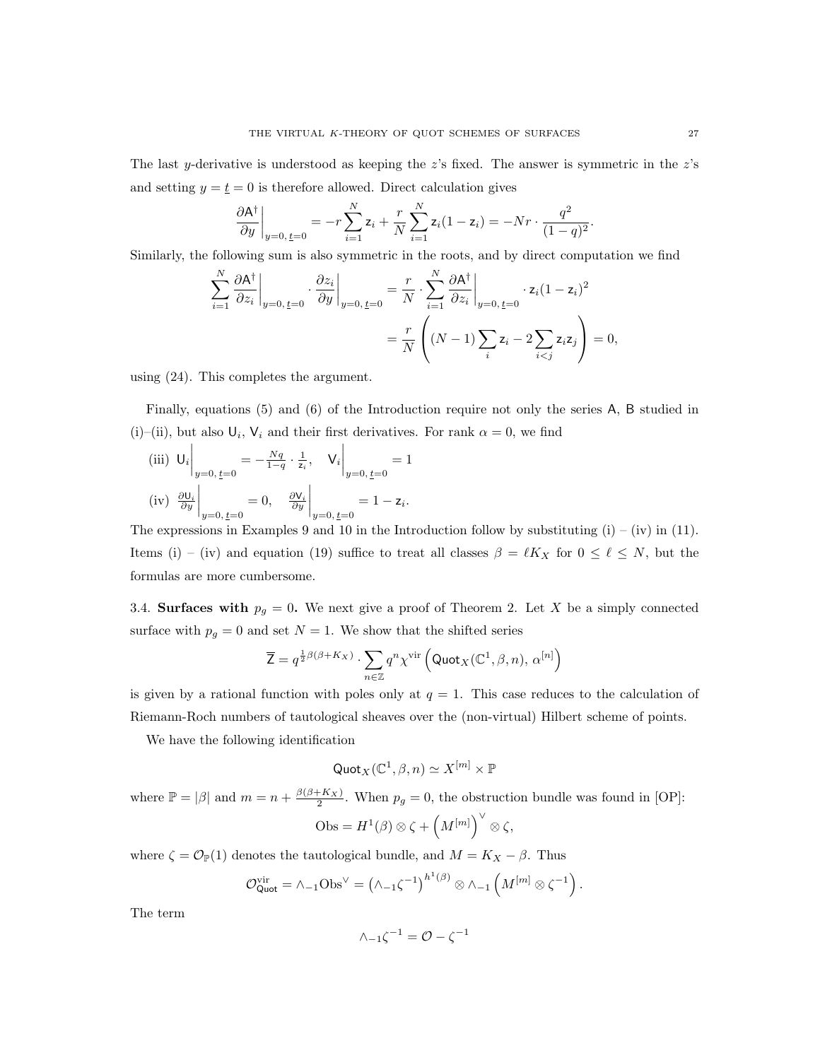The last y-derivative is understood as keeping the  $z$ 's fixed. The answer is symmetric in the  $z$ 's and setting  $y = \underline{t} = 0$  is therefore allowed. Direct calculation gives

$$
\left. \frac{\partial \mathsf{A}^\dagger}{\partial y} \right|_{y=0, \, \underline{t}=0} = -r \sum_{i=1}^N \mathsf{z}_i + \frac{r}{N} \sum_{i=1}^N \mathsf{z}_i (1-\mathsf{z}_i) = -Nr \cdot \frac{q^2}{(1-q)^2}.
$$

Similarly, the following sum is also symmetric in the roots, and by direct computation we find

$$
\sum_{i=1}^{N} \frac{\partial \mathsf{A}^{\dagger}}{\partial z_i} \bigg|_{y=0, \underline{t}=0} \cdot \frac{\partial z_i}{\partial y} \bigg|_{y=0, \underline{t}=0} = \frac{r}{N} \cdot \sum_{i=1}^{N} \frac{\partial \mathsf{A}^{\dagger}}{\partial z_i} \bigg|_{y=0, \underline{t}=0} \cdot z_i (1-z_i)^2
$$

$$
= \frac{r}{N} \left( (N-1) \sum_i z_i - 2 \sum_{i < j} z_i z_j \right) = 0,
$$

using (24). This completes the argument.

Finally, equations (5) and (6) of the Introduction require not only the series A, B studied in (i)–(ii), but also  $\mathsf{U}_i$ ,  $\mathsf{V}_i$  and their first derivatives. For rank  $\alpha = 0$ , we find

(iii) 
$$
U_i\Big|_{y=0, \underline{t}=0} = -\frac{Nq}{1-q} \cdot \frac{1}{z_i}, \quad V_i\Big|_{y=0, \underline{t}=0} = 1
$$
  
(iv)  $\frac{\partial U_i}{\partial y}\Big|_{y=0, \underline{t}=0} = 0, \quad \frac{\partial V_i}{\partial y}\Big|_{y=0, \underline{t}=0} = 1 - z_i.$ 

The expressions in Examples 9 and 10 in the Introduction follow by substituting  $(i) - (iv)$  in (11). Items (i) – (iv) and equation (19) suffice to treat all classes  $\beta = \ell K_X$  for  $0 \le \ell \le N$ , but the formulas are more cumbersome.

3.4. Surfaces with  $p<sub>g</sub> = 0$ . We next give a proof of Theorem 2. Let X be a simply connected surface with  $p_g = 0$  and set  $N = 1$ . We show that the shifted series

$$
\overline{\mathsf{Z}}=q^{\frac{1}{2}\beta(\beta+K_X)}\cdot\sum_{n\in\mathbb{Z}}q^n\chi^{\text{vir}}\left(\mathsf{Quot}_X(\mathbb{C}^1,\beta,n),\,\alpha^{[n]}\right)
$$

is given by a rational function with poles only at  $q = 1$ . This case reduces to the calculation of Riemann-Roch numbers of tautological sheaves over the (non-virtual) Hilbert scheme of points.

We have the following identification

$$
\mathsf{Quot}_X(\mathbb{C}^1,\beta,n)\simeq X^{[m]}\times\mathbb{P}
$$

where  $\mathbb{P} = |\beta|$  and  $m = n + \frac{\beta(\beta + K_X)}{2}$ . When  $p_g = 0$ , the obstruction bundle was found in [OP]:

$$
Obs = H^{1}(\beta) \otimes \zeta + \left(M^{[m]}\right)^{\vee} \otimes \zeta,
$$

where  $\zeta = \mathcal{O}_{\mathbb{P}}(1)$  denotes the tautological bundle, and  $M = K_X - \beta$ . Thus

$$
\mathcal{O}_{\mathsf{Quot}}^{\text{vir}} = \wedge_{-1} \mathbf{Obs}^{\vee} = \left(\wedge_{-1} \zeta^{-1}\right)^{h^{1}(\beta)} \otimes \wedge_{-1} \left(M^{[m]} \otimes \zeta^{-1}\right).
$$

The term

$$
\wedge_{-1}\zeta^{-1} = \mathcal{O} - \zeta^{-1}
$$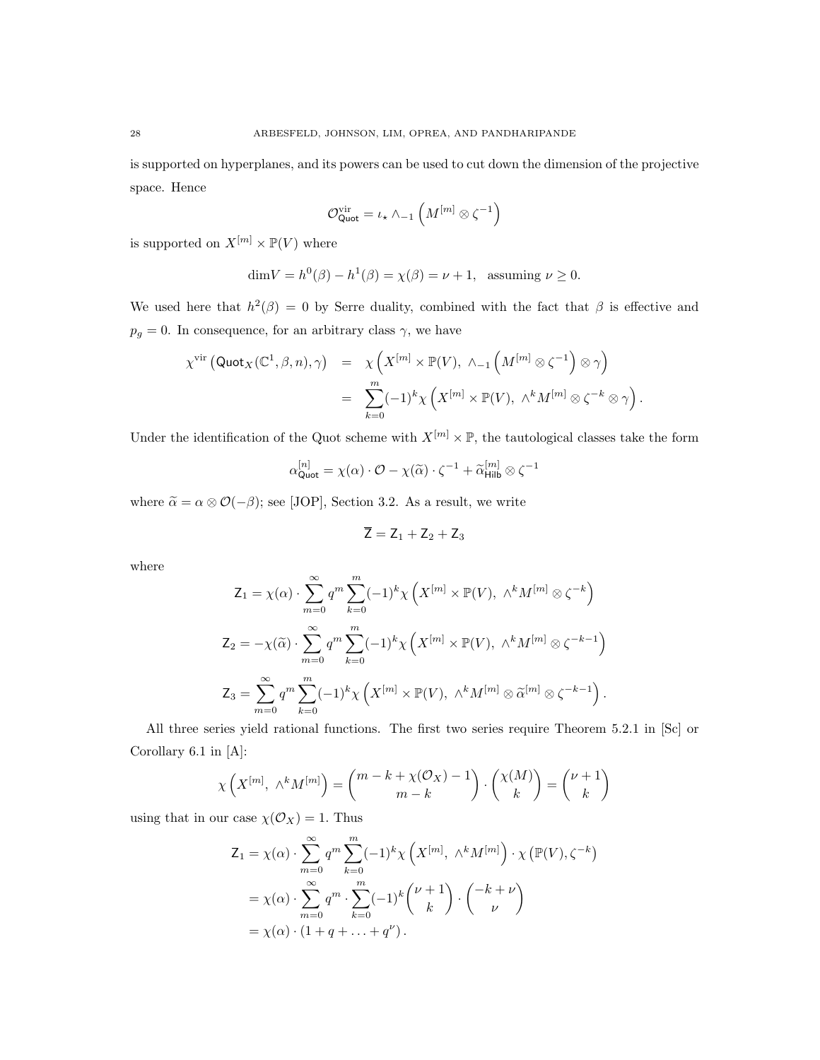is supported on hyperplanes, and its powers can be used to cut down the dimension of the projective space. Hence

$$
\mathcal{O}^{\mathrm{vir}}_{\mathsf{Quot}} = \iota_\star \wedge_{-1} \left( M^{[m]} \otimes \zeta^{-1} \right)
$$

is supported on  $X^{[m]} \times \mathbb{P}(V)$  where

$$
\dim V = h^0(\beta) - h^1(\beta) = \chi(\beta) = \nu + 1, \text{ assuming } \nu \ge 0.
$$

We used here that  $h^2(\beta) = 0$  by Serre duality, combined with the fact that  $\beta$  is effective and  $p_g = 0$ . In consequence, for an arbitrary class  $\gamma$ , we have

$$
\begin{array}{lcl} \chi^{\mathrm{vir}} \left( \mathsf{Quot}_X(\mathbb{C}^1,\beta,n),\gamma \right) & = & \chi \left( X^{[m]} \times \mathbb{P}(V), \ \wedge_{-1} \left( M^{[m]} \otimes \zeta^{-1} \right) \otimes \gamma \right) \\ \\ & = & \displaystyle \sum_{k=0}^m (-1)^k \chi \left( X^{[m]} \times \mathbb{P}(V), \ \wedge^k M^{[m]} \otimes \zeta^{-k} \otimes \gamma \right). \end{array}
$$

Under the identification of the Quot scheme with  $X^{[m]} \times \mathbb{P}$ , the tautological classes take the form

$$
\alpha_{\text{Quot}}^{[n]} = \chi(\alpha) \cdot \mathcal{O} - \chi(\widetilde{\alpha}) \cdot \zeta^{-1} + \widetilde{\alpha}_{\text{Hilb}}^{[m]} \otimes \zeta^{-1}
$$

where  $\tilde{\alpha} = \alpha \otimes \mathcal{O}(-\beta)$ ; see [JOP], Section 3.2. As a result, we write

$$
\overline{Z} = Z_1 + Z_2 + Z_3
$$

where

$$
Z_1 = \chi(\alpha) \cdot \sum_{m=0}^{\infty} q^m \sum_{k=0}^m (-1)^k \chi\left(X^{[m]} \times \mathbb{P}(V), \Lambda^k M^{[m]} \otimes \zeta^{-k}\right)
$$
  

$$
Z_2 = -\chi(\widetilde{\alpha}) \cdot \sum_{m=0}^{\infty} q^m \sum_{k=0}^m (-1)^k \chi\left(X^{[m]} \times \mathbb{P}(V), \Lambda^k M^{[m]} \otimes \zeta^{-k-1}\right)
$$
  

$$
Z_3 = \sum_{m=0}^{\infty} q^m \sum_{k=0}^m (-1)^k \chi\left(X^{[m]} \times \mathbb{P}(V), \Lambda^k M^{[m]} \otimes \widetilde{\alpha}^{[m]} \otimes \zeta^{-k-1}\right).
$$

All three series yield rational functions. The first two series require Theorem 5.2.1 in [Sc] or Corollary 6.1 in [A]:

$$
\chi\left(X^{[m]}, \wedge^k M^{[m]}\right) = \binom{m-k+\chi(\mathcal{O}_X)-1}{m-k} \cdot \binom{\chi(M)}{k} = \binom{\nu+1}{k}
$$

using that in our case  $\chi(\mathcal{O}_X) = 1$ . Thus

$$
Z_1 = \chi(\alpha) \cdot \sum_{m=0}^{\infty} q^m \sum_{k=0}^m (-1)^k \chi\left(X^{[m]}, \wedge^k M^{[m]}\right) \cdot \chi\left(\mathbb{P}(V), \zeta^{-k}\right)
$$

$$
= \chi(\alpha) \cdot \sum_{m=0}^{\infty} q^m \cdot \sum_{k=0}^m (-1)^k { \nu + 1 \choose k} \cdot { -k + \nu \choose \nu}
$$

$$
= \chi(\alpha) \cdot (1 + q + \dots + q^{\nu}).
$$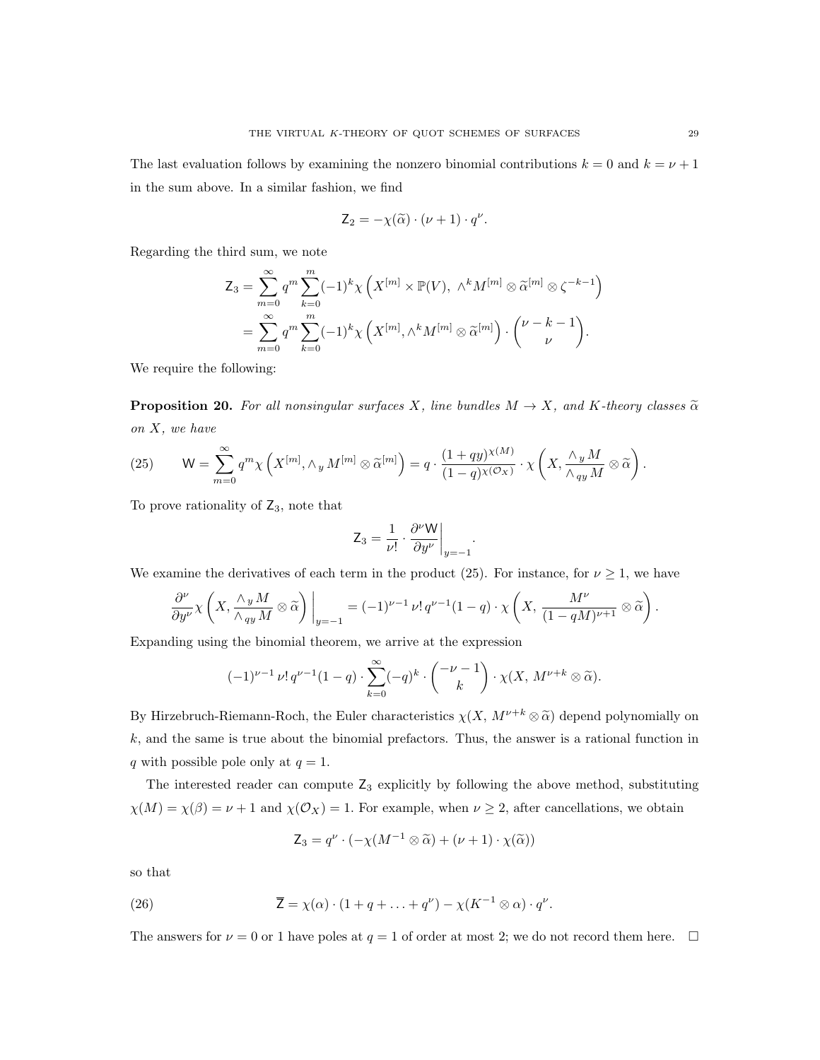The last evaluation follows by examining the nonzero binomial contributions  $k = 0$  and  $k = \nu + 1$ in the sum above. In a similar fashion, we find

$$
\mathsf{Z}_2 = -\chi(\widetilde{\alpha}) \cdot (\nu + 1) \cdot q^{\nu}.
$$

Regarding the third sum, we note

$$
Z_3 = \sum_{m=0}^{\infty} q^m \sum_{k=0}^m (-1)^k \chi \left( X^{[m]} \times \mathbb{P}(V), \ \wedge^k M^{[m]} \otimes \widetilde{\alpha}^{[m]} \otimes \zeta^{-k-1} \right)
$$
  
= 
$$
\sum_{m=0}^{\infty} q^m \sum_{k=0}^m (-1)^k \chi \left( X^{[m]}, \wedge^k M^{[m]} \otimes \widetilde{\alpha}^{[m]} \right) \cdot \binom{\nu - k - 1}{\nu}.
$$

We require the following:

**Proposition 20.** For all nonsingular surfaces X, line bundles  $M \to X$ , and K-theory classes  $\tilde{\alpha}$ on X, we have

(25) 
$$
\mathsf{W} = \sum_{m=0}^{\infty} q^m \chi \left( X^{[m]}, \wedge_y M^{[m]} \otimes \widetilde{\alpha}^{[m]} \right) = q \cdot \frac{(1+qy)^{\chi(M)}}{(1-q)^{\chi(\mathcal{O}_X)}} \cdot \chi \left( X, \frac{\wedge_y M}{\wedge_{qy} M} \otimes \widetilde{\alpha} \right).
$$

To prove rationality of  $\mathsf{Z}_3$ , note that

$$
\mathsf{Z}_3 = \frac{1}{\nu!} \cdot \frac{\partial^{\nu} \mathsf{W}}{\partial y^{\nu}}\bigg|_{y=-1}
$$

.

We examine the derivatives of each term in the product (25). For instance, for  $\nu \geq 1$ , we have

$$
\frac{\partial^{\nu}}{\partial y^{\nu}} \chi \left( X, \frac{\wedge_y M}{\wedge_{qy} M} \otimes \widetilde{\alpha} \right) \Big|_{y=-1} = (-1)^{\nu-1} \nu! \, q^{\nu-1} (1-q) \cdot \chi \left( X, \frac{M^{\nu}}{(1-qM)^{\nu+1}} \otimes \widetilde{\alpha} \right).
$$

Expanding using the binomial theorem, we arrive at the expression

$$
(-1)^{\nu-1} \nu! q^{\nu-1} (1-q) \cdot \sum_{k=0}^{\infty} (-q)^k \cdot \binom{-\nu-1}{k} \cdot \chi(X, M^{\nu+k} \otimes \widetilde{\alpha}).
$$

By Hirzebruch-Riemann-Roch, the Euler characteristics  $\chi(X, M^{\nu+k} \otimes \tilde{\alpha})$  depend polynomially on  $k$ , and the same is true about the binomial prefactors. Thus, the answer is a rational function in q with possible pole only at  $q = 1$ .

The interested reader can compute  $Z_3$  explicitly by following the above method, substituting  $\chi(M) = \chi(\beta) = \nu + 1$  and  $\chi(\mathcal{O}_X) = 1$ . For example, when  $\nu \geq 2$ , after cancellations, we obtain

$$
Z_3 = q^{\nu} \cdot (-\chi(M^{-1} \otimes \widetilde{\alpha}) + (\nu + 1) \cdot \chi(\widetilde{\alpha}))
$$

so that

(26) 
$$
\overline{Z} = \chi(\alpha) \cdot (1 + q + \ldots + q^{\nu}) - \chi(K^{-1} \otimes \alpha) \cdot q^{\nu}.
$$

The answers for  $\nu = 0$  or 1 have poles at  $q = 1$  of order at most 2; we do not record them here.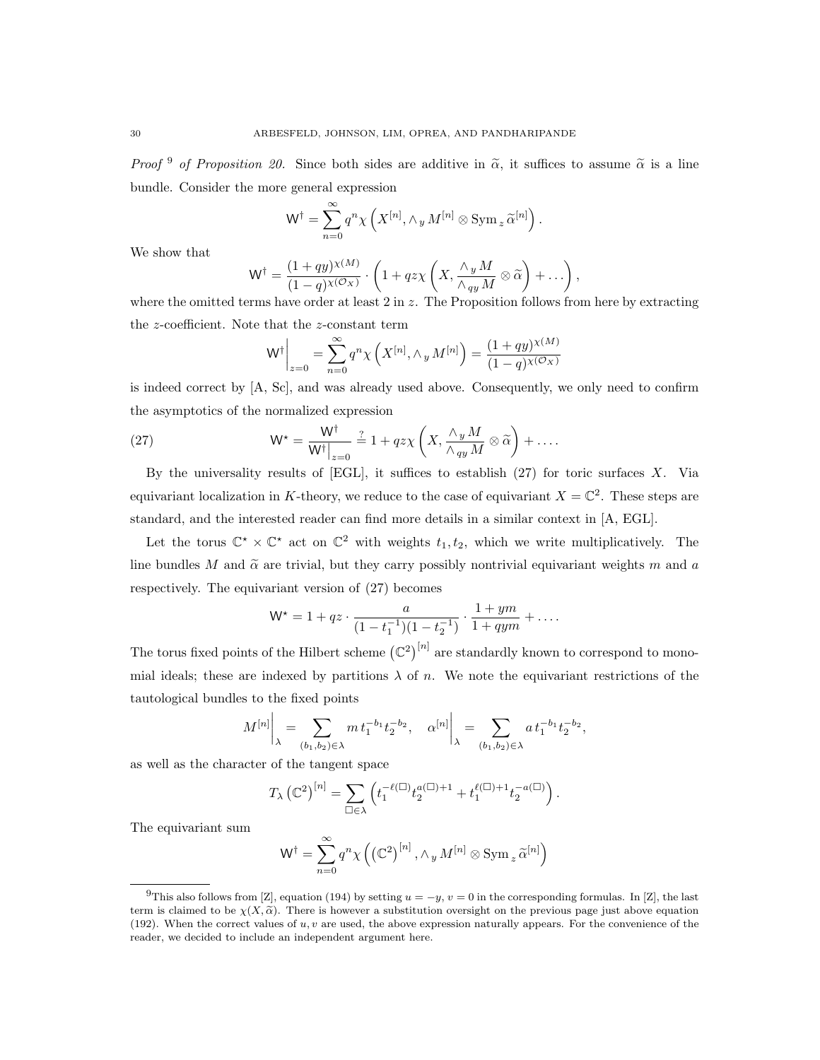*Proof*  $9$  of Proposition 20. Since both sides are additive in  $\tilde{\alpha}$ , it suffices to assume  $\tilde{\alpha}$  is a line bundle. Consider the more general expression

$$
\mathsf{W}^\dagger = \sum_{n=0}^\infty q^n \chi\left(X^{[n]}, \wedge_y M^{[n]} \otimes \operatorname{Sym}_z \widetilde{\alpha}^{[n]}\right).
$$

We show that

$$
W^{\dagger} = \frac{(1+qy)^{\chi(M)}}{(1-q)^{\chi(\mathcal{O}_X)}} \cdot \left(1 + qz\chi\left(X, \frac{\wedge_y M}{\wedge_{qy} M} \otimes \widetilde{\alpha}\right) + \ldots\right),
$$

where the omitted terms have order at least  $2 \text{ in } z$ . The Proposition follows from here by extracting the z-coefficient. Note that the z-constant term

$$
W^{\dagger}\bigg|_{z=0} = \sum_{n=0}^{\infty} q^n \chi\left(X^{[n]}, \wedge_y M^{[n]}\right) = \frac{(1+qy)^{\chi(M)}}{(1-q)^{\chi(\mathcal{O}_X)}}
$$

is indeed correct by [A, Sc], and was already used above. Consequently, we only need to confirm the asymptotics of the normalized expression

(27) 
$$
\mathsf{W}^{\star} = \frac{\mathsf{W}^{\dagger}}{\mathsf{W}^{\dagger}|_{z=0}} \stackrel{?}{=} 1 + qz\chi\left(X, \frac{\wedge_y M}{\wedge_{qy} M} \otimes \widetilde{\alpha}\right) + \dots
$$

By the universality results of  $[EGL]$ , it suffices to establish  $(27)$  for toric surfaces X. Via equivariant localization in K-theory, we reduce to the case of equivariant  $X = \mathbb{C}^2$ . These steps are standard, and the interested reader can find more details in a similar context in [A, EGL].

Let the torus  $\mathbb{C}^* \times \mathbb{C}^*$  act on  $\mathbb{C}^2$  with weights  $t_1, t_2$ , which we write multiplicatively. The line bundles M and  $\tilde{\alpha}$  are trivial, but they carry possibly nontrivial equivariant weights m and a respectively. The equivariant version of (27) becomes

$$
\mathsf{W}^{\star} = 1 + qz \cdot \frac{a}{(1 - t_1^{-1})(1 - t_2^{-1})} \cdot \frac{1 + ym}{1 + qym} + \dots
$$

The torus fixed points of the Hilbert scheme  $(\mathbb{C}^2)^{[n]}$  are standardly known to correspond to monomial ideals; these are indexed by partitions  $\lambda$  of n. We note the equivariant restrictions of the tautological bundles to the fixed points

$$
M^{[n]}\bigg|_{\lambda} = \sum_{(b_1, b_2) \in \lambda} m t_1^{-b_1} t_2^{-b_2}, \quad \alpha^{[n]}\bigg|_{\lambda} = \sum_{(b_1, b_2) \in \lambda} a t_1^{-b_1} t_2^{-b_2},
$$

as well as the character of the tangent space

$$
T_{\lambda} (\mathbb{C}^2)^{[n]} = \sum_{\square \in \lambda} \left( t_1^{-\ell(\square)} t_2^{a(\square)+1} + t_1^{\ell(\square)+1} t_2^{-a(\square)} \right).
$$

The equivariant sum

$$
\mathsf{W}^{\dagger} = \sum_{n=0}^{\infty} q^n \chi \left( \left( \mathbb{C}^2 \right)^{[n]}, \wedge_y M^{[n]} \otimes \mathrm{Sym}_z \widetilde{\alpha}^{[n]} \right)
$$

<sup>&</sup>lt;sup>9</sup>This also follows from [Z], equation (194) by setting  $u = -y$ ,  $v = 0$  in the corresponding formulas. In [Z], the last term is claimed to be  $\chi(X,\tilde{\alpha})$ . There is however a substitution oversight on the previous page just above equation (192). When the correct values of  $u, v$  are used, the above expression naturally appears. For the convenience of the reader, we decided to include an independent argument here.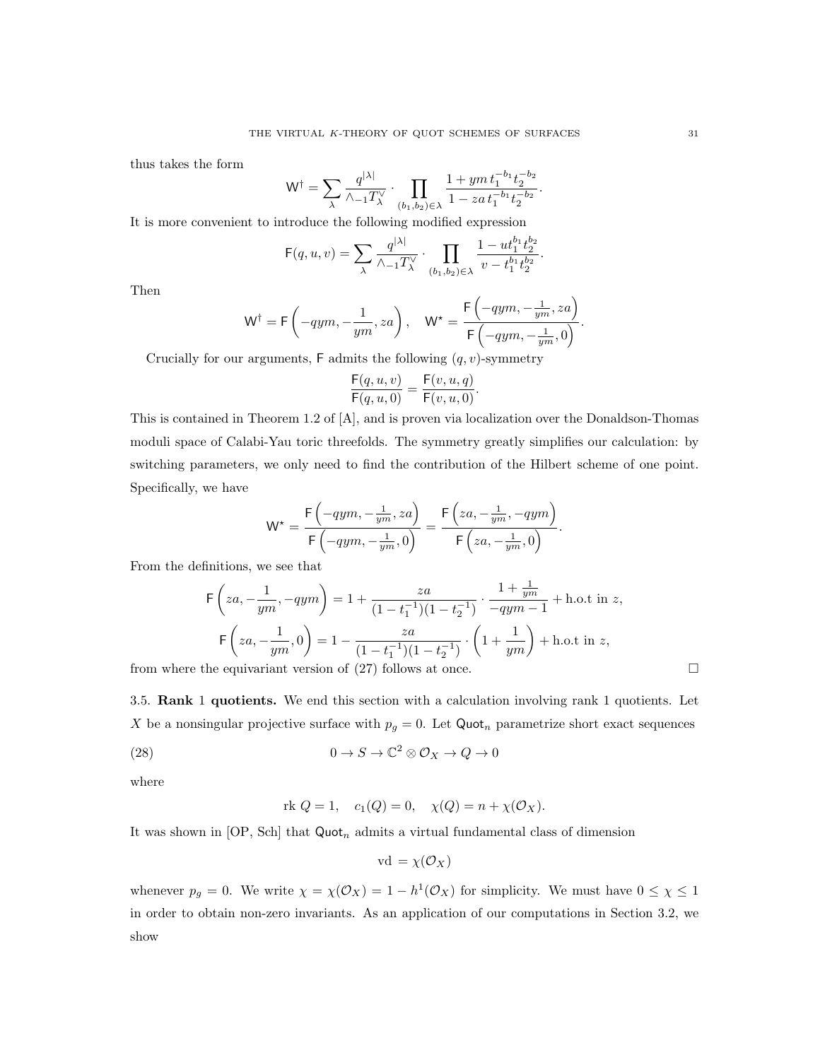thus takes the form

$$
\mathsf{W}^{\dagger} = \sum_{\lambda} \frac{q^{|\lambda|}}{\lambda_{-1} T_{\lambda}^{\vee}} \cdot \prod_{(b_1, b_2) \in \lambda} \frac{1 + y m t_1^{-b_1} t_2^{-b_2}}{1 - z a t_1^{-b_1} t_2^{-b_2}}.
$$

It is more convenient to introduce the following modified expression

$$
\mathsf{F}(q, u, v) = \sum_{\lambda} \frac{q^{|\lambda|}}{\wedge_{-1} T_{\lambda}^{\vee}} \cdot \prod_{(b_1, b_2) \in \lambda} \frac{1 - u t_1^{b_1} t_2^{b_2}}{v - t_1^{b_1} t_2^{b_2}}.
$$

Then

$$
\mathsf{W}^\dagger = \mathsf{F}\left(-qym,-\frac{1}{ym},za\right), \quad \mathsf{W}^\star = \frac{\mathsf{F}\left(-qym,-\frac{1}{ym},za\right)}{\mathsf{F}\left(-qym,-\frac{1}{ym},0\right)}.
$$

Crucially for our arguments,  $\mathsf F$  admits the following  $(q, v)$ -symmetry

$$
\frac{\mathsf{F}(q, u, v)}{\mathsf{F}(q, u, 0)} = \frac{\mathsf{F}(v, u, q)}{\mathsf{F}(v, u, 0)}.
$$

This is contained in Theorem 1.2 of [A], and is proven via localization over the Donaldson-Thomas moduli space of Calabi-Yau toric threefolds. The symmetry greatly simplifies our calculation: by switching parameters, we only need to find the contribution of the Hilbert scheme of one point. Specifically, we have

$$
\mathsf{W}^{\star} = \frac{\mathsf{F}\left(-qym, -\frac{1}{ym}, za\right)}{\mathsf{F}\left(-qym, -\frac{1}{ym}, 0\right)} = \frac{\mathsf{F}\left(za, -\frac{1}{ym}, -qym\right)}{\mathsf{F}\left(za, -\frac{1}{ym}, 0\right)}.
$$

From the definitions, we see that

$$
\mathsf{F}\left(za, -\frac{1}{ym}, -qym\right) = 1 + \frac{za}{(1 - t_1^{-1})(1 - t_2^{-1})} \cdot \frac{1 + \frac{1}{ym}}{-qym - 1} + \text{h.o.t in } z,
$$
\n
$$
\mathsf{F}\left(za, -\frac{1}{ym}, 0\right) = 1 - \frac{za}{(1 - t_1^{-1})(1 - t_2^{-1})} \cdot \left(1 + \frac{1}{ym}\right) + \text{h.o.t in } z,
$$
\nthe equivariant version of (27) follows that one.

from where the equivariant version of  $(27)$  follows at once.

3.5. Rank 1 quotients. We end this section with a calculation involving rank 1 quotients. Let X be a nonsingular projective surface with  $p<sub>g</sub> = 0$ . Let Quot<sub>n</sub> parametrize short exact sequences

(28) 
$$
0 \to S \to \mathbb{C}^2 \otimes \mathcal{O}_X \to Q \to 0
$$

where

rk 
$$
Q = 1
$$
,  $c_1(Q) = 0$ ,  $\chi(Q) = n + \chi(\mathcal{O}_X)$ .

It was shown in [OP, Sch] that  $Quot_n$  admits a virtual fundamental class of dimension

$$
\mathrm{vd} = \chi(\mathcal{O}_X)
$$

whenever  $p_g = 0$ . We write  $\chi = \chi(\mathcal{O}_X) = 1 - h^1(\mathcal{O}_X)$  for simplicity. We must have  $0 \leq \chi \leq 1$ in order to obtain non-zero invariants. As an application of our computations in Section 3.2, we show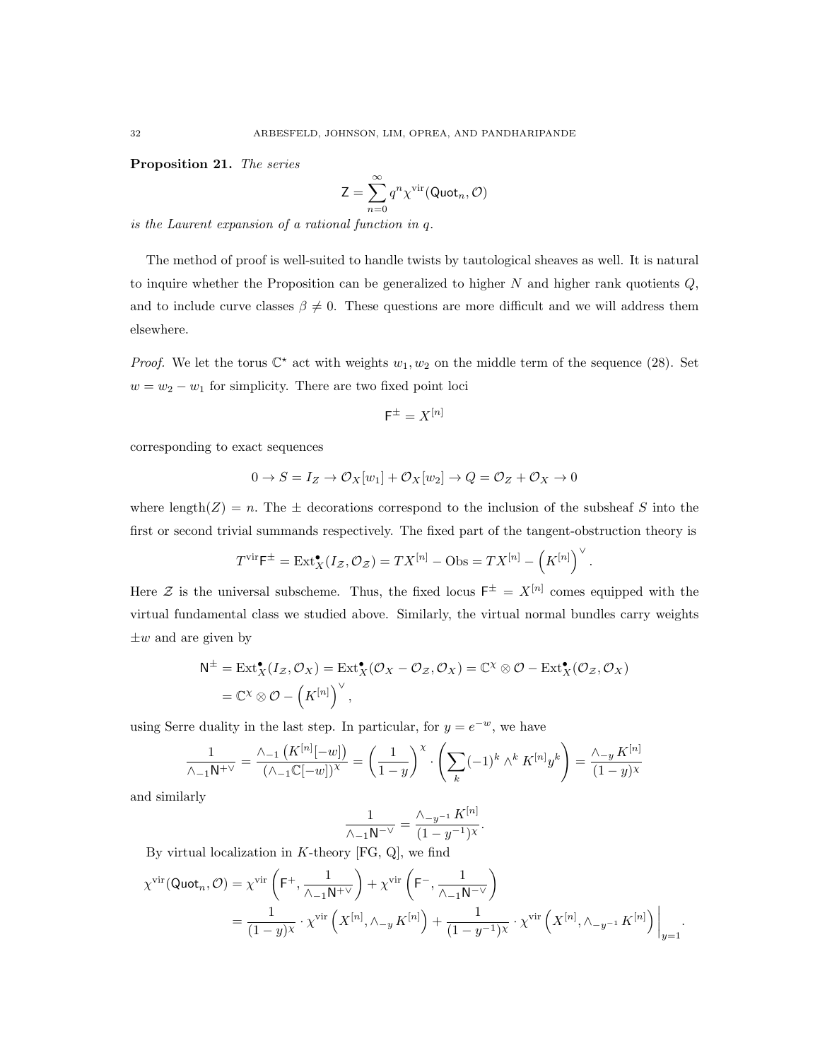Proposition 21. The series

$$
\mathsf{Z} = \sum_{n=0}^{\infty} q^n \chi^{\text{vir}}(\mathsf{Quot}_n, \mathcal{O})
$$

is the Laurent expansion of a rational function in q.

The method of proof is well-suited to handle twists by tautological sheaves as well. It is natural to inquire whether the Proposition can be generalized to higher  $N$  and higher rank quotients  $Q$ , and to include curve classes  $\beta \neq 0$ . These questions are more difficult and we will address them elsewhere.

*Proof.* We let the torus  $\mathbb{C}^*$  act with weights  $w_1, w_2$  on the middle term of the sequence (28). Set  $w = w_2 - w_1$  for simplicity. There are two fixed point loci

$$
\mathsf{F}^{\pm}=X^{[n]}
$$

corresponding to exact sequences

$$
0\rightarrow S=I_Z\rightarrow \mathcal{O}_X[w_1]+\mathcal{O}_X[w_2]\rightarrow Q=\mathcal{O}_Z+\mathcal{O}_X\rightarrow 0
$$

where length(Z) = n. The  $\pm$  decorations correspond to the inclusion of the subsheaf S into the first or second trivial summands respectively. The fixed part of the tangent-obstruction theory is

$$
T^{\text{vir}}\mathsf{F}^{\pm} = \text{Ext}^{\bullet}_X(I_{\mathcal{Z}}, \mathcal{O}_{\mathcal{Z}}) = TX^{[n]} - \text{Obs} = TX^{[n]} - (K^{[n]})^{\vee}
$$

.

Here Z is the universal subscheme. Thus, the fixed locus  $F^{\pm} = X^{[n]}$  comes equipped with the virtual fundamental class we studied above. Similarly, the virtual normal bundles carry weights  $\pm w$  and are given by

$$
N^{\pm} = \text{Ext}_{X}^{\bullet}(I_{\mathcal{Z}}, \mathcal{O}_{X}) = \text{Ext}_{X}^{\bullet}(\mathcal{O}_{X} - \mathcal{O}_{\mathcal{Z}}, \mathcal{O}_{X}) = \mathbb{C}^{\chi} \otimes \mathcal{O} - \text{Ext}_{X}^{\bullet}(\mathcal{O}_{\mathcal{Z}}, \mathcal{O}_{X})
$$

$$
= \mathbb{C}^{\chi} \otimes \mathcal{O} - (\mathbb{K}^{[n]})^{\vee},
$$

using Serre duality in the last step. In particular, for  $y = e^{-w}$ , we have

$$
\frac{1}{\Lambda_{-1}N^{+\vee}} = \frac{\Lambda_{-1}\left(K^{[n]}[-w]\right)}{(\Lambda_{-1}\mathbb{C}[-w])^{\chi}} = \left(\frac{1}{1-y}\right)^{\chi} \cdot \left(\sum_{k} (-1)^{k} \wedge^{k} K^{[n]}y^{k}\right) = \frac{\Lambda_{-y} K^{[n]}}{(1-y)^{\chi}}
$$

and similarly

$$
\frac{1}{\wedge_{-1}N^{-\vee}} = \frac{\wedge_{-y^{-1}}K^{[n]}}{(1-y^{-1})^{\chi}}.
$$

By virtual localization in  $K$ -theory [FG, Q], we find

$$
\chi^{\text{vir}}(\text{Quot}_n, \mathcal{O}) = \chi^{\text{vir}}\left(\mathsf{F}^+, \frac{1}{\wedge_{-1}\mathsf{N}^{+\vee}}\right) + \chi^{\text{vir}}\left(\mathsf{F}^-, \frac{1}{\wedge_{-1}\mathsf{N}^{-\vee}}\right)
$$

$$
= \frac{1}{(1-y)^{\chi}} \cdot \chi^{\text{vir}}\left(X^{[n]}, \wedge_{-y} K^{[n]}\right) + \frac{1}{(1-y^{-1})^{\chi}} \cdot \chi^{\text{vir}}\left(X^{[n]}, \wedge_{-y^{-1}} K^{[n]}\right)\Big|_{y=1}.
$$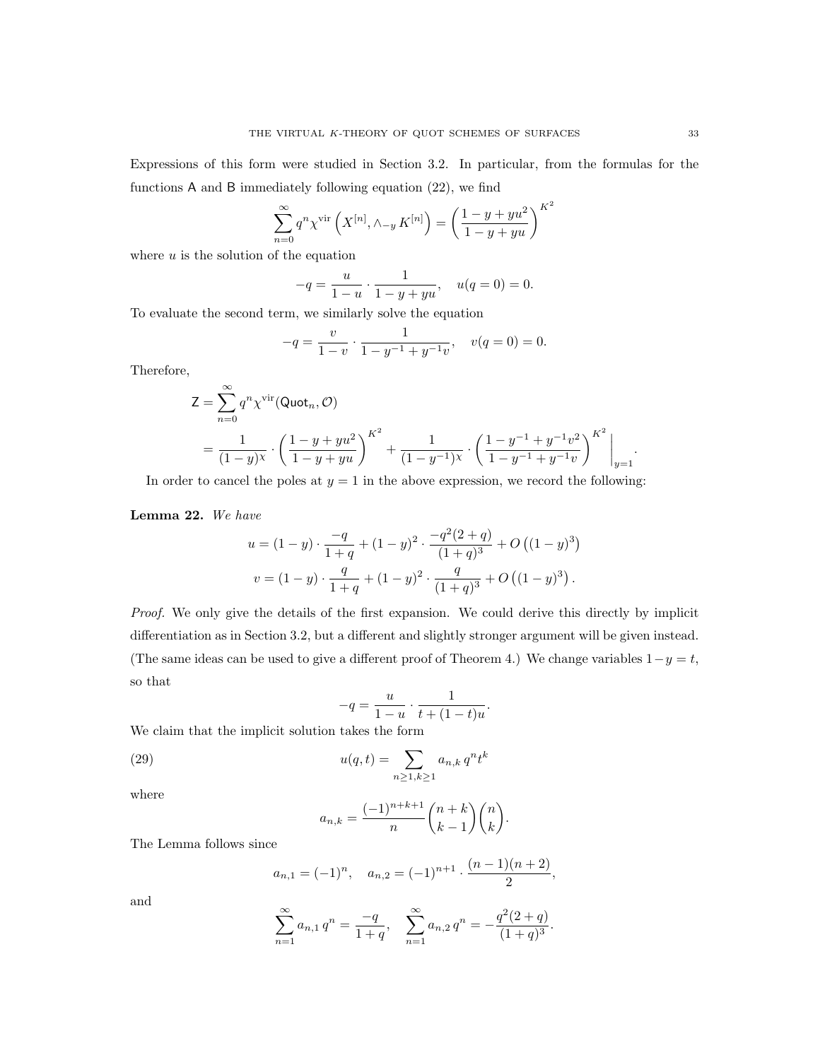Expressions of this form were studied in Section 3.2. In particular, from the formulas for the functions A and B immediately following equation (22), we find

$$
\sum_{n=0}^{\infty} q^n \chi^{\text{vir}} \left( X^{[n]}, \wedge_{-y} K^{[n]} \right) = \left( \frac{1 - y + yu^2}{1 - y + yu} \right)^{K^2}
$$

where  $u$  is the solution of the equation

$$
-q = \frac{u}{1-u} \cdot \frac{1}{1-y+yu}, \quad u(q=0) = 0.
$$

To evaluate the second term, we similarly solve the equation

$$
-q = \frac{v}{1-v} \cdot \frac{1}{1-y^{-1}+y^{-1}v}, \quad v(q=0) = 0.
$$

Therefore,

$$
Z = \sum_{n=0}^{\infty} q^n \chi^{\text{vir}}(\text{Quot}_n, \mathcal{O})
$$
  
=  $\frac{1}{(1-y)^{\chi}} \cdot \left(\frac{1-y+yu^2}{1-y+yu}\right)^{K^2} + \frac{1}{(1-y^{-1})^{\chi}} \cdot \left(\frac{1-y^{-1}+y^{-1}v^2}{1-y^{-1}+y^{-1}v}\right)^{K^2}\Big|_{y=1}.$ 

In order to cancel the poles at  $y = 1$  in the above expression, we record the following:

Lemma 22. We have

$$
u = (1 - y) \cdot \frac{-q}{1 + q} + (1 - y)^2 \cdot \frac{-q^2(2 + q)}{(1 + q)^3} + O((1 - y)^3)
$$
  

$$
v = (1 - y) \cdot \frac{q}{1 + q} + (1 - y)^2 \cdot \frac{q}{(1 + q)^3} + O((1 - y)^3).
$$

Proof. We only give the details of the first expansion. We could derive this directly by implicit differentiation as in Section 3.2, but a different and slightly stronger argument will be given instead. (The same ideas can be used to give a different proof of Theorem 4.) We change variables  $1-y=t$ , so that

$$
-q = \frac{u}{1-u} \cdot \frac{1}{t+(1-t)u}.
$$

We claim that the implicit solution takes the form

(29) 
$$
u(q,t) = \sum_{n \ge 1, k \ge 1} a_{n,k} q^n t^k
$$

where

$$
a_{n,k} = \frac{(-1)^{n+k+1}}{n} {n+k \choose k-1} {n \choose k}.
$$

The Lemma follows since

$$
a_{n,1} = (-1)^n
$$
,  $a_{n,2} = (-1)^{n+1} \cdot \frac{(n-1)(n+2)}{2}$ ,

and

$$
\sum_{n=1}^{\infty} a_{n,1} q^n = \frac{-q}{1+q}, \quad \sum_{n=1}^{\infty} a_{n,2} q^n = -\frac{q^2(2+q)}{(1+q)^3}.
$$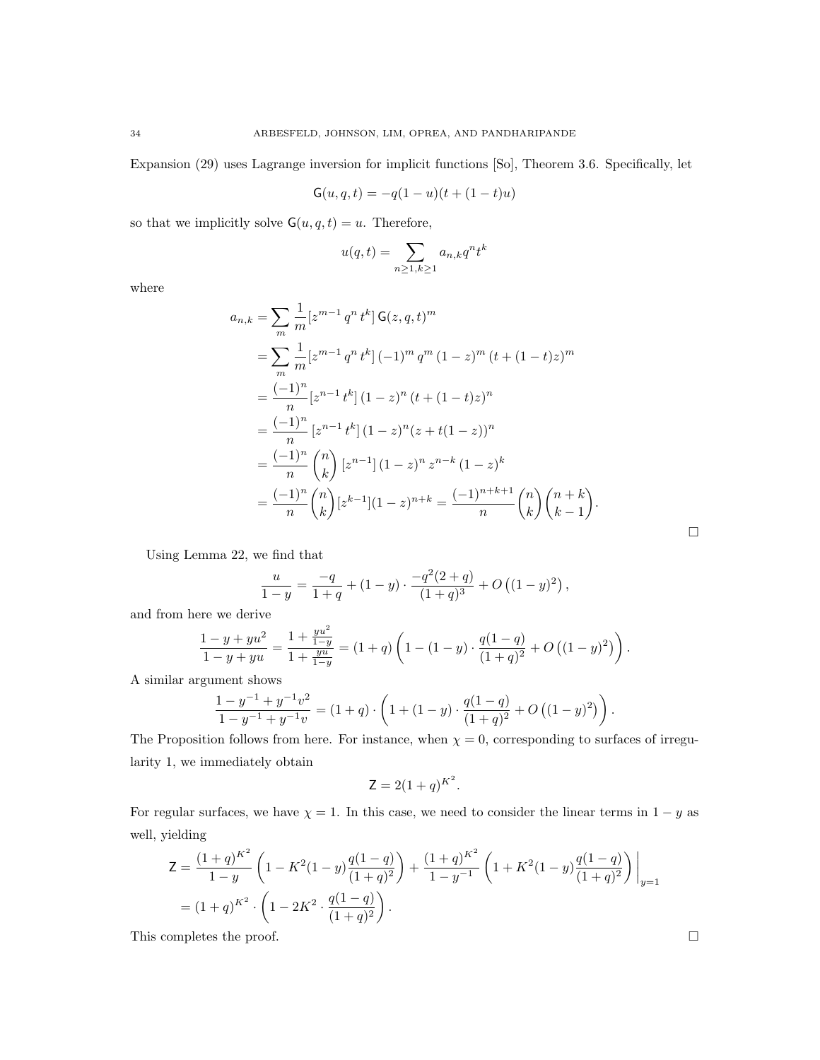Expansion (29) uses Lagrange inversion for implicit functions [So], Theorem 3.6. Specifically, let

$$
G(u, q, t) = -q(1 - u)(t + (1 - t)u)
$$

so that we implicitly solve  $G(u, q, t) = u$ . Therefore,

$$
u(q,t) = \sum_{n \ge 1, k \ge 1} a_{n,k} q^n t^k
$$

where

$$
a_{n,k} = \sum_{m} \frac{1}{m} [z^{m-1} q^n t^k] \mathsf{G}(z, q, t)^m
$$
  
\n
$$
= \sum_{m} \frac{1}{m} [z^{m-1} q^n t^k] (-1)^m q^m (1-z)^m (t + (1-t)z)^m
$$
  
\n
$$
= \frac{(-1)^n}{n} [z^{n-1} t^k] (1-z)^n (t + (1-t)z)^n
$$
  
\n
$$
= \frac{(-1)^n}{n} [z^{n-1} t^k] (1-z)^n (z + t(1-z))^n
$$
  
\n
$$
= \frac{(-1)^n}{n} {n \choose k} [z^{n-1}] (1-z)^n z^{n-k} (1-z)^k
$$
  
\n
$$
= \frac{(-1)^n}{n} {n \choose k} [z^{k-1}] (1-z)^{n+k} = \frac{(-1)^{n+k+1}}{n} {n \choose k} {n+k \choose k-1}.
$$

Using Lemma 22, we find that

$$
\frac{u}{1-y} = \frac{-q}{1+q} + (1-y) \cdot \frac{-q^2(2+q)}{(1+q)^3} + O((1-y)^2),
$$

and from here we derive

$$
\frac{1-y+yu^2}{1-y+yu} = \frac{1+\frac{yu^2}{1-y}}{1+\frac{yu}{1-y}} = (1+q)\left(1-(1-y)\cdot\frac{q(1-q)}{(1+q)^2} + O\left((1-y)^2\right)\right).
$$

A similar argument shows

$$
\frac{1 - y^{-1} + y^{-1}v^2}{1 - y^{-1} + y^{-1}v} = (1 + q) \cdot \left(1 + (1 - y) \cdot \frac{q(1 - q)}{(1 + q)^2} + O((1 - y)^2)\right).
$$

The Proposition follows from here. For instance, when  $\chi = 0$ , corresponding to surfaces of irregularity 1, we immediately obtain

$$
\mathsf{Z} = 2(1+q)^{K^2}.
$$

For regular surfaces, we have  $\chi = 1$ . In this case, we need to consider the linear terms in  $1 - y$  as well, yielding

$$
Z = \frac{(1+q)^{K^2}}{1-y} \left(1 - K^2(1-y)\frac{q(1-q)}{(1+q)^2}\right) + \frac{(1+q)^{K^2}}{1-y^{-1}} \left(1 + K^2(1-y)\frac{q(1-q)}{(1+q)^2}\right)\Big|_{y=1}
$$
  
=  $(1+q)^{K^2} \cdot \left(1 - 2K^2 \cdot \frac{q(1-q)}{(1+q)^2}\right).$   
This completes the proof.

 $\Box$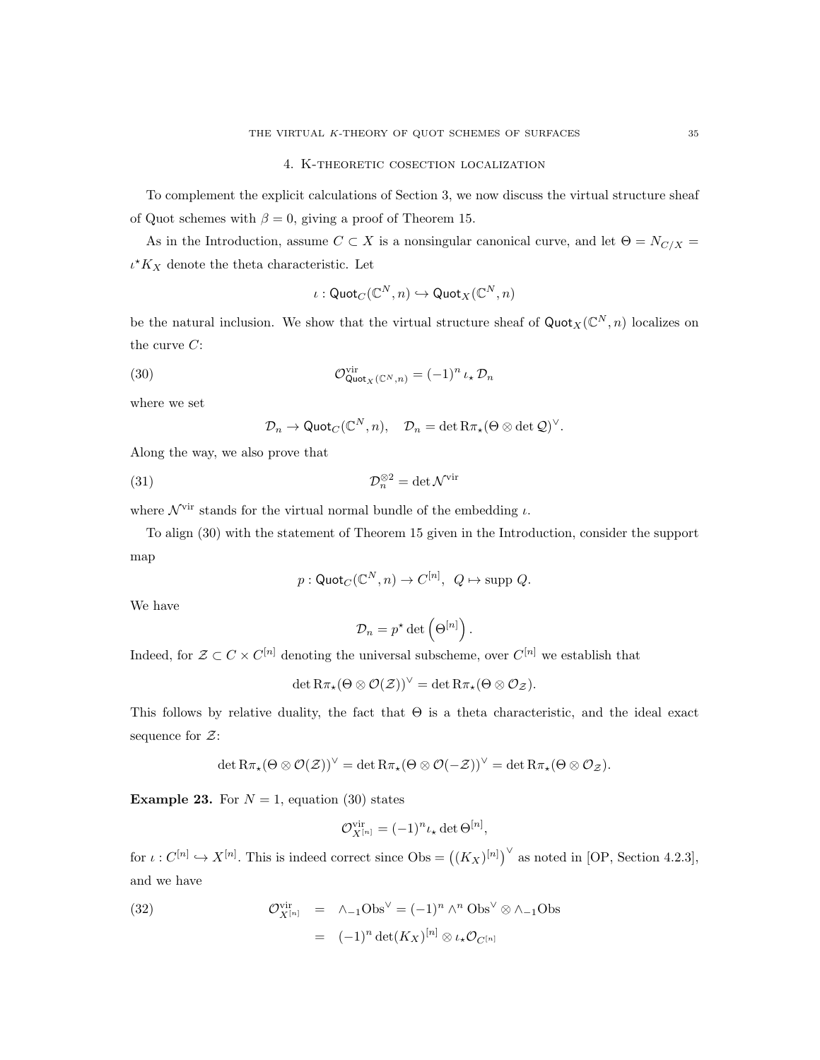To complement the explicit calculations of Section 3, we now discuss the virtual structure sheaf of Quot schemes with  $\beta = 0$ , giving a proof of Theorem 15.

As in the Introduction, assume  $C \subset X$  is a nonsingular canonical curve, and let  $\Theta = N_{C/X}$  $\iota^*K_X$  denote the theta characteristic. Let

$$
\iota: {\sf Quot}_C(\mathbb{C}^N, n) \hookrightarrow {\sf Quot}_X(\mathbb{C}^N, n)
$$

be the natural inclusion. We show that the virtual structure sheaf of  $\text{Quot}_X(\mathbb{C}^N, n)$  localizes on the curve  $C$ :

(30) 
$$
\mathcal{O}_{\text{Quot}_X(\mathbb{C}^N,n)}^{\text{vir}} = (-1)^n \iota_\star \mathcal{D}_n
$$

where we set

$$
\mathcal{D}_n \to \mathrm{Quot}_C(\mathbb{C}^N,n), \quad \mathcal{D}_n = \det \mathrm{R} \pi_\star(\Theta \otimes \det \mathcal{Q})^\vee
$$

.

Along the way, we also prove that

(31) 
$$
\mathcal{D}_n^{\otimes 2} = \det \mathcal{N}^{\text{vir}}
$$

where  $\mathcal{N}^{\text{vir}}$  stands for the virtual normal bundle of the embedding  $\iota$ .

To align (30) with the statement of Theorem 15 given in the Introduction, consider the support map

$$
p: \mathsf{Quot}_C(\mathbb{C}^N, n) \to C^{[n]}, \ Q \mapsto \mathrm{supp} \ Q.
$$

We have

$$
\mathcal{D}_n = p^\star \det \left( \Theta^{[n]} \right).
$$

Indeed, for  $\mathcal{Z} \subset C \times C^{[n]}$  denoting the universal subscheme, over  $C^{[n]}$  we establish that

$$
\det R\pi_{\star}(\Theta\otimes\mathcal{O}(\mathcal{Z}))^{\vee}=\det R\pi_{\star}(\Theta\otimes\mathcal{O}_{\mathcal{Z}}).
$$

This follows by relative duality, the fact that  $\Theta$  is a theta characteristic, and the ideal exact sequence for  $\mathcal{Z}$ :

$$
\det R\pi_\star(\Theta\otimes\mathcal{O}(\mathcal{Z}))^\vee=\det R\pi_\star(\Theta\otimes\mathcal{O}(-\mathcal{Z}))^\vee=\det R\pi_\star(\Theta\otimes\mathcal{O}_\mathcal{Z}).
$$

**Example 23.** For  $N = 1$ , equation (30) states

$$
\mathcal{O}_{X^{[n]}}^{\text{vir}} = (-1)^n \iota_{\star} \det \Theta^{[n]},
$$

for  $\iota: C^{[n]} \hookrightarrow X^{[n]}$ . This is indeed correct since  $\mathrm{Obs} = ((K_X)^{[n]})^{\vee}$  as noted in [OP, Section 4.2.3], and we have

(32) 
$$
\mathcal{O}_{X^{[n]}}^{\text{vir}} = \Lambda_{-1} \text{Obs}^{\vee} = (-1)^n \wedge^n \text{Obs}^{\vee} \otimes \Lambda_{-1} \text{Obs}
$$

$$
= (-1)^n \det(K_X)^{[n]} \otimes \iota_{\star} \mathcal{O}_{C^{[n]}}
$$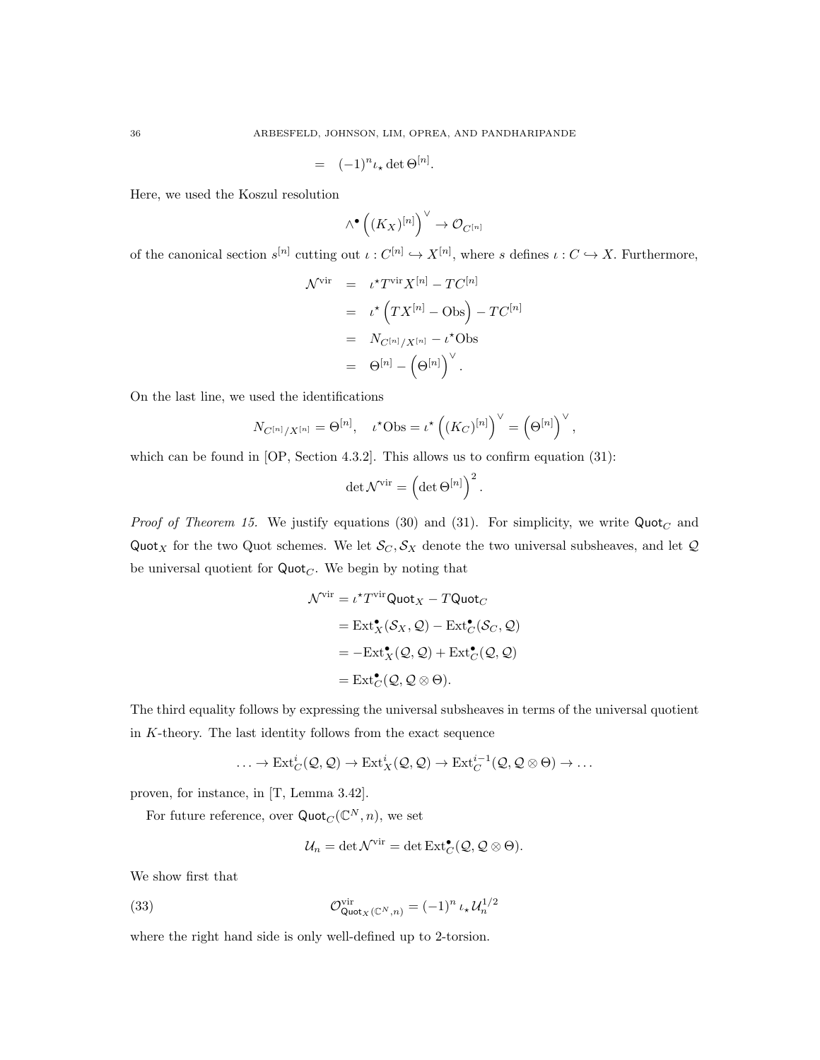$$
= (-1)^n \iota_{\star} \det \Theta^{[n]}.
$$

Here, we used the Koszul resolution

$$
\wedge^{\bullet} \left( (K_X)^{[n]}\right)^{\vee} \to \mathcal{O}_{C^{[n]}}
$$

of the canonical section  $s^{[n]}$  cutting out  $\iota: C^{[n]} \hookrightarrow X^{[n]}$ , where s defines  $\iota: C \hookrightarrow X$ . Furthermore,

$$
\mathcal{N}^{\text{vir}} = \iota^{\star} T^{\text{vir}} X^{[n]} - TC^{[n]}
$$
  
=  $\iota^{\star} (TX^{[n]} - \text{Obs}) - TC^{[n]}$   
=  $N_{C^{[n]}/X^{[n]}} - \iota^{\star} \text{Obs}$   
=  $\Theta^{[n]} - (\Theta^{[n]})^{\vee}.$ 

On the last line, we used the identifications

$$
N_{C^{[n]}/X^{[n]}} = \Theta^{[n]}, \quad \iota^{\star} \text{Obs} = \iota^{\star} \left( (K_C)^{[n]} \right)^{\vee} = \left( \Theta^{[n]} \right)^{\vee},
$$

which can be found in [OP, Section 4.3.2]. This allows us to confirm equation (31):

$$
\det \mathcal{N}^{\mathrm{vir}}=\left( \det \Theta^{[n]}\right) ^{2}.
$$

*Proof of Theorem 15.* We justify equations (30) and (31). For simplicity, we write  $Quot_C$  and Quot<sub>X</sub> for the two Quot schemes. We let  $\mathcal{S}_C, \mathcal{S}_X$  denote the two universal subsheaves, and let Q be universal quotient for  $Quot<sub>C</sub>$ . We begin by noting that

$$
\mathcal{N}^{\text{vir}} = \iota^{\star} T^{\text{vir}} \text{Quot}_X - T \text{Quot}_C
$$
\n
$$
= \text{Ext}^{\bullet}_X(\mathcal{S}_X, \mathcal{Q}) - \text{Ext}^{\bullet}_C(\mathcal{S}_C, \mathcal{Q})
$$
\n
$$
= -\text{Ext}^{\bullet}_X(\mathcal{Q}, \mathcal{Q}) + \text{Ext}^{\bullet}_C(\mathcal{Q}, \mathcal{Q})
$$
\n
$$
= \text{Ext}^{\bullet}_C(\mathcal{Q}, \mathcal{Q} \otimes \Theta).
$$

The third equality follows by expressing the universal subsheaves in terms of the universal quotient in  $K$ -theory. The last identity follows from the exact sequence

$$
\ldots \to \mathrm{Ext}^i_C(\mathcal{Q}, \mathcal{Q}) \to \mathrm{Ext}^i_X(\mathcal{Q}, \mathcal{Q}) \to \mathrm{Ext}^{i-1}_C(\mathcal{Q}, \mathcal{Q} \otimes \Theta) \to \ldots
$$

proven, for instance, in [T, Lemma 3.42].

For future reference, over  $\mathsf{Quot}_C(\mathbb{C}^N,n)$ , we set

$$
\mathcal{U}_n = \det \mathcal{N}^{\text{vir}} = \det \text{Ext}^{\bullet}_{C}(\mathcal{Q}, \mathcal{Q} \otimes \Theta).
$$

We show first that

(33) 
$$
\mathcal{O}_{\text{Quot}_X(\mathbb{C}^N, n)}^{\text{vir}} = (-1)^n \iota_{\star} \mathcal{U}_n^{1/2}
$$

where the right hand side is only well-defined up to 2-torsion.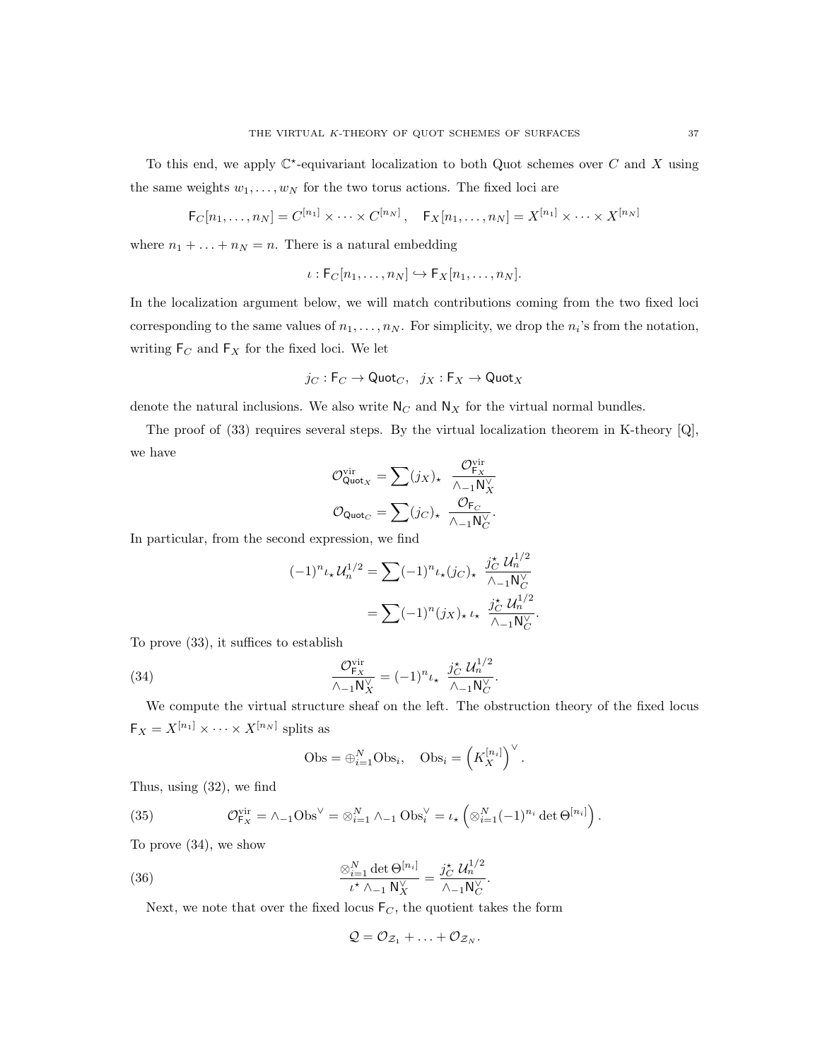$$
\mathsf{F}_C[n_1,\ldots,n_N] = C^{[n_1]} \times \cdots \times C^{[n_N]}, \quad \mathsf{F}_X[n_1,\ldots,n_N] = X^{[n_1]} \times \cdots \times X^{[n_N]}
$$

where  $n_1 + \ldots + n_N = n$ . There is a natural embedding

$$
\iota: \mathsf{F}_C[n_1,\ldots,n_N] \hookrightarrow \mathsf{F}_X[n_1,\ldots,n_N].
$$

In the localization argument below, we will match contributions coming from the two fixed loci corresponding to the same values of  $n_1, \ldots, n_N$ . For simplicity, we drop the  $n_i$ 's from the notation, writing  ${\sf F}_C$  and  ${\sf F}_X$  for the fixed loci. We let

$$
j_C: \mathsf{F}_C \to \mathsf{Quot}_C, \ \ j_X: \mathsf{F}_X \to \mathsf{Quot}_X
$$

denote the natural inclusions. We also write  $N_C$  and  $N_X$  for the virtual normal bundles.

The proof of (33) requires several steps. By the virtual localization theorem in K-theory  $[Q]$ , we have

$$
\mathcal{O}_{\mathsf{Quot}_X}^{\mathsf{vir}} = \sum (j_X)_\star \ \frac{\mathcal{O}_{\mathsf{F}_X}^{\mathsf{vir}}}{\wedge_{-1} \mathsf{N}_X^\vee}
$$

$$
\mathcal{O}_{\mathsf{Quot}_C} = \sum (j_C)_\star \ \frac{\mathcal{O}_{\mathsf{F}_C}}{\wedge_{-1} \mathsf{N}_C^\vee}.
$$

In particular, from the second expression, we find

$$
(-1)^{n} \iota_{\star} \mathcal{U}_{n}^{1/2} = \sum (-1)^{n} \iota_{\star} (j_{C})_{\star} \frac{j_{C}^{\star} \mathcal{U}_{n}^{1/2}}{\wedge_{-1} N_{C}^{\vee}}
$$

$$
= \sum (-1)^{n} (j_{X})_{\star} \iota_{\star} \frac{j_{C}^{\star} \mathcal{U}_{n}^{1/2}}{\wedge_{-1} N_{C}^{\vee}}.
$$

To prove (33), it suffices to establish

(34) 
$$
\frac{\mathcal{O}_{\mathsf{F}_X}^{\text{vir}}}{\wedge_{-1}\mathsf{N}_X^{\vee}} = (-1)^n \iota_{\star} \frac{j_C^{\star} \mathcal{U}_n^{1/2}}{\wedge_{-1}\mathsf{N}_C^{\vee}}.
$$

We compute the virtual structure sheaf on the left. The obstruction theory of the fixed locus  $\mathsf{F}_X = X^{[n_1]} \times \cdots \times X^{[n_N]}$  splits as

$$
Obs = \bigoplus_{i=1}^{N} Obs_i, \quad Obs_i = \left( K_X^{[n_i]} \right)^{\vee}.
$$

Thus, using (32), we find

(35) 
$$
\mathcal{O}_{\mathsf{F}_X}^{\text{vir}} = \wedge_{-1} \text{Obs}^{\vee} = \otimes_{i=1}^N \wedge_{-1} \text{Obs}_i^{\vee} = \iota_{\star} \left( \otimes_{i=1}^N (-1)^{n_i} \det \Theta^{[n_i]} \right).
$$

To prove (34), we show

(36) 
$$
\frac{\otimes_{i=1}^{N} \det \Theta^{[n_i]}}{\iota^* \wedge_{-1} \mathsf{N}_X^{\vee}} = \frac{j_C^* \mathcal{U}_n^{1/2}}{\wedge_{-1} \mathsf{N}_C^{\vee}}.
$$

Next, we note that over the fixed locus  $F_C$ , the quotient takes the form

$$
Q = \mathcal{O}_{\mathcal{Z}_1} + \ldots + \mathcal{O}_{\mathcal{Z}_N}.
$$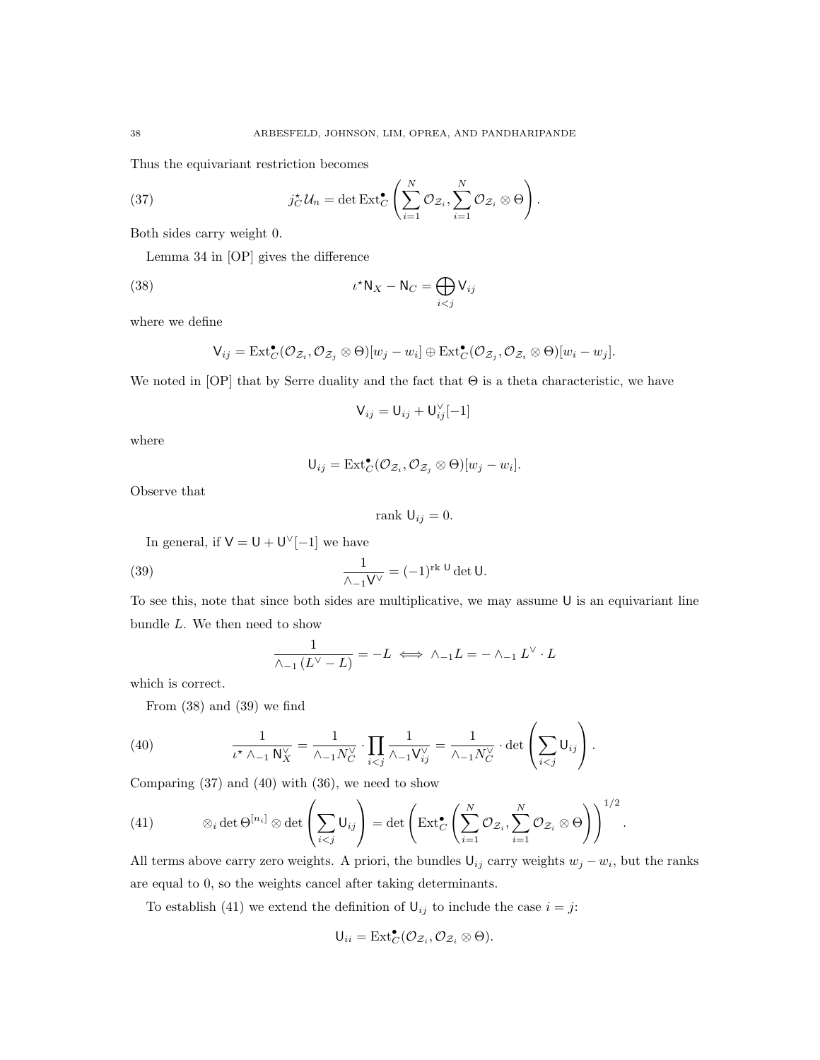Thus the equivariant restriction becomes

(37) 
$$
j_C^{\star} \mathcal{U}_n = \det \text{Ext}_C^{\bullet} \left( \sum_{i=1}^N \mathcal{O}_{\mathcal{Z}_i}, \sum_{i=1}^N \mathcal{O}_{\mathcal{Z}_i} \otimes \Theta \right).
$$

Both sides carry weight 0.

Lemma 34 in [OP] gives the difference

(38) 
$$
\iota^* \mathsf{N}_X - \mathsf{N}_C = \bigoplus_{i < j} \mathsf{V}_{ij}
$$

where we define

$$
\mathsf{V}_{ij} = \mathrm{Ext}^{\bullet}_C(\mathcal{O}_{\mathcal{Z}_i}, \mathcal{O}_{\mathcal{Z}_j} \otimes \Theta)[w_j - w_i] \oplus \mathrm{Ext}^{\bullet}_C(\mathcal{O}_{\mathcal{Z}_j}, \mathcal{O}_{\mathcal{Z}_i} \otimes \Theta)[w_i - w_j].
$$

We noted in  $[OP]$  that by Serre duality and the fact that  $\Theta$  is a theta characteristic, we have

$$
\mathsf{V}_{ij} = \mathsf{U}_{ij} + \mathsf{U}_{ij}^{\vee}[-1]
$$

where

$$
\mathsf{U}_{ij} = \mathrm{Ext}^{\bullet}_{C}(\mathcal{O}_{\mathcal{Z}_i}, \mathcal{O}_{\mathcal{Z}_j} \otimes \Theta)[w_j - w_i].
$$

Observe that

$$
rank U_{ij} = 0.
$$

In general, if  $V = U + U^{\vee}[-1]$  we have

(39) 
$$
\frac{1}{\wedge_{-1}V^{\vee}} = (-1)^{\operatorname{rk} U} \det U.
$$

To see this, note that since both sides are multiplicative, we may assume U is an equivariant line bundle L. We then need to show

$$
\frac{1}{\wedge_{-1}(L^{\vee}-L)}=-L \iff \wedge_{-1}L=-\wedge_{-1}L^{\vee}\cdot L
$$

which is correct.

From (38) and (39) we find

(40) 
$$
\frac{1}{\iota^{\star} \wedge_{-1} \mathsf{N}_{X}^{\vee}} = \frac{1}{\wedge_{-1} N_{C}^{\vee}} \cdot \prod_{i < j} \frac{1}{\wedge_{-1} \mathsf{V}_{ij}^{\vee}} = \frac{1}{\wedge_{-1} N_{C}^{\vee}} \cdot \det \left( \sum_{i < j} \mathsf{U}_{ij} \right).
$$

Comparing (37) and (40) with (36), we need to show

(41) 
$$
\otimes_i \det \Theta^{[n_i]} \otimes \det \left( \sum_{i < j} \mathsf{U}_{ij} \right) = \det \left( \mathrm{Ext}^{\bullet}_C \left( \sum_{i=1}^N \mathcal{O}_{\mathcal{Z}_i}, \sum_{i=1}^N \mathcal{O}_{\mathcal{Z}_i} \otimes \Theta \right) \right)^{1/2}.
$$

All terms above carry zero weights. A priori, the bundles  $\mathsf{U}_{ij}$  carry weights  $w_j - w_i$ , but the ranks are equal to 0, so the weights cancel after taking determinants.

To establish (41) we extend the definition of  $\mathsf{U}_{ij}$  to include the case  $i = j$ :

$$
\mathsf{U}_{ii}=\mathrm{Ext}^{\bullet}_{C}(\mathcal{O}_{\mathcal{Z}_{i}},\mathcal{O}_{\mathcal{Z}_{i}}\otimes \Theta).
$$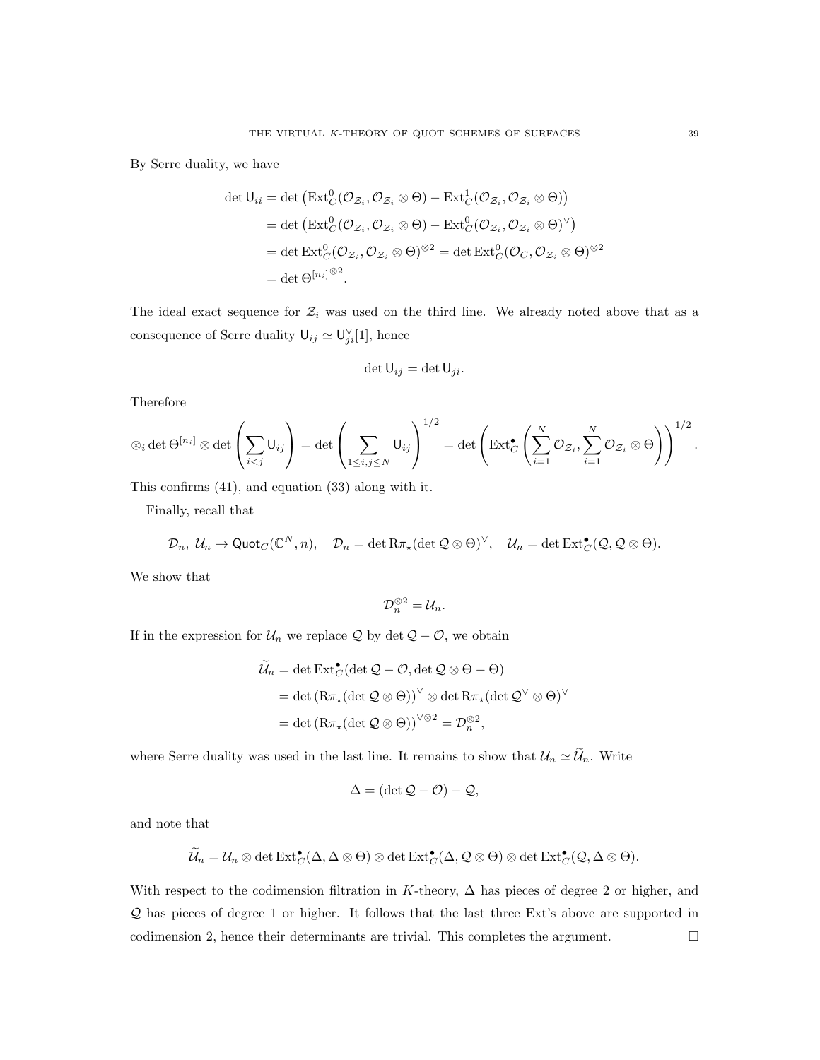By Serre duality, we have

$$
\det U_{ii} = \det \left( \operatorname{Ext}^0_C(\mathcal{O}_{\mathcal{Z}_i}, \mathcal{O}_{\mathcal{Z}_i} \otimes \Theta) - \operatorname{Ext}^1_C(\mathcal{O}_{\mathcal{Z}_i}, \mathcal{O}_{\mathcal{Z}_i} \otimes \Theta) \right)
$$
  
= det \left( \operatorname{Ext}^0\_C(\mathcal{O}\_{\mathcal{Z}\_i}, \mathcal{O}\_{\mathcal{Z}\_i} \otimes \Theta) - \operatorname{Ext}^0\_C(\mathcal{O}\_{\mathcal{Z}\_i}, \mathcal{O}\_{\mathcal{Z}\_i} \otimes \Theta)^{\vee} \right)  
= det \operatorname{Ext}^0\_C(\mathcal{O}\_{\mathcal{Z}\_i}, \mathcal{O}\_{\mathcal{Z}\_i} \otimes \Theta)^{\otimes 2} = det \operatorname{Ext}^0\_C(\mathcal{O}\_C, \mathcal{O}\_{\mathcal{Z}\_i} \otimes \Theta)^{\otimes 2}  
= det \Theta^{[n\_i]^{\otimes 2}}.

The ideal exact sequence for  $\mathcal{Z}_i$  was used on the third line. We already noted above that as a consequence of Serre duality  $\mathsf{U}_{ij} \simeq \mathsf{U}_{ji}^{\vee}[1]$ , hence

$$
\det \mathsf{U}_{ij} = \det \mathsf{U}_{ji}.
$$

Therefore

$$
\otimes_i \det \Theta^{[n_i]} \otimes \det \left( \sum_{i < j} \mathsf{U}_{ij} \right) = \det \left( \sum_{1 \leq i, j \leq N} \mathsf{U}_{ij} \right)^{1/2} = \det \left( \mathrm{Ext}^{\bullet}_C \left( \sum_{i=1}^N \mathcal{O}_{\mathcal{Z}_i}, \sum_{i=1}^N \mathcal{O}_{\mathcal{Z}_i} \otimes \Theta \right) \right)^{1/2}.
$$

This confirms (41), and equation (33) along with it.

Finally, recall that

$$
\mathcal{D}_n, \; \mathcal{U}_n \to \text{Quot}_C(\mathbb{C}^N, n), \quad \mathcal{D}_n = \det R\pi_\star(\det \mathcal{Q} \otimes \Theta)^\vee, \quad \mathcal{U}_n = \det \text{Ext}^\bullet_C(\mathcal{Q}, \mathcal{Q} \otimes \Theta).
$$

We show that

$$
\mathcal{D}_n^{\otimes 2}=\mathcal{U}_n.
$$

If in the expression for  $U_n$  we replace  $\mathcal Q$  by det  $\mathcal Q - \mathcal O$ , we obtain

$$
\widetilde{\mathcal{U}}_n = \det \text{Ext}^{\bullet}_{\mathcal{C}}(\det \mathcal{Q} - \mathcal{O}, \det \mathcal{Q} \otimes \Theta - \Theta)
$$
  
= det  $(\text{R}\pi_{\star}(\det \mathcal{Q} \otimes \Theta))^{\vee} \otimes \det \text{R}\pi_{\star}(\det \mathcal{Q}^{\vee} \otimes \Theta)^{\vee}$   
= det  $(\text{R}\pi_{\star}(\det \mathcal{Q} \otimes \Theta))^{\vee \otimes 2} = \mathcal{D}_{n}^{\otimes 2},$ 

where Serre duality was used in the last line. It remains to show that  $\mathcal{U}_n \simeq \widetilde{\mathcal{U}}_n$ . Write

$$
\Delta = (\det \mathcal{Q} - \mathcal{O}) - \mathcal{Q},
$$

and note that

$$
\widetilde{\mathcal{U}}_n=\mathcal{U}_n\otimes\det\mathrm{Ext}^\bullet_C(\Delta,\Delta\otimes\Theta)\otimes\det\mathrm{Ext}^\bullet_C(\Delta,\mathcal{Q}\otimes\Theta)\otimes\det\mathrm{Ext}^\bullet_C(\mathcal{Q},\Delta\otimes\Theta).
$$

With respect to the codimension filtration in K-theory,  $\Delta$  has pieces of degree 2 or higher, and Q has pieces of degree 1 or higher. It follows that the last three Ext's above are supported in codimension 2, hence their determinants are trivial. This completes the argument.  $\square$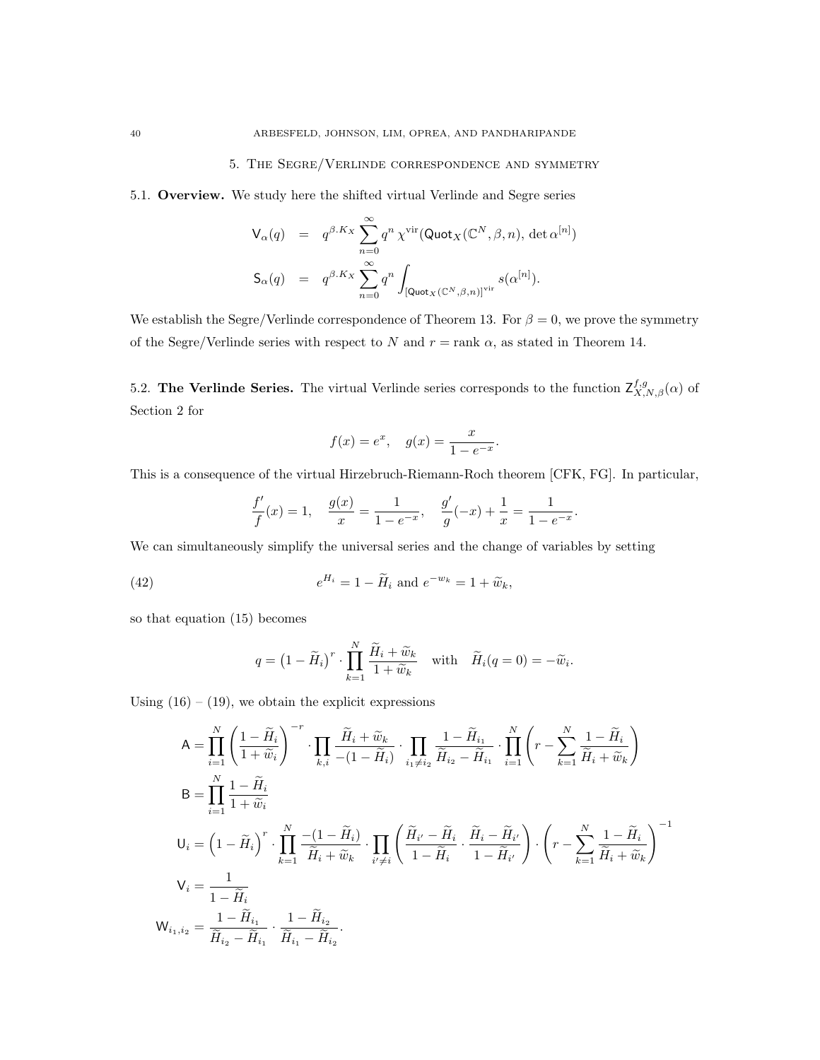# 5. The Segre/Verlinde correspondence and symmetry

5.1. Overview. We study here the shifted virtual Verlinde and Segre series

$$
\begin{array}{rcl} \mathsf{V}_{\alpha}(q) & = & q^{\beta.K_X} \sum_{n=0}^{\infty} q^n \, \chi^{\mathrm{vir}}(\mathsf{Quot}_X(\mathbb{C}^N,\beta,n),\, \det \alpha^{[n]}) \\[1ex] \mathsf{S}_{\alpha}(q) & = & q^{\beta.K_X} \sum_{n=0}^{\infty} q^n \int_{[\mathsf{Quot}_X(\mathbb{C}^N,\beta,n)]^{\mathrm{vir}}} s(\alpha^{[n]}). \end{array}
$$

We establish the Segre/Verlinde correspondence of Theorem 13. For  $\beta = 0$ , we prove the symmetry of the Segre/Verlinde series with respect to N and  $r = \text{rank } \alpha$ , as stated in Theorem 14.

5.2. The Verlinde Series. The virtual Verlinde series corresponds to the function  $\mathsf{Z}^{f,g}_{X,N,\beta}(\alpha)$  of Section 2 for

$$
f(x) = e^x
$$
,  $g(x) = \frac{x}{1 - e^{-x}}$ .

This is a consequence of the virtual Hirzebruch-Riemann-Roch theorem [CFK, FG]. In particular,

$$
\frac{f'}{f}(x) = 1, \quad \frac{g(x)}{x} = \frac{1}{1 - e^{-x}}, \quad \frac{g'}{g}(-x) + \frac{1}{x} = \frac{1}{1 - e^{-x}}.
$$

We can simultaneously simplify the universal series and the change of variables by setting

(42) 
$$
e^{H_i} = 1 - \widetilde{H}_i \text{ and } e^{-w_k} = 1 + \widetilde{w}_k,
$$

so that equation (15) becomes

$$
q = \left(1 - \widetilde{H}_i\right)^r \cdot \prod_{k=1}^N \frac{\widetilde{H}_i + \widetilde{w}_k}{1 + \widetilde{w}_k} \quad \text{with} \quad \widetilde{H}_i(q=0) = -\widetilde{w}_i.
$$

Using  $(16) - (19)$ , we obtain the explicit expressions

$$
A = \prod_{i=1}^{N} \left( \frac{1 - \widetilde{H}_{i}}{1 + \widetilde{w}_{i}} \right)^{-r} \cdot \prod_{k,i} \frac{\widetilde{H}_{i} + \widetilde{w}_{k}}{-(1 - \widetilde{H}_{i})} \cdot \prod_{i_{1} \neq i_{2}} \frac{1 - \widetilde{H}_{i_{1}}}{\widetilde{H}_{i_{2}} - \widetilde{H}_{i_{1}}} \cdot \prod_{i=1}^{N} \left( r - \sum_{k=1}^{N} \frac{1 - \widetilde{H}_{i}}{\widetilde{H}_{i} + \widetilde{w}_{k}} \right)
$$
  
\n
$$
B = \prod_{i=1}^{N} \frac{1 - \widetilde{H}_{i}}{1 + \widetilde{w}_{i}}
$$
  
\n
$$
U_{i} = \left( 1 - \widetilde{H}_{i} \right)^{r} \cdot \prod_{k=1}^{N} \frac{-(1 - \widetilde{H}_{i})}{\widetilde{H}_{i} + \widetilde{w}_{k}} \cdot \prod_{i' \neq i} \left( \frac{\widetilde{H}_{i'} - \widetilde{H}_{i}}{1 - \widetilde{H}_{i}} \cdot \frac{\widetilde{H}_{i} - \widetilde{H}_{i'}}{1 - \widetilde{H}_{i'}} \right) \cdot \left( r - \sum_{k=1}^{N} \frac{1 - \widetilde{H}_{i}}{\widetilde{H}_{i} + \widetilde{w}_{k}} \right)^{-1}
$$
  
\n
$$
V_{i} = \frac{1}{1 - \widetilde{H}_{i}}
$$
  
\n
$$
W_{i_{1}, i_{2}} = \frac{1 - \widetilde{H}_{i_{1}}}{\widetilde{H}_{i_{2}} - \widetilde{H}_{i_{1}}} \cdot \frac{1 - \widetilde{H}_{i_{2}}}{\widetilde{H}_{i_{1}} - \widetilde{H}_{i_{2}}}.
$$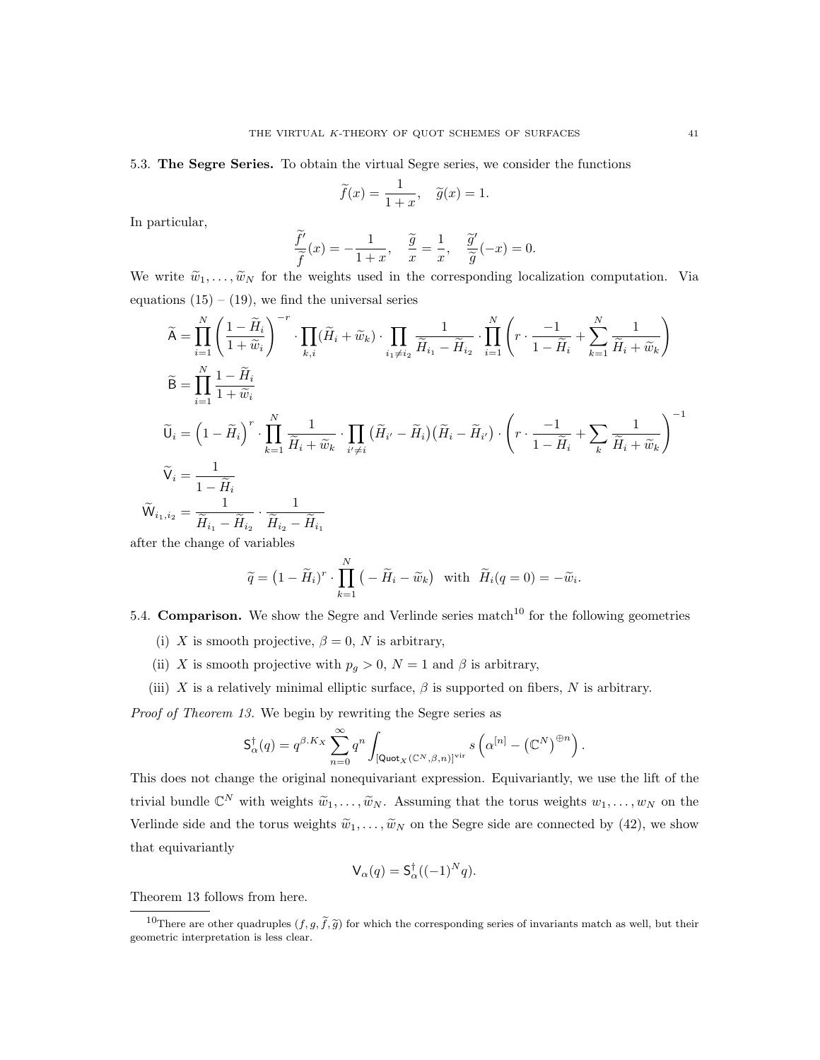5.3. The Segre Series. To obtain the virtual Segre series, we consider the functions

$$
\widetilde{f}(x) = \frac{1}{1+x}, \quad \widetilde{g}(x) = 1.
$$

In particular,

$$
\frac{\widetilde{f}'}{\widetilde{f}}(x) = -\frac{1}{1+x}, \quad \frac{\widetilde{g}}{x} = \frac{1}{x}, \quad \frac{\widetilde{g}'}{\widetilde{g}}(-x) = 0.
$$

We write  $\tilde{w}_1, \ldots, \tilde{w}_N$  for the weights used in the corresponding localization computation. Via equations  $(15) - (19)$ , we find the universal series

$$
\widetilde{A} = \prod_{i=1}^{N} \left( \frac{1 - \widetilde{H}_{i}}{1 + \widetilde{w}_{i}} \right)^{-r} \cdot \prod_{k,i} (\widetilde{H}_{i} + \widetilde{w}_{k}) \cdot \prod_{i_{1} \neq i_{2}} \frac{1}{\widetilde{H}_{i_{1}} - \widetilde{H}_{i_{2}}} \cdot \prod_{i=1}^{N} \left( r \cdot \frac{-1}{1 - \widetilde{H}_{i}} + \sum_{k=1}^{N} \frac{1}{\widetilde{H}_{i} + \widetilde{w}_{k}} \right)
$$
\n
$$
\widetilde{B} = \prod_{i=1}^{N} \frac{1 - \widetilde{H}_{i}}{1 + \widetilde{w}_{i}}
$$
\n
$$
\widetilde{U}_{i} = \left( 1 - \widetilde{H}_{i} \right)^{r} \cdot \prod_{k=1}^{N} \frac{1}{\widetilde{H}_{i} + \widetilde{w}_{k}} \cdot \prod_{i' \neq i} (\widetilde{H}_{i'} - \widetilde{H}_{i}) (\widetilde{H}_{i} - \widetilde{H}_{i'}) \cdot \left( r \cdot \frac{-1}{1 - \widetilde{H}_{i}} + \sum_{k} \frac{1}{\widetilde{H}_{i} + \widetilde{w}_{k}} \right)^{-1}
$$
\n
$$
\widetilde{V}_{i} = \frac{1}{1 - \widetilde{H}_{i}}
$$
\n
$$
\widetilde{W}_{i_{1}, i_{2}} = \frac{1}{\widetilde{H}_{i_{1}} - \widetilde{H}_{i_{2}}} \cdot \frac{1}{\widetilde{H}_{i_{2}} - \widetilde{H}_{i_{1}}}
$$
\nthen the above of variables.

after the change of variables

$$
\widetilde{q} = (1 - \widetilde{H}_i)^r \cdot \prod_{k=1}^N \left( -\widetilde{H}_i - \widetilde{w}_k \right) \text{ with } \widetilde{H}_i(q=0) = -\widetilde{w}_i.
$$

5.4. **Comparison.** We show the Segre and Verlinde series match<sup>10</sup> for the following geometries

- (i) X is smooth projective,  $\beta = 0$ , N is arbitrary,
- (ii) X is smooth projective with  $p_q > 0$ ,  $N = 1$  and  $\beta$  is arbitrary,
- (iii) X is a relatively minimal elliptic surface,  $\beta$  is supported on fibers, N is arbitrary.

Proof of Theorem 13. We begin by rewriting the Segre series as

$$
\mathsf{S}_{\alpha}^{\dagger}(q) = q^{\beta.K_X} \sum_{n=0}^{\infty} q^n \int_{\left[\mathsf{Quot}_X(\mathbb{C}^N,\beta,n)\right]^{\operatorname{vir}}} s\left(\alpha^{[n]} - \left(\mathbb{C}^N\right)^{\oplus n}\right).
$$

This does not change the original nonequivariant expression. Equivariantly, we use the lift of the trivial bundle  $\mathbb{C}^N$  with weights  $\widetilde{w}_1, \ldots, \widetilde{w}_N$ . Assuming that the torus weights  $w_1, \ldots, w_N$  on the Verlinde side and the torus weights  $\tilde{w}_1, \ldots, \tilde{w}_N$  on the Segre side are connected by (42), we show that equivariantly

$$
\mathsf{V}_{\alpha}(q) = \mathsf{S}_{\alpha}^{\dagger}((-1)^N q).
$$

Theorem 13 follows from here.

<sup>&</sup>lt;sup>10</sup>There are other quadruples  $(f, g, \tilde{f}, \tilde{g})$  for which the corresponding series of invariants match as well, but their geometric interpretation is less clear.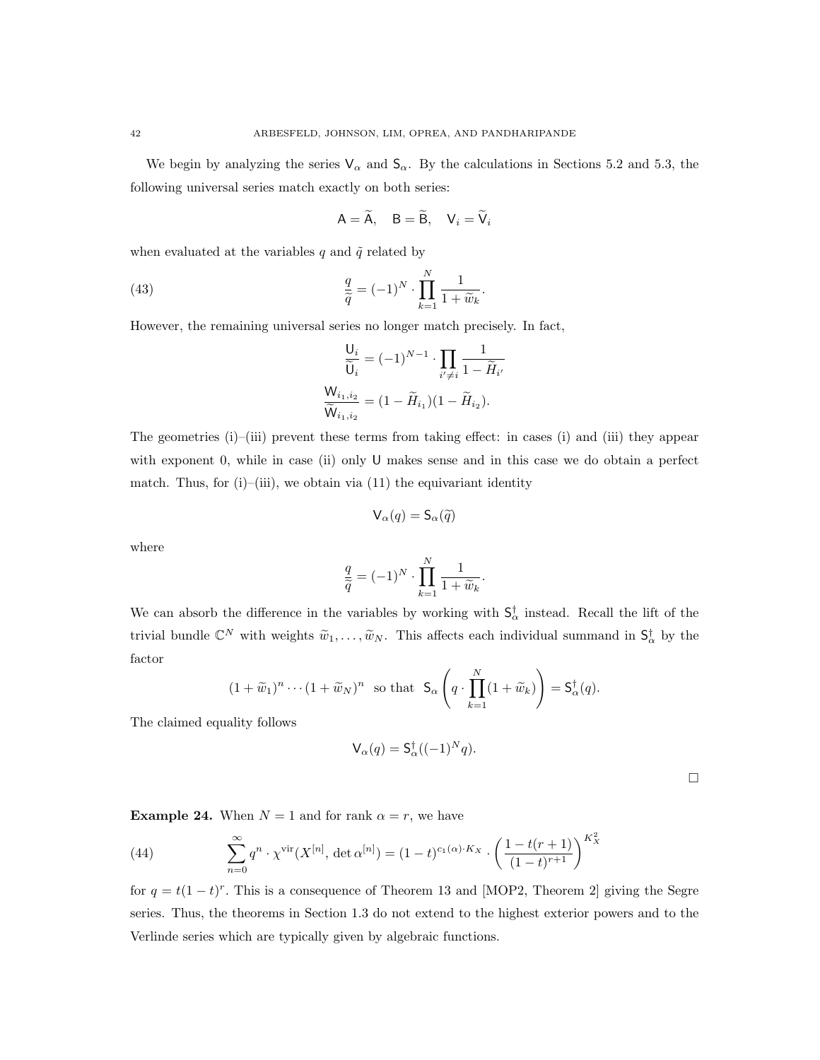We begin by analyzing the series  $V_\alpha$  and  $S_\alpha$ . By the calculations in Sections 5.2 and 5.3, the following universal series match exactly on both series:

$$
A = \widetilde{A}, \quad B = \widetilde{B}, \quad V_i = \widetilde{V}_i
$$

when evaluated at the variables q and  $\tilde{q}$  related by

(43) 
$$
\frac{q}{\tilde{q}} = (-1)^N \cdot \prod_{k=1}^N \frac{1}{1 + \tilde{w}_k}.
$$

However, the remaining universal series no longer match precisely. In fact,

$$
\frac{\mathsf{U}_i}{\widetilde{\mathsf{U}}_i} = (-1)^{N-1} \cdot \prod_{i' \neq i} \frac{1}{1 - \widetilde{H}_{i'}}
$$

$$
\frac{\mathsf{W}_{i_1, i_2}}{\widetilde{\mathsf{W}}_{i_1, i_2}} = (1 - \widetilde{H}_{i_1})(1 - \widetilde{H}_{i_2}).
$$

The geometries (i)–(iii) prevent these terms from taking effect: in cases (i) and (iii) they appear with exponent 0, while in case (ii) only U makes sense and in this case we do obtain a perfect match. Thus, for  $(i)$ – $(i)$ iii), we obtain via  $(11)$  the equivariant identity

$$
\mathsf{V}_{\alpha}(q)=\mathsf{S}_{\alpha}(\widetilde{q})
$$

where

$$
\frac{q}{\widetilde{q}} = (-1)^N \cdot \prod_{k=1}^N \frac{1}{1 + \widetilde{w}_k}.
$$

We can absorb the difference in the variables by working with  $\mathsf{S}_{\alpha}^{\dagger}$  instead. Recall the lift of the trivial bundle  $\mathbb{C}^N$  with weights  $\widetilde{w}_1,\ldots,\widetilde{w}_N$ . This affects each individual summand in  $\mathsf{S}^\dagger_\alpha$  by the factor

$$
(1+\widetilde{w}_1)^n \cdots (1+\widetilde{w}_N)^n \text{ so that } \mathsf{S}_{\alpha}\left(q \cdot \prod_{k=1}^N (1+\widetilde{w}_k)\right) = \mathsf{S}_{\alpha}^{\dagger}(q).
$$

The claimed equality follows

$$
\mathsf{V}_{\alpha}(q) = \mathsf{S}_{\alpha}^{\dagger}((-1)^N q).
$$

 $\Box$ 

**Example 24.** When  $N = 1$  and for rank  $\alpha = r$ , we have

(44) 
$$
\sum_{n=0}^{\infty} q^n \cdot \chi^{\text{vir}}(X^{[n]}, \det \alpha^{[n]}) = (1-t)^{c_1(\alpha) \cdot K_X} \cdot \left(\frac{1-t(r+1)}{(1-t)^{r+1}}\right)^{K_X^2}
$$

for  $q = t(1-t)^r$ . This is a consequence of Theorem 13 and [MOP2, Theorem 2] giving the Segre series. Thus, the theorems in Section 1.3 do not extend to the highest exterior powers and to the Verlinde series which are typically given by algebraic functions.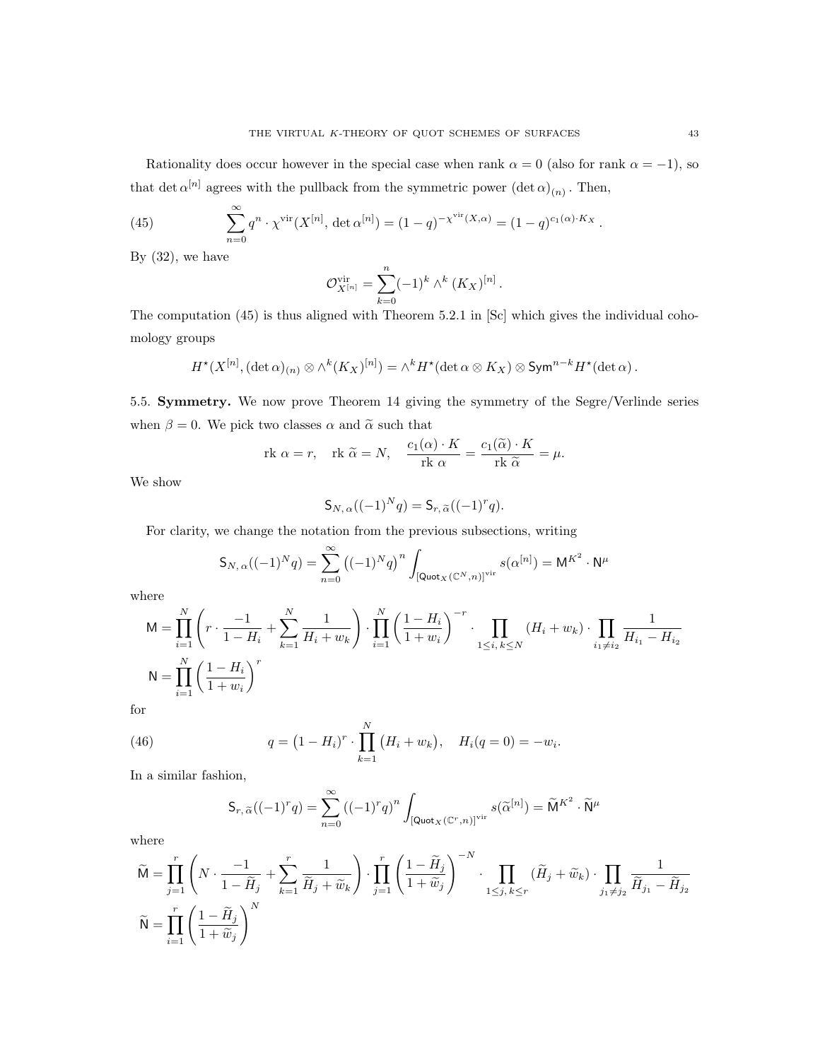Rationality does occur however in the special case when rank  $\alpha = 0$  (also for rank  $\alpha = -1$ ), so that det  $\alpha^{[n]}$  agrees with the pullback from the symmetric power  $(\det \alpha)_{(n)}$ . Then,

(45) 
$$
\sum_{n=0}^{\infty} q^n \cdot \chi^{\text{vir}}(X^{[n]}, \det \alpha^{[n]}) = (1-q)^{-\chi^{\text{vir}}(X, \alpha)} = (1-q)^{c_1(\alpha) \cdot K_X}.
$$

By  $(32)$ , we have

$$
\mathcal{O}_{X^{[n]}}^{\text{vir}} = \sum_{k=0}^{n} (-1)^k \wedge^k (K_X)^{[n]}.
$$

The computation (45) is thus aligned with Theorem 5.2.1 in [Sc] which gives the individual cohomology groups

$$
H^{\star}(X^{[n]},(\det\alpha)_{(n)}\otimes \wedge^k(K_X)^{[n]})=\wedge^k H^{\star}(\det\alpha\otimes K_X)\otimes \operatorname{Sym}^{n-k}H^{\star}(\det\alpha).
$$

5.5. Symmetry. We now prove Theorem 14 giving the symmetry of the Segre/Verlinde series when  $\beta = 0$ . We pick two classes  $\alpha$  and  $\tilde{\alpha}$  such that

$$
\text{rk } \alpha = r, \quad \text{rk } \widetilde{\alpha} = N, \quad \frac{c_1(\alpha) \cdot K}{\text{rk } \alpha} = \frac{c_1(\widetilde{\alpha}) \cdot K}{\text{rk } \widetilde{\alpha}} = \mu.
$$

We show

$$
\mathsf{S}_{N,\,\alpha}((-1)^Nq) = \mathsf{S}_{r,\,\widetilde{\alpha}}((-1)^rq).
$$

For clarity, we change the notation from the previous subsections, writing

$$
\mathsf{S}_{N,\,\alpha}((-1)^N q) = \sum_{n=0}^{\infty} ((-1)^N q)^n \int_{\left[\mathsf{Quot}_X(\mathbb{C}^N,n)\right]^{\text{vir}}} s(\alpha^{[n]}) = \mathsf{M}^{K^2} \cdot \mathsf{N}^\mu
$$

where

$$
M = \prod_{i=1}^{N} \left( r \cdot \frac{-1}{1 - H_i} + \sum_{k=1}^{N} \frac{1}{H_i + w_k} \right) \cdot \prod_{i=1}^{N} \left( \frac{1 - H_i}{1 + w_i} \right)^{-r} \cdot \prod_{1 \le i, k \le N} (H_i + w_k) \cdot \prod_{i_1 \ne i_2} \frac{1}{H_{i_1} - H_{i_2}}
$$
  

$$
N = \prod_{i=1}^{N} \left( \frac{1 - H_i}{1 + w_i} \right)^{r}
$$

for

(46) 
$$
q = (1 - H_i)^r \cdot \prod_{k=1}^N (H_i + w_k), \quad H_i(q = 0) = -w_i
$$

In a similar fashion,

$$
\mathsf{S}_{r,\,\widetilde{\alpha}}((-1)^r q) = \sum_{n=0}^{\infty} \left((-1)^r q\right)^n \int_{\left[\mathsf{Quot}_X(\mathbb{C}^r,n)\right]^{\text{vir}}} s(\widetilde{\alpha}^{[n]}) = \widetilde{\mathsf{M}}^{K^2} \cdot \widetilde{\mathsf{N}}^{\mu}
$$

.

where

$$
\widetilde{\mathsf{M}} = \prod_{j=1}^r \left( N \cdot \frac{-1}{1 - \widetilde{H}_j} + \sum_{k=1}^r \frac{1}{\widetilde{H}_j + \widetilde{w}_k} \right) \cdot \prod_{j=1}^r \left( \frac{1 - \widetilde{H}_j}{1 + \widetilde{w}_j} \right)^{-N} \cdot \prod_{1 \le j, k \le r} (\widetilde{H}_j + \widetilde{w}_k) \cdot \prod_{j_1 \ne j_2} \frac{1}{\widetilde{H}_{j_1} - \widetilde{H}_{j_2}}
$$
\n
$$
\widetilde{\mathsf{N}} = \prod_{i=1}^r \left( \frac{1 - \widetilde{H}_j}{1 + \widetilde{w}_j} \right)^N
$$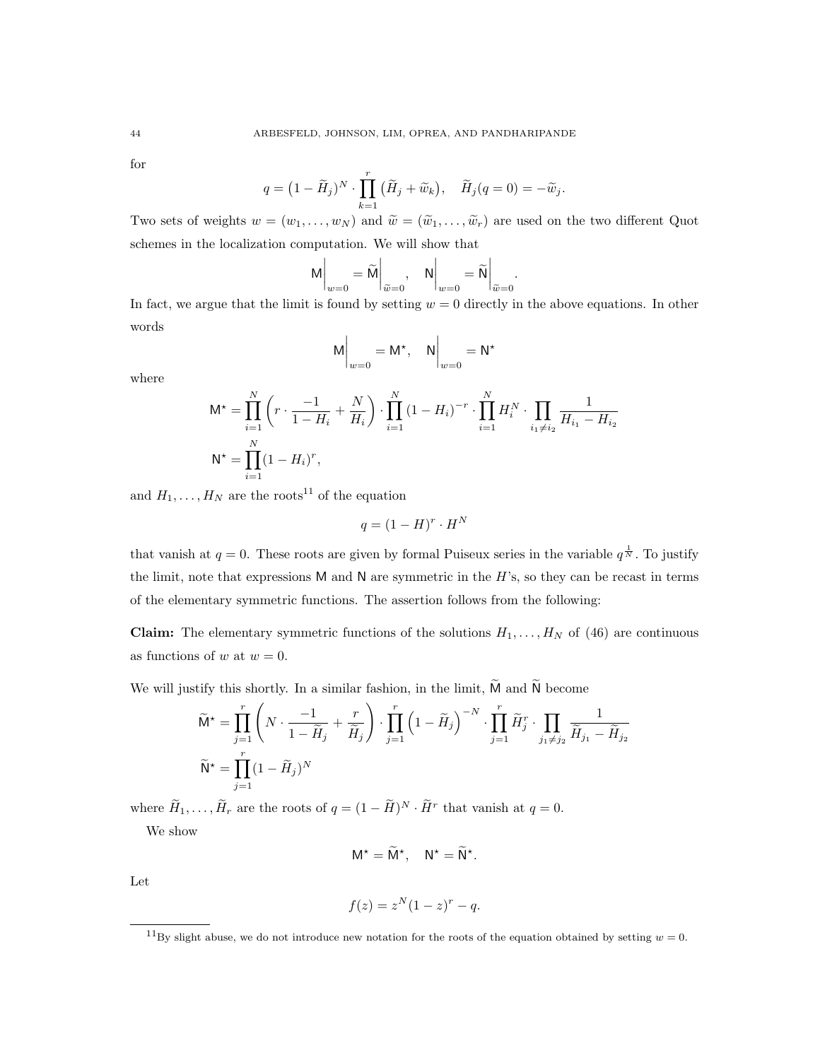for

$$
q = (1 - \widetilde{H}_j)^N \cdot \prod_{k=1}^r (\widetilde{H}_j + \widetilde{w}_k), \quad \widetilde{H}_j(q = 0) = -\widetilde{w}_j.
$$

Two sets of weights  $w = (w_1, \ldots, w_N)$  and  $\widetilde{w} = (\widetilde{w}_1, \ldots, \widetilde{w}_r)$  are used on the two different Quot schemes in the localization computation. We will show that

$$
M\bigg|_{w=0} = \widetilde{M}\bigg|_{\widetilde{w}=0}, \quad N\bigg|_{w=0} = \widetilde{N}\bigg|_{\widetilde{w}=0}.
$$

In fact, we argue that the limit is found by setting  $w = 0$  directly in the above equations. In other words

$$
M\Big|_{w=0} = M^{\star}, \quad N\Big|_{w=0} = N^{\star}
$$

where

$$
\mathsf{M}^{\star} = \prod_{i=1}^{N} \left( r \cdot \frac{-1}{1 - H_i} + \frac{N}{H_i} \right) \cdot \prod_{i=1}^{N} \left( 1 - H_i \right)^{-r} \cdot \prod_{i=1}^{N} H_i^N \cdot \prod_{i_1 \neq i_2} \frac{1}{H_{i_1} - H_{i_2}}
$$
  

$$
\mathsf{N}^{\star} = \prod_{i=1}^{N} (1 - H_i)^r,
$$

and  $H_1, \ldots, H_N$  are the roots<sup>11</sup> of the equation

$$
q = (1 - H)^r \cdot H^N
$$

that vanish at  $q=0$ . These roots are given by formal Puiseux series in the variable  $q^{\frac{1}{N}}$ . To justify the limit, note that expressions  $M$  and  $N$  are symmetric in the  $H$ 's, so they can be recast in terms of the elementary symmetric functions. The assertion follows from the following:

**Claim:** The elementary symmetric functions of the solutions  $H_1, \ldots, H_N$  of (46) are continuous as functions of w at  $w = 0$ .

We will justify this shortly. In a similar fashion, in the limit,  $\widetilde{M}$  and  $\widetilde{N}$  become

$$
\widetilde{\mathsf{M}}^{\star} = \prod_{j=1}^{r} \left( N \cdot \frac{-1}{1 - \widetilde{H}_{j}} + \frac{r}{\widetilde{H}_{j}} \right) \cdot \prod_{j=1}^{r} \left( 1 - \widetilde{H}_{j} \right)^{-N} \cdot \prod_{j=1}^{r} \widetilde{H}_{j}^{r} \cdot \prod_{j_{1} \neq j_{2}} \frac{1}{\widetilde{H}_{j_{1}} - \widetilde{H}_{j_{2}}}
$$

$$
\widetilde{\mathsf{N}}^{\star} = \prod_{j=1}^{r} (1 - \widetilde{H}_{j})^{N}
$$

where  $H_1, \ldots, H_r$  are the roots of  $q = (1 - \tilde{H})^N \cdot \tilde{H}^r$  that vanish at  $q = 0$ .

We show

$$
M^* = \widetilde{M}^*, \quad N^* = \widetilde{N}^*.
$$

Let

$$
f(z) = z^N (1 - z)^r - q.
$$

<sup>&</sup>lt;sup>11</sup>By slight abuse, we do not introduce new notation for the roots of the equation obtained by setting  $w = 0$ .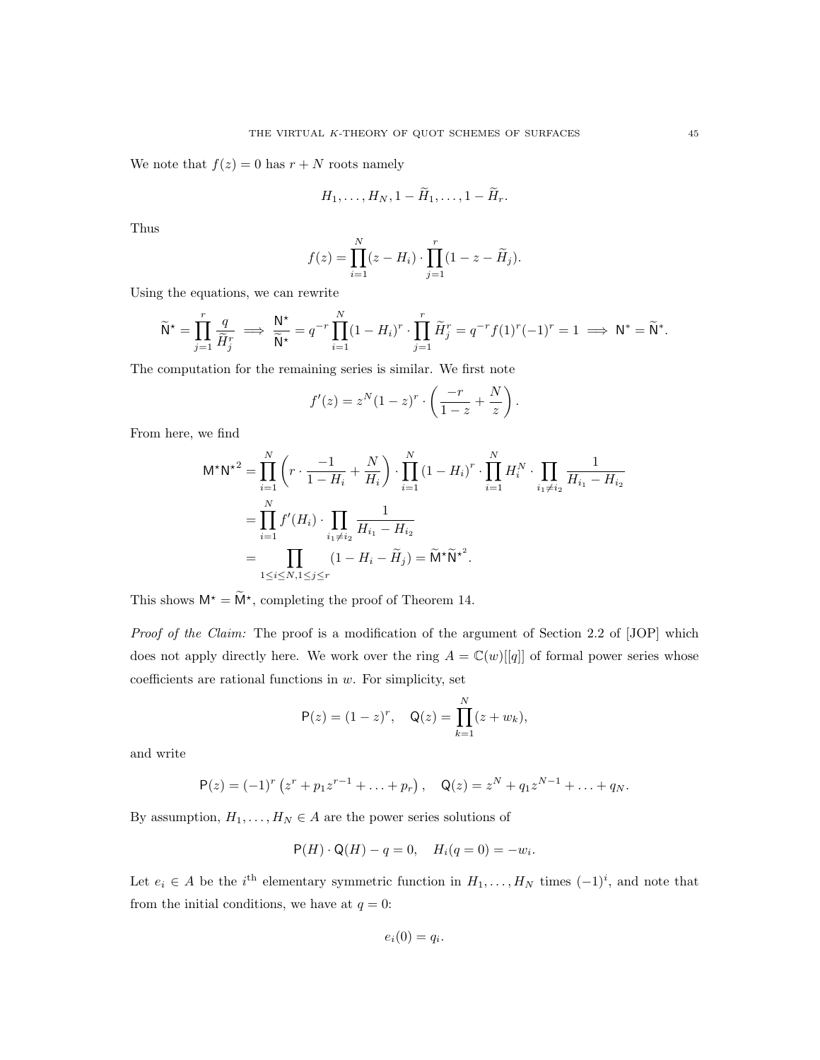We note that  $f(z) = 0$  has  $r + N$  roots namely

$$
H_1,\ldots,H_N,1-H_1,\ldots,1-H_r.
$$

Thus

$$
f(z) = \prod_{i=1}^{N} (z - H_i) \cdot \prod_{j=1}^{r} (1 - z - \widetilde{H}_j).
$$

Using the equations, we can rewrite

$$
\widetilde{\mathsf{N}}^{\star} = \prod_{j=1}^{r} \frac{q}{\widetilde{H}_{j}^{r}} \implies \frac{\mathsf{N}^{\star}}{\widetilde{\mathsf{N}}^{\star}} = q^{-r} \prod_{i=1}^{N} (1 - H_{i})^{r} \cdot \prod_{j=1}^{r} \widetilde{H}_{j}^{r} = q^{-r} f(1)^{r} (-1)^{r} = 1 \implies \mathsf{N}^{*} = \widetilde{\mathsf{N}}^{*}.
$$

The computation for the remaining series is similar. We first note

$$
f'(z) = z^N (1-z)^r \cdot \left(\frac{-r}{1-z} + \frac{N}{z}\right).
$$

From here, we find

$$
M^*N^{*2} = \prod_{i=1}^N \left(r \cdot \frac{-1}{1-H_i} + \frac{N}{H_i}\right) \cdot \prod_{i=1}^N (1-H_i)^r \cdot \prod_{i=1}^N H_i^N \cdot \prod_{i_1 \neq i_2} \frac{1}{H_{i_1} - H_{i_2}}
$$
  
= 
$$
\prod_{i=1}^N f'(H_i) \cdot \prod_{i_1 \neq i_2} \frac{1}{H_{i_1} - H_{i_2}}
$$
  
= 
$$
\prod_{1 \leq i \leq N, 1 \leq j \leq r} (1 - H_i - \widetilde{H}_j) = \widetilde{M}^* \widetilde{N}^*
$$
.

This shows  $M^* = \dot{M}^*$ , completing the proof of Theorem 14.

Proof of the Claim: The proof is a modification of the argument of Section 2.2 of [JOP] which does not apply directly here. We work over the ring  $A = \mathbb{C}(w)[[q]]$  of formal power series whose coefficients are rational functions in  $w$ . For simplicity, set

$$
P(z) = (1 - z)^r
$$
,  $Q(z) = \prod_{k=1}^{N} (z + w_k)$ ,

and write

$$
P(z) = (-1)^r (z^r + p_1 z^{r-1} + \ldots + p_r), \quad Q(z) = z^N + q_1 z^{N-1} + \ldots + q_N.
$$

By assumption,  $H_1, \ldots, H_N \in A$  are the power series solutions of

$$
P(H) \cdot Q(H) - q = 0
$$
,  $H_i(q = 0) = -w_i$ .

Let  $e_i \in A$  be the i<sup>th</sup> elementary symmetric function in  $H_1, \ldots, H_N$  times  $(-1)^i$ , and note that from the initial conditions, we have at  $q = 0$ :

$$
e_i(0) = q_i.
$$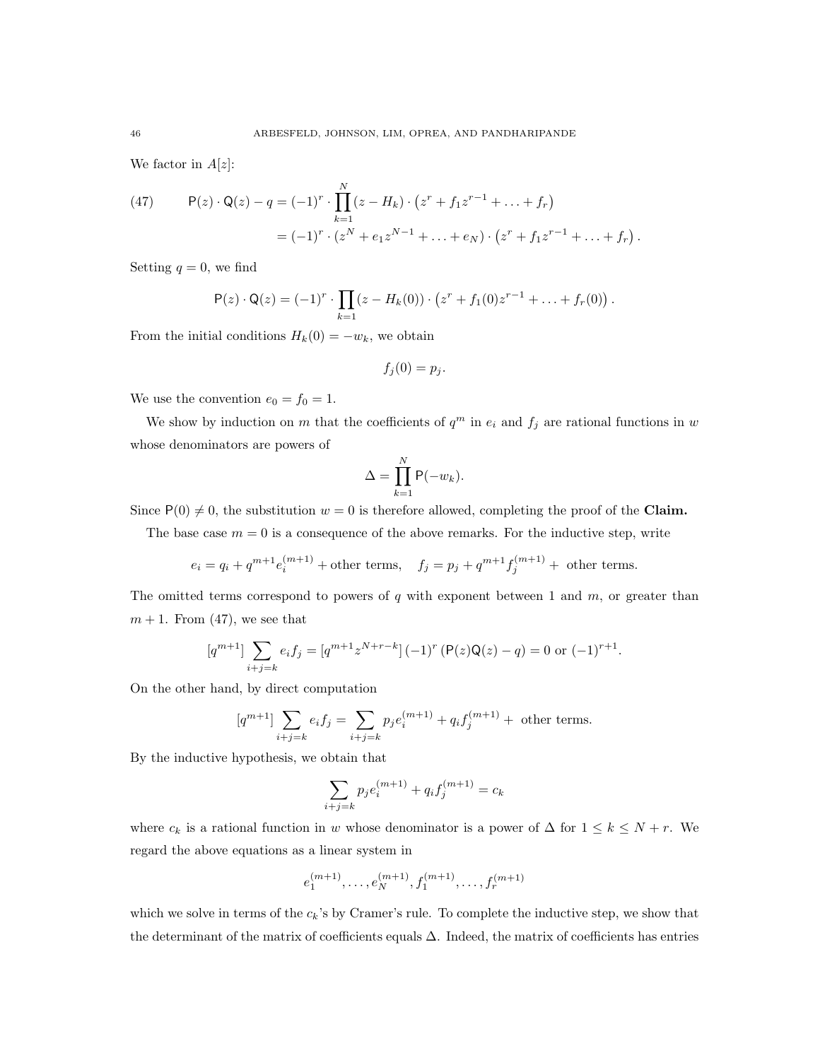We factor in  $A[z]$ :

(47) 
$$
P(z) \cdot Q(z) - q = (-1)^r \cdot \prod_{k=1}^N (z - H_k) \cdot (z^r + f_1 z^{r-1} + \dots + f_r)
$$

$$
= (-1)^r \cdot (z^N + e_1 z^{N-1} + \dots + e_N) \cdot (z^r + f_1 z^{r-1} + \dots + f_r).
$$

Setting  $q = 0$ , we find

$$
P(z) \cdot Q(z) = (-1)^r \cdot \prod_{k=1} (z - H_k(0)) \cdot (z^r + f_1(0)z^{r-1} + \ldots + f_r(0)).
$$

From the initial conditions  $H_k(0) = -w_k$ , we obtain

$$
f_j(0) = p_j.
$$

We use the convention  $e_0 = f_0 = 1$ .

We show by induction on m that the coefficients of  $q^m$  in  $e_i$  and  $f_j$  are rational functions in w whose denominators are powers of

$$
\Delta = \prod_{k=1}^{N} \mathsf{P}(-w_k).
$$

Since  $P(0) \neq 0$ , the substitution  $w = 0$  is therefore allowed, completing the proof of the Claim.

The base case  $m = 0$  is a consequence of the above remarks. For the inductive step, write

$$
e_i = q_i + q^{m+1}e_i^{(m+1)}
$$
 + other terms,  $f_j = p_j + q^{m+1}f_j^{(m+1)}$  + other terms.

The omitted terms correspond to powers of  $q$  with exponent between 1 and  $m$ , or greater than  $m + 1$ . From (47), we see that

$$
[q^{m+1}] \sum_{i+j=k} e_i f_j = [q^{m+1} z^{N+r-k}] (-1)^r (P(z)Q(z) - q) = 0 \text{ or } (-1)^{r+1}.
$$

On the other hand, by direct computation

$$
[q^{m+1}]\sum_{i+j=k} e_i f_j = \sum_{i+j=k} p_j e_i^{(m+1)} + q_i f_j^{(m+1)} + \text{ other terms}.
$$

By the inductive hypothesis, we obtain that

$$
\sum_{i+j=k} p_j e_i^{(m+1)} + q_i f_j^{(m+1)} = c_k
$$

where  $c_k$  is a rational function in w whose denominator is a power of  $\Delta$  for  $1 \leq k \leq N + r$ . We regard the above equations as a linear system in

$$
e_1^{(m+1)},\ldots,e_N^{(m+1)},f_1^{(m+1)},\ldots,f_r^{(m+1)}
$$

which we solve in terms of the  $c_k$ 's by Cramer's rule. To complete the inductive step, we show that the determinant of the matrix of coefficients equals  $\Delta$ . Indeed, the matrix of coefficients has entries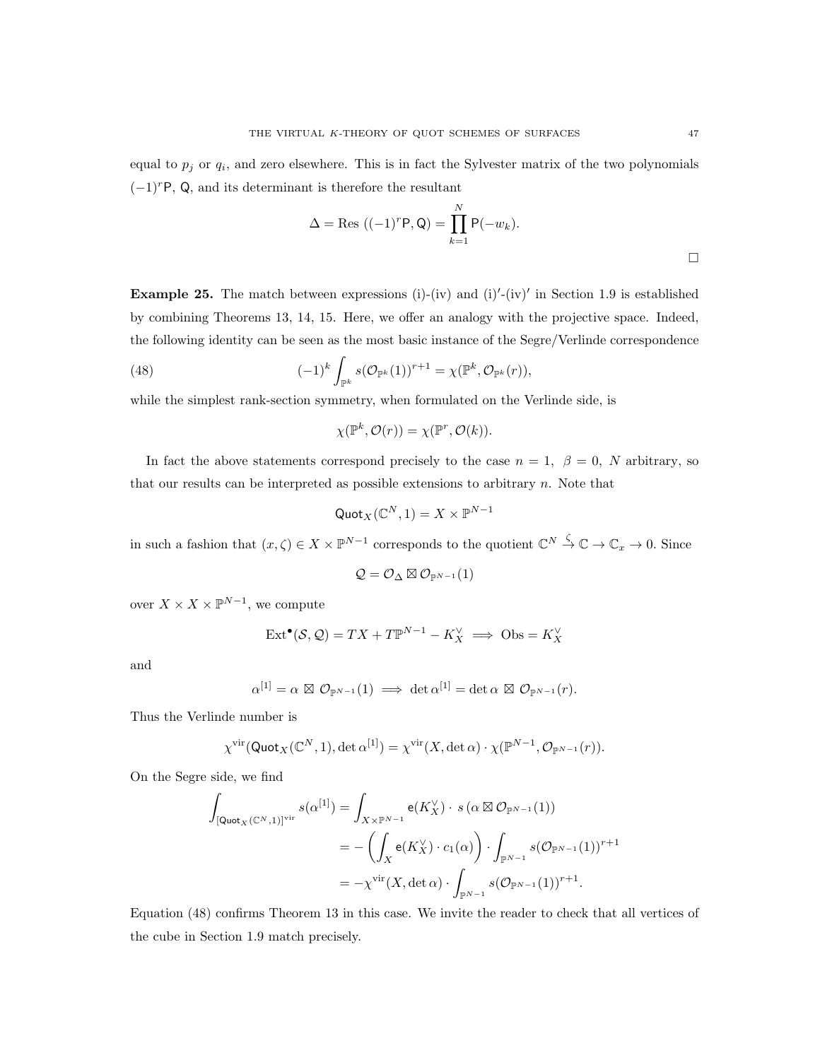equal to  $p_j$  or  $q_i$ , and zero elsewhere. This is in fact the Sylvester matrix of the two polynomials  $(-1)^{r}P$ , Q, and its determinant is therefore the resultant

$$
\Delta = \text{Res } ((-1)^r \mathsf{P}, \mathsf{Q}) = \prod_{k=1}^N \mathsf{P}(-w_k).
$$

**Example 25.** The match between expressions (i)-(iv) and (i)'-(iv)' in Section 1.9 is established by combining Theorems 13, 14, 15. Here, we offer an analogy with the projective space. Indeed, the following identity can be seen as the most basic instance of the Segre/Verlinde correspondence

(48) 
$$
(-1)^k \int_{\mathbb{P}^k} s(\mathcal{O}_{\mathbb{P}^k}(1))^{r+1} = \chi(\mathbb{P}^k, \mathcal{O}_{\mathbb{P}^k}(r)),
$$

while the simplest rank-section symmetry, when formulated on the Verlinde side, is

 $\chi(\mathbb{P}^k, \mathcal{O}(r)) = \chi(\mathbb{P}^r, \mathcal{O}(k)).$ 

In fact the above statements correspond precisely to the case  $n = 1, \beta = 0, N$  arbitrary, so that our results can be interpreted as possible extensions to arbitrary  $n$ . Note that

$$
\mathsf{Quot}_X(\mathbb{C}^N,1) = X \times \mathbb{P}^{N-1}
$$

in such a fashion that  $(x,\zeta) \in X \times \mathbb{P}^{N-1}$  corresponds to the quotient  $\mathbb{C}^N \stackrel{\zeta}{\to} \mathbb{C} \to \mathbb{C}_x \to 0$ . Since

$$
\mathcal{Q} = \mathcal{O}_{\Delta} \boxtimes \mathcal{O}_{\mathbb{P}^{N-1}}(1)
$$

over  $X \times X \times \mathbb{P}^{N-1}$ , we compute

$$
\text{Ext}^{\bullet}(\mathcal{S}, \mathcal{Q}) = TX + T\mathbb{P}^{N-1} - K_X^{\vee} \implies \text{Obs} = K_X^{\vee}
$$

and

$$
\alpha^{[1]} = \alpha \boxtimes \mathcal{O}_{\mathbb{P}^{N-1}}(1) \implies \det \alpha^{[1]} = \det \alpha \boxtimes \mathcal{O}_{\mathbb{P}^{N-1}}(r).
$$

Thus the Verlinde number is

$$
\chi^{\text{vir}}(\text{Quot}_X(\mathbb{C}^N, 1), \det \alpha^{[1]}) = \chi^{\text{vir}}(X, \det \alpha) \cdot \chi(\mathbb{P}^{N-1}, \mathcal{O}_{\mathbb{P}^{N-1}}(r)).
$$

On the Segre side, we find

$$
\int_{\left[\mathsf{Quot}_X(\mathbb{C}^N,1)\right]^{\text{vir}}} s(\alpha^{[1]}) = \int_{X \times \mathbb{P}^{N-1}} \mathsf{e}(K_X^{\vee}) \cdot s(\alpha \boxtimes \mathcal{O}_{\mathbb{P}^{N-1}}(1))
$$
\n
$$
= -\left(\int_X \mathsf{e}(K_X^{\vee}) \cdot c_1(\alpha)\right) \cdot \int_{\mathbb{P}^{N-1}} s(\mathcal{O}_{\mathbb{P}^{N-1}}(1))^{r+1}
$$
\n
$$
= -\chi^{\text{vir}}(X, \det \alpha) \cdot \int_{\mathbb{P}^{N-1}} s(\mathcal{O}_{\mathbb{P}^{N-1}}(1))^{r+1}.
$$

Equation (48) confirms Theorem 13 in this case. We invite the reader to check that all vertices of the cube in Section 1.9 match precisely.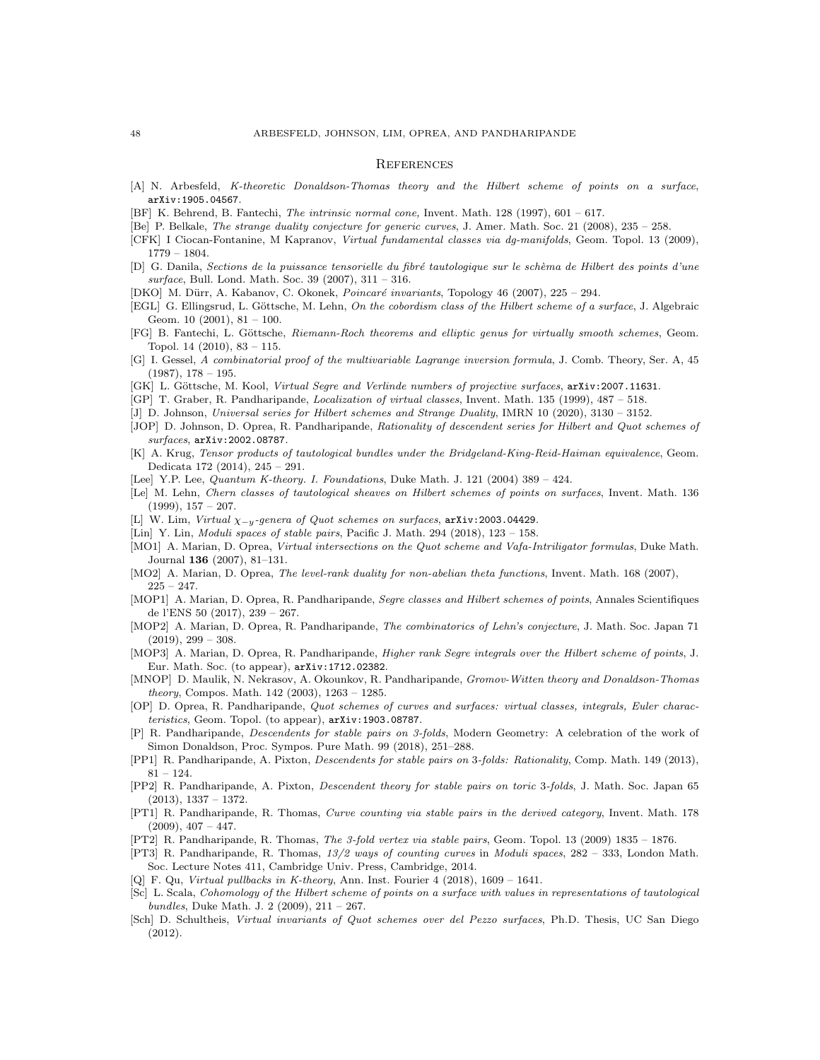#### **REFERENCES**

- [A] N. Arbesfeld, K-theoretic Donaldson-Thomas theory and the Hilbert scheme of points on a surface, arXiv:1905.04567.
- [BF] K. Behrend, B. Fantechi, The intrinsic normal cone, Invent. Math. 128 (1997), 601 617.
- [Be] P. Belkale, The strange duality conjecture for generic curves, J. Amer. Math. Soc. 21 (2008), 235 258.
- [CFK] I Ciocan-Fontanine, M Kapranov, Virtual fundamental classes via dg-manifolds, Geom. Topol. 13 (2009), 1779 – 1804.
- [D] G. Danila, Sections de la puissance tensorielle du fibré tautologique sur le schèma de Hilbert des points d'une surface, Bull. Lond. Math. Soc. 39 (2007), 311 – 316.
- [DKO] M. Dürr, A. Kabanov, C. Okonek, *Poincaré invariants*, Topology 46 (2007), 225 294.
- [EGL] G. Ellingsrud, L. Göttsche, M. Lehn, On the cobordism class of the Hilbert scheme of a surface, J. Algebraic Geom.  $10$   $(2001)$ ,  $81 - 100$ .
- [FG] B. Fantechi, L. Göttsche, Riemann-Roch theorems and elliptic genus for virtually smooth schemes, Geom. Topol. 14 (2010), 83 – 115.
- [G] I. Gessel, A combinatorial proof of the multivariable Lagrange inversion formula, J. Comb. Theory, Ser. A, 45  $(1987), 178 - 195.$
- [GK] L. Göttsche, M. Kool, Virtual Segre and Verlinde numbers of projective surfaces, arXiv: 2007.11631.
- [GP] T. Graber, R. Pandharipande, Localization of virtual classes, Invent. Math. 135 (1999), 487 518.
- [J] D. Johnson, Universal series for Hilbert schemes and Strange Duality, IMRN 10 (2020), 3130 3152.
- [JOP] D. Johnson, D. Oprea, R. Pandharipande, Rationality of descendent series for Hilbert and Quot schemes of surfaces, arXiv:2002.08787.
- [K] A. Krug, Tensor products of tautological bundles under the Bridgeland-King-Reid-Haiman equivalence, Geom. Dedicata 172 (2014), 245 – 291.
- [Lee] Y.P. Lee, Quantum K-theory. I. Foundations, Duke Math. J. 121 (2004) 389 424.
- [Le] M. Lehn, Chern classes of tautological sheaves on Hilbert schemes of points on surfaces, Invent. Math. 136  $(1999), 157 - 207.$
- [L] W. Lim, Virtual  $\chi_{-y}$ -genera of Quot schemes on surfaces, arXiv:2003.04429.
- [Lin] Y. Lin, Moduli spaces of stable pairs, Pacific J. Math. 294 (2018), 123 158.
- [MO1] A. Marian, D. Oprea, Virtual intersections on the Quot scheme and Vafa-Intriligator formulas, Duke Math. Journal 136 (2007), 81–131.
- [MO2] A. Marian, D. Oprea, *The level-rank duality for non-abelian theta functions*, Invent. Math. 168 (2007),  $225 - 247.$
- [MOP1] A. Marian, D. Oprea, R. Pandharipande, Segre classes and Hilbert schemes of points, Annales Scientifiques de l'ENS 50 (2017), 239 – 267.
- [MOP2] A. Marian, D. Oprea, R. Pandharipande, The combinatorics of Lehn's conjecture, J. Math. Soc. Japan 71  $(2019), 299 - 308.$
- [MOP3] A. Marian, D. Oprea, R. Pandharipande, Higher rank Segre integrals over the Hilbert scheme of points, J. Eur. Math. Soc. (to appear), arXiv:1712.02382.
- [MNOP] D. Maulik, N. Nekrasov, A. Okounkov, R. Pandharipande, Gromov-Witten theory and Donaldson-Thomas theory, Compos. Math. 142 (2003), 1263 – 1285.
- [OP] D. Oprea, R. Pandharipande, Quot schemes of curves and surfaces: virtual classes, integrals, Euler characteristics, Geom. Topol. (to appear), arXiv:1903.08787.
- [P] R. Pandharipande, Descendents for stable pairs on 3-folds, Modern Geometry: A celebration of the work of Simon Donaldson, Proc. Sympos. Pure Math. 99 (2018), 251–288.
- [PP1] R. Pandharipande, A. Pixton, Descendents for stable pairs on 3-folds: Rationality, Comp. Math. 149 (2013), 81 – 124.
- [PP2] R. Pandharipande, A. Pixton, Descendent theory for stable pairs on toric 3-folds, J. Math. Soc. Japan 65 (2013), 1337 – 1372.
- [PT1] R. Pandharipande, R. Thomas, Curve counting via stable pairs in the derived category, Invent. Math. 178  $(2009), 407 - 447.$
- [PT2] R. Pandharipande, R. Thomas, The 3-fold vertex via stable pairs, Geom. Topol. 13 (2009) 1835 1876.
- [PT3] R. Pandharipande, R. Thomas, 13/2 ways of counting curves in Moduli spaces, 282 333, London Math. Soc. Lecture Notes 411, Cambridge Univ. Press, Cambridge, 2014.
- [Q] F. Qu, Virtual pullbacks in K-theory, Ann. Inst. Fourier  $4$  (2018), 1609 1641.
- [Sc] L. Scala, Cohomology of the Hilbert scheme of points on a surface with values in representations of tautological bundles, Duke Math. J. 2 (2009), 211 – 267.
- [Sch] D. Schultheis, Virtual invariants of Quot schemes over del Pezzo surfaces, Ph.D. Thesis, UC San Diego (2012).